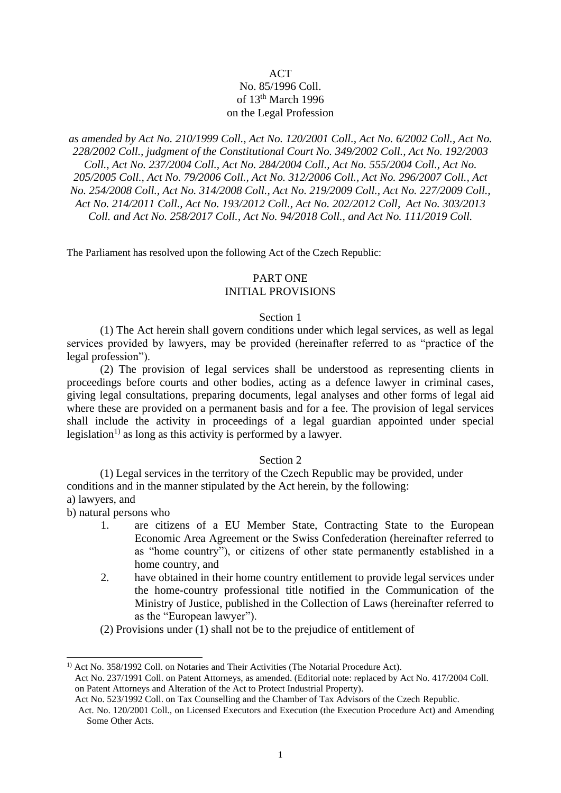# **ACT** No. 85/1996 Coll. of  $13<sup>th</sup>$  March 1996 on the Legal Profession

*as amended by Act No. 210/1999 Coll., Act No. 120/2001 Coll., Act No. 6/2002 Coll., Act No. 228/2002 Coll., judgment of the Constitutional Court No. 349/2002 Coll., Act No. 192/2003 Coll., Act No. 237/2004 Coll., Act No. 284/2004 Coll., Act No. 555/2004 Coll., Act No. 205/2005 Coll., Act No. 79/2006 Coll., Act No. 312/2006 Coll., Act No. 296/2007 Coll., Act No. 254/2008 Coll., Act No. 314/2008 Coll., Act No. 219/2009 Coll., Act No. 227/2009 Coll., Act No. 214/2011 Coll., Act No. 193/2012 Coll., Act No. 202/2012 Coll, Act No. 303/2013 Coll. and Act No. 258/2017 Coll., Act No. 94/2018 Coll., and Act No. 111/2019 Coll.* 

The Parliament has resolved upon the following Act of the Czech Republic:

# PART ONE

# INITIAL PROVISIONS

#### Section 1

(1) The Act herein shall govern conditions under which legal services, as well as legal services provided by lawyers, may be provided (hereinafter referred to as "practice of the legal profession").

(2) The provision of legal services shall be understood as representing clients in proceedings before courts and other bodies, acting as a defence lawyer in criminal cases, giving legal consultations, preparing documents, legal analyses and other forms of legal aid where these are provided on a permanent basis and for a fee. The provision of legal services shall include the activity in proceedings of a legal guardian appointed under special legislation<sup>1)</sup> as long as this activity is performed by a lawyer.

# Section 2

(1) Legal services in the territory of the Czech Republic may be provided, under conditions and in the manner stipulated by the Act herein, by the following: a) lawyers, and

b) natural persons who

- 1. are citizens of a EU Member State, Contracting State to the European Economic Area Agreement or the Swiss Confederation (hereinafter referred to as "home country"), or citizens of other state permanently established in a home country, and
- 2. have obtained in their home country entitlement to provide legal services under the home-country professional title notified in the Communication of the Ministry of Justice, published in the Collection of Laws (hereinafter referred to as the "European lawyer").
- (2) Provisions under (1) shall not be to the prejudice of entitlement of

<sup>&</sup>lt;sup>1)</sup> Act No. 358/1992 Coll. on Notaries and Their Activities (The Notarial Procedure Act). Act No. 237/1991 Coll. on Patent Attorneys, as amended. (Editorial note: replaced by Act No. 417/2004 Coll. on Patent Attorneys and Alteration of the Act to Protect Industrial Property).

Act No. 523/1992 Coll. on Tax Counselling and the Chamber of Tax Advisors of the Czech Republic.

Act. No. 120/2001 Coll., on Licensed Executors and Execution (the Execution Procedure Act) and Amending Some Other Acts.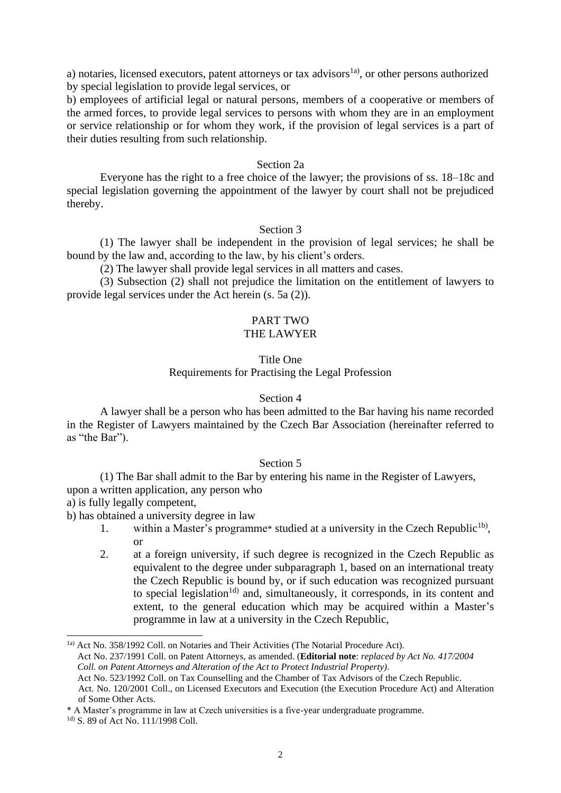a) notaries, licensed executors, patent attorneys or tax advisors<sup>1a)</sup>, or other persons authorized by special legislation to provide legal services, or

b) employees of artificial legal or natural persons, members of a cooperative or members of the armed forces, to provide legal services to persons with whom they are in an employment or service relationship or for whom they work, if the provision of legal services is a part of their duties resulting from such relationship.

#### Section 2a

Everyone has the right to a free choice of the lawyer; the provisions of ss. 18–18c and special legislation governing the appointment of the lawyer by court shall not be prejudiced thereby.

#### Section 3

(1) The lawyer shall be independent in the provision of legal services; he shall be bound by the law and, according to the law, by his client's orders.

(2) The lawyer shall provide legal services in all matters and cases.

(3) Subsection (2) shall not prejudice the limitation on the entitlement of lawyers to provide legal services under the Act herein (s. 5a (2)).

#### PART TWO THE LAWYER

# Title One

# Requirements for Practising the Legal Profession

#### Section 4

A lawyer shall be a person who has been admitted to the Bar having his name recorded in the Register of Lawyers maintained by the Czech Bar Association (hereinafter referred to as "the Bar").

# Section 5

(1) The Bar shall admit to the Bar by entering his name in the Register of Lawyers, upon a written application, any person who

a) is fully legally competent,

b) has obtained a university degree in law

- 1. within a Master's programme\* studied at a university in the Czech Republic<sup>1b</sup>, or
- 2. at a foreign university, if such degree is recognized in the Czech Republic as equivalent to the degree under subparagraph 1, based on an international treaty the Czech Republic is bound by, or if such education was recognized pursuant to special legislation<sup>1d)</sup> and, simultaneously, it corresponds, in its content and extent, to the general education which may be acquired within a Master's programme in law at a university in the Czech Republic,

<sup>1</sup>a) Act No. 358/1992 Coll. on Notaries and Their Activities (The Notarial Procedure Act). Act No. 237/1991 Coll. on Patent Attorneys, as amended. (**Editorial note**: *replaced by Act No. 417/2004 Coll. on Patent Attorneys and Alteration of the Act to Protect Industrial Property)*. Act No. 523/1992 Coll. on Tax Counselling and the Chamber of Tax Advisors of the Czech Republic. Act. No. 120/2001 Coll., on Licensed Executors and Execution (the Execution Procedure Act) and Alteration of Some Other Acts.

<sup>\*</sup> A Master's programme in law at Czech universities is a five-year undergraduate programme.

<sup>&</sup>lt;sup>1d)</sup> S. 89 of Act No. 111/1998 Coll.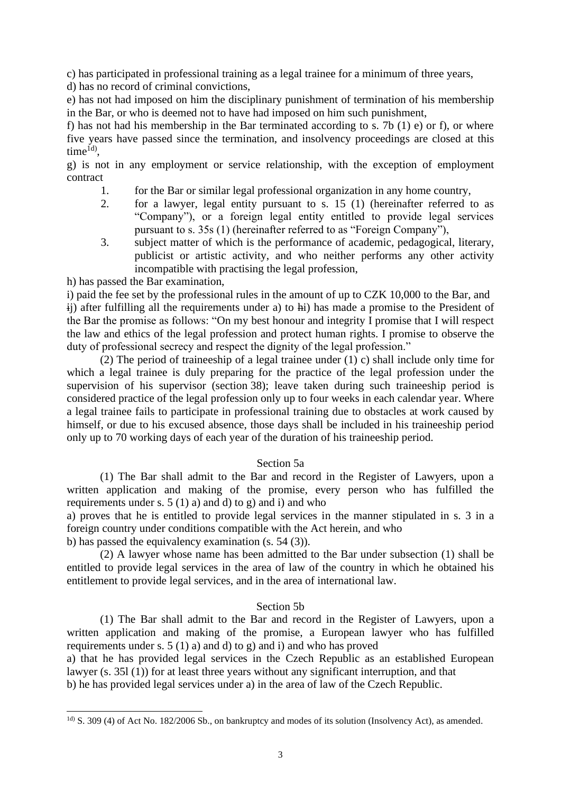c) has participated in professional training as a legal trainee for a minimum of three years,

d) has no record of criminal convictions,

e) has not had imposed on him the disciplinary punishment of termination of his membership in the Bar, or who is deemed not to have had imposed on him such punishment,

f) has not had his membership in the Bar terminated according to s. 7b  $(1)$  e) or f), or where five years have passed since the termination, and insolvency proceedings are closed at this  $time^{1d}$ ,

g) is not in any employment or service relationship, with the exception of employment contract

- 1. for the Bar or similar legal professional organization in any home country,
- 2. for a lawyer, legal entity pursuant to s. 15 (1) (hereinafter referred to as "Company"), or a foreign legal entity entitled to provide legal services pursuant to s. 35s (1) (hereinafter referred to as "Foreign Company"),
- 3. subject matter of which is the performance of academic, pedagogical, literary, publicist or artistic activity, and who neither performs any other activity incompatible with practising the legal profession,

h) has passed the Bar examination,

i) paid the fee set by the professional rules in the amount of up to CZK 10,000 to the Bar, and ij) after fulfilling all the requirements under a) to hi) has made a promise to the President of the Bar the promise as follows: "On my best honour and integrity I promise that I will respect the law and ethics of the legal profession and protect human rights. I promise to observe the duty of professional secrecy and respect the dignity of the legal profession."

(2) The period of traineeship of a legal trainee under (1) c) shall include only time for which a legal trainee is duly preparing for the practice of the legal profession under the supervision of his supervisor (section 38); leave taken during such traineeship period is considered practice of the legal profession only up to four weeks in each calendar year. Where a legal trainee fails to participate in professional training due to obstacles at work caused by himself, or due to his excused absence, those days shall be included in his traineeship period only up to 70 working days of each year of the duration of his traineeship period.

# Section 5a

(1) The Bar shall admit to the Bar and record in the Register of Lawyers, upon a written application and making of the promise, every person who has fulfilled the requirements under s.  $5(1)$  a) and d) to g) and i) and who

a) proves that he is entitled to provide legal services in the manner stipulated in s. 3 in a foreign country under conditions compatible with the Act herein, and who

b) has passed the equivalency examination (s. 54 (3)).

(2) A lawyer whose name has been admitted to the Bar under subsection (1) shall be entitled to provide legal services in the area of law of the country in which he obtained his entitlement to provide legal services, and in the area of international law.

# Section 5b

(1) The Bar shall admit to the Bar and record in the Register of Lawyers, upon a written application and making of the promise, a European lawyer who has fulfilled requirements under s.  $5(1)$  a) and d) to g) and i) and who has proved

a) that he has provided legal services in the Czech Republic as an established European lawyer (s. 35l (1)) for at least three years without any significant interruption, and that b) he has provided legal services under a) in the area of law of the Czech Republic.

<sup>1</sup>d) S. 309 (4) of Act No. 182/2006 Sb., on bankruptcy and modes of its solution (Insolvency Act), as amended.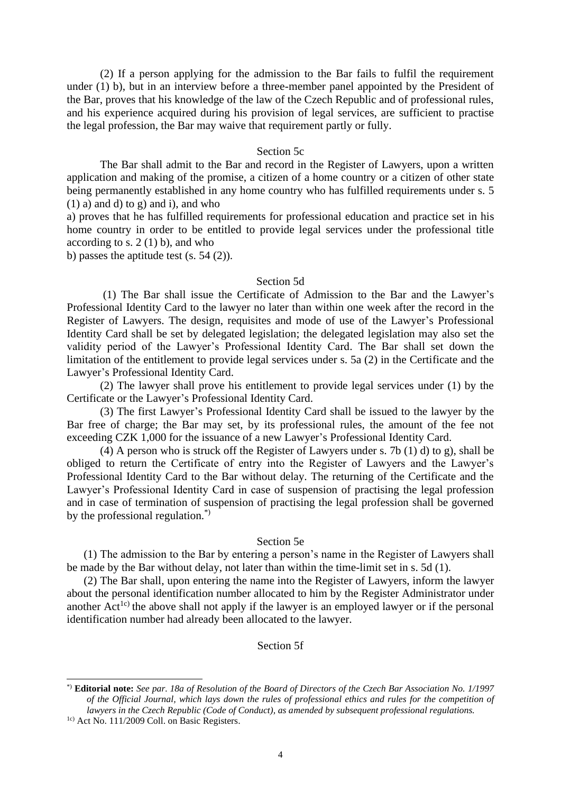(2) If a person applying for the admission to the Bar fails to fulfil the requirement under (1) b), but in an interview before a three-member panel appointed by the President of the Bar, proves that his knowledge of the law of the Czech Republic and of professional rules, and his experience acquired during his provision of legal services, are sufficient to practise the legal profession, the Bar may waive that requirement partly or fully.

#### Section 5c

The Bar shall admit to the Bar and record in the Register of Lawyers, upon a written application and making of the promise, a citizen of a home country or a citizen of other state being permanently established in any home country who has fulfilled requirements under s. 5  $(1)$  a) and d) to g) and i), and who

a) proves that he has fulfilled requirements for professional education and practice set in his home country in order to be entitled to provide legal services under the professional title according to s.  $2(1)$  b), and who

b) passes the aptitude test (s. 54 (2)).

#### Section 5d

(1) The Bar shall issue the Certificate of Admission to the Bar and the Lawyer's Professional Identity Card to the lawyer no later than within one week after the record in the Register of Lawyers. The design, requisites and mode of use of the Lawyer's Professional Identity Card shall be set by delegated legislation; the delegated legislation may also set the validity period of the Lawyer's Professional Identity Card. The Bar shall set down the limitation of the entitlement to provide legal services under s. 5a (2) in the Certificate and the Lawyer's Professional Identity Card.

(2) The lawyer shall prove his entitlement to provide legal services under (1) by the Certificate or the Lawyer's Professional Identity Card.

(3) The first Lawyer's Professional Identity Card shall be issued to the lawyer by the Bar free of charge; the Bar may set, by its professional rules, the amount of the fee not exceeding CZK 1,000 for the issuance of a new Lawyer's Professional Identity Card.

(4) A person who is struck off the Register of Lawyers under s. 7b (1) d) to g), shall be obliged to return the Certificate of entry into the Register of Lawyers and the Lawyer's Professional Identity Card to the Bar without delay. The returning of the Certificate and the Lawyer's Professional Identity Card in case of suspension of practising the legal profession and in case of termination of suspension of practising the legal profession shall be governed by the professional regulation.\*)

#### Section 5e

(1) The admission to the Bar by entering a person's name in the Register of Lawyers shall be made by the Bar without delay, not later than within the time-limit set in s. 5d (1).

(2) The Bar shall, upon entering the name into the Register of Lawyers, inform the lawyer about the personal identification number allocated to him by the Register Administrator under another  $Act^{1c}$  the above shall not apply if the lawyer is an employed lawyer or if the personal identification number had already been allocated to the lawyer.

# Section 5f

<sup>\*)</sup> **Editorial note:** *See par. 18a of Resolution of the Board of Directors of the Czech Bar Association No. 1/1997 of the Official Journal, which lays down the rules of professional ethics and rules for the competition of lawyers in the Czech Republic (Code of Conduct), as amended by subsequent professional regulations.*

<sup>1</sup>c) Act No. 111/2009 Coll. on Basic Registers.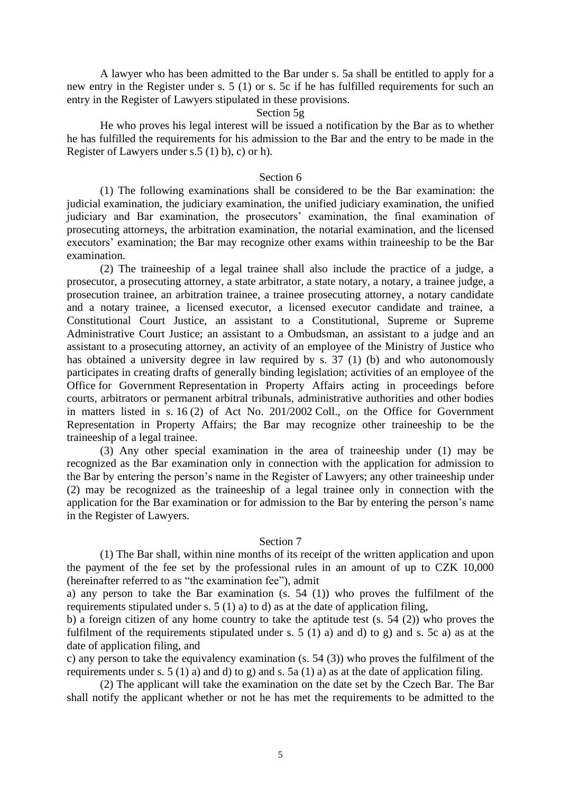A lawyer who has been admitted to the Bar under s. 5a shall be entitled to apply for a new entry in the Register under s. 5 (1) or s. 5c if he has fulfilled requirements for such an entry in the Register of Lawyers stipulated in these provisions.

#### Section 5g

He who proves his legal interest will be issued a notification by the Bar as to whether he has fulfilled the requirements for his admission to the Bar and the entry to be made in the Register of Lawyers under s.5 (1) b), c) or h).

#### Section 6

(1) The following examinations shall be considered to be the Bar examination: the judicial examination, the judiciary examination, the unified judiciary examination, the unified judiciary and Bar examination, the prosecutors' examination, the final examination of prosecuting attorneys, the arbitration examination, the notarial examination, and the licensed executors' examination; the Bar may recognize other exams within traineeship to be the Bar examination.

(2) The traineeship of a legal trainee shall also include the practice of a judge, a prosecutor, a prosecuting attorney, a state arbitrator, a state notary, a notary, a trainee judge, a prosecution trainee, an arbitration trainee, a trainee prosecuting attorney, a notary candidate and a notary trainee, a licensed executor, a licensed executor candidate and trainee, a Constitutional Court Justice, an assistant to a Constitutional, Supreme or Supreme Administrative Court Justice; an assistant to a Ombudsman, an assistant to a judge and an assistant to a prosecuting attorney, an activity of an employee of the Ministry of Justice who has obtained a university degree in law required by s. 37 (1) (b) and who autonomously participates in creating drafts of generally binding legislation; activities of an employee of the Office for Government Representation in Property Affairs acting in proceedings before courts, arbitrators or permanent arbitral tribunals, administrative authorities and other bodies in matters listed in s. 16 (2) of Act No. 201/2002 Coll., on the Office for Government Representation in Property Affairs; the Bar may recognize other traineeship to be the traineeship of a legal trainee.

(3) Any other special examination in the area of traineeship under (1) may be recognized as the Bar examination only in connection with the application for admission to the Bar by entering the person's name in the Register of Lawyers; any other traineeship under (2) may be recognized as the traineeship of a legal trainee only in connection with the application for the Bar examination or for admission to the Bar by entering the person's name in the Register of Lawyers.

#### Section 7

(1) The Bar shall, within nine months of its receipt of the written application and upon the payment of the fee set by the professional rules in an amount of up to CZK 10,000 (hereinafter referred to as "the examination fee"), admit

a) any person to take the Bar examination (s. 54 (1)) who proves the fulfilment of the requirements stipulated under s. 5 (1) a) to d) as at the date of application filing,

b) a foreign citizen of any home country to take the aptitude test (s. 54 (2)) who proves the fulfilment of the requirements stipulated under s. 5 (1) a) and d) to g) and s. 5c a) as at the date of application filing, and

c) any person to take the equivalency examination (s. 54 (3)) who proves the fulfilment of the requirements under s. 5 (1) a) and d) to g) and s. 5a (1) a) as at the date of application filing.

(2) The applicant will take the examination on the date set by the Czech Bar. The Bar shall notify the applicant whether or not he has met the requirements to be admitted to the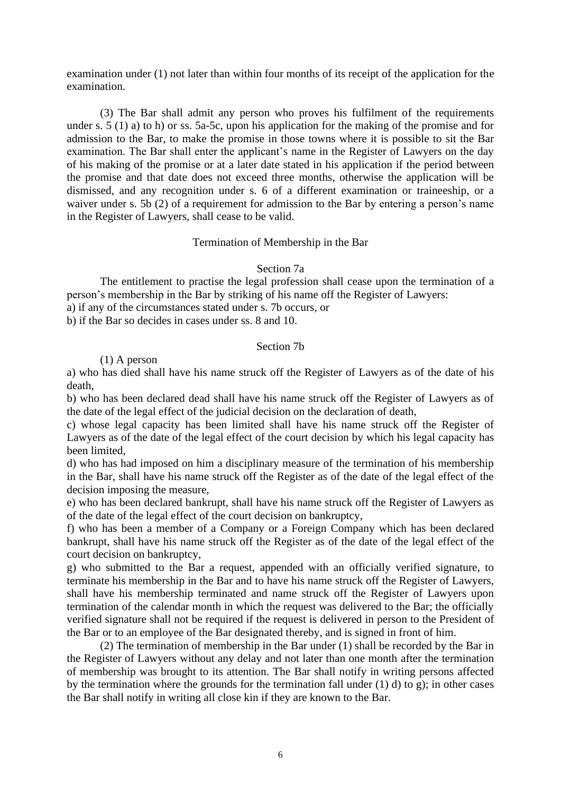examination under (1) not later than within four months of its receipt of the application for the examination.

(3) The Bar shall admit any person who proves his fulfilment of the requirements under s. 5 (1) a) to h) or ss. 5a-5c, upon his application for the making of the promise and for admission to the Bar, to make the promise in those towns where it is possible to sit the Bar examination. The Bar shall enter the applicant's name in the Register of Lawyers on the day of his making of the promise or at a later date stated in his application if the period between the promise and that date does not exceed three months, otherwise the application will be dismissed, and any recognition under s. 6 of a different examination or traineeship, or a waiver under s. 5b (2) of a requirement for admission to the Bar by entering a person's name in the Register of Lawyers, shall cease to be valid.

#### Termination of Membership in the Bar

#### Section 7a

The entitlement to practise the legal profession shall cease upon the termination of a person's membership in the Bar by striking of his name off the Register of Lawyers:

a) if any of the circumstances stated under s. 7b occurs, or

b) if the Bar so decides in cases under ss. 8 and 10.

# Section 7b

# (1) A person

a) who has died shall have his name struck off the Register of Lawyers as of the date of his death,

b) who has been declared dead shall have his name struck off the Register of Lawyers as of the date of the legal effect of the judicial decision on the declaration of death,

c) whose legal capacity has been limited shall have his name struck off the Register of Lawyers as of the date of the legal effect of the court decision by which his legal capacity has been limited,

d) who has had imposed on him a disciplinary measure of the termination of his membership in the Bar, shall have his name struck off the Register as of the date of the legal effect of the decision imposing the measure,

e) who has been declared bankrupt, shall have his name struck off the Register of Lawyers as of the date of the legal effect of the court decision on bankruptcy,

f) who has been a member of a Company or a Foreign Company which has been declared bankrupt, shall have his name struck off the Register as of the date of the legal effect of the court decision on bankruptcy,

g) who submitted to the Bar a request, appended with an officially verified signature, to terminate his membership in the Bar and to have his name struck off the Register of Lawyers, shall have his membership terminated and name struck off the Register of Lawyers upon termination of the calendar month in which the request was delivered to the Bar; the officially verified signature shall not be required if the request is delivered in person to the President of the Bar or to an employee of the Bar designated thereby, and is signed in front of him.

(2) The termination of membership in the Bar under (1) shall be recorded by the Bar in the Register of Lawyers without any delay and not later than one month after the termination of membership was brought to its attention. The Bar shall notify in writing persons affected by the termination where the grounds for the termination fall under  $(1)$  d) to g); in other cases the Bar shall notify in writing all close kin if they are known to the Bar.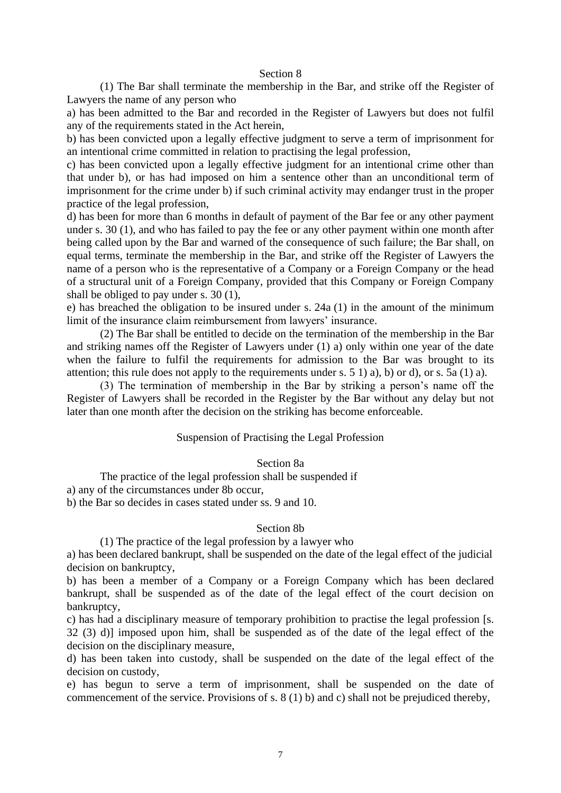#### Section 8

(1) The Bar shall terminate the membership in the Bar, and strike off the Register of Lawyers the name of any person who

a) has been admitted to the Bar and recorded in the Register of Lawyers but does not fulfil any of the requirements stated in the Act herein,

b) has been convicted upon a legally effective judgment to serve a term of imprisonment for an intentional crime committed in relation to practising the legal profession,

c) has been convicted upon a legally effective judgment for an intentional crime other than that under b), or has had imposed on him a sentence other than an unconditional term of imprisonment for the crime under b) if such criminal activity may endanger trust in the proper practice of the legal profession,

d) has been for more than 6 months in default of payment of the Bar fee or any other payment under s. 30 (1), and who has failed to pay the fee or any other payment within one month after being called upon by the Bar and warned of the consequence of such failure; the Bar shall, on equal terms, terminate the membership in the Bar, and strike off the Register of Lawyers the name of a person who is the representative of a Company or a Foreign Company or the head of a structural unit of a Foreign Company, provided that this Company or Foreign Company shall be obliged to pay under s. 30 (1),

e) has breached the obligation to be insured under s. 24a (1) in the amount of the minimum limit of the insurance claim reimbursement from lawyers' insurance.

(2) The Bar shall be entitled to decide on the termination of the membership in the Bar and striking names off the Register of Lawyers under (1) a) only within one year of the date when the failure to fulfil the requirements for admission to the Bar was brought to its attention; this rule does not apply to the requirements under s. 5 1) a), b) or d), or s. 5a (1) a).

(3) The termination of membership in the Bar by striking a person's name off the Register of Lawyers shall be recorded in the Register by the Bar without any delay but not later than one month after the decision on the striking has become enforceable.

# Suspension of Practising the Legal Profession

#### Section 8a

The practice of the legal profession shall be suspended if

a) any of the circumstances under 8b occur,

b) the Bar so decides in cases stated under ss. 9 and 10.

#### Section 8b

(1) The practice of the legal profession by a lawyer who

a) has been declared bankrupt, shall be suspended on the date of the legal effect of the judicial decision on bankruptcy,

b) has been a member of a Company or a Foreign Company which has been declared bankrupt, shall be suspended as of the date of the legal effect of the court decision on bankruptcy,

c) has had a disciplinary measure of temporary prohibition to practise the legal profession [s. 32 (3) d)] imposed upon him, shall be suspended as of the date of the legal effect of the decision on the disciplinary measure,

d) has been taken into custody, shall be suspended on the date of the legal effect of the decision on custody,

e) has begun to serve a term of imprisonment, shall be suspended on the date of commencement of the service. Provisions of s. 8 (1) b) and c) shall not be prejudiced thereby,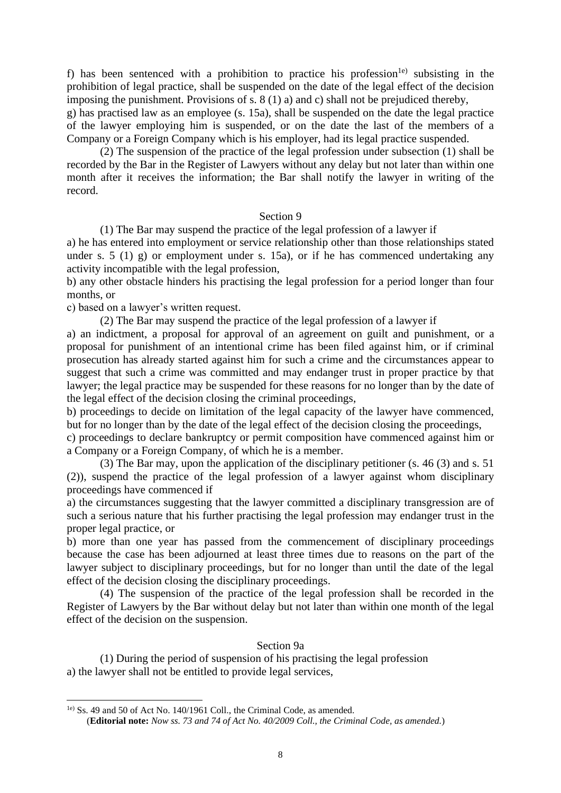f) has been sentenced with a prohibition to practice his profession<sup>1e)</sup> subsisting in the prohibition of legal practice, shall be suspended on the date of the legal effect of the decision imposing the punishment. Provisions of s. 8 (1) a) and c) shall not be prejudiced thereby,

g) has practised law as an employee (s. 15a), shall be suspended on the date the legal practice of the lawyer employing him is suspended, or on the date the last of the members of a Company or a Foreign Company which is his employer, had its legal practice suspended.

(2) The suspension of the practice of the legal profession under subsection (1) shall be recorded by the Bar in the Register of Lawyers without any delay but not later than within one month after it receives the information; the Bar shall notify the lawyer in writing of the record.

# Section 9

(1) The Bar may suspend the practice of the legal profession of a lawyer if

a) he has entered into employment or service relationship other than those relationships stated under s.  $5(1)$  g) or employment under s.  $15a$ , or if he has commenced undertaking any activity incompatible with the legal profession,

b) any other obstacle hinders his practising the legal profession for a period longer than four months, or

c) based on a lawyer's written request.

(2) The Bar may suspend the practice of the legal profession of a lawyer if

a) an indictment, a proposal for approval of an agreement on guilt and punishment, or a proposal for punishment of an intentional crime has been filed against him, or if criminal prosecution has already started against him for such a crime and the circumstances appear to suggest that such a crime was committed and may endanger trust in proper practice by that lawyer; the legal practice may be suspended for these reasons for no longer than by the date of the legal effect of the decision closing the criminal proceedings,

b) proceedings to decide on limitation of the legal capacity of the lawyer have commenced, but for no longer than by the date of the legal effect of the decision closing the proceedings,

c) proceedings to declare bankruptcy or permit composition have commenced against him or a Company or a Foreign Company, of which he is a member.

(3) The Bar may, upon the application of the disciplinary petitioner (s. 46 (3) and s. 51 (2)), suspend the practice of the legal profession of a lawyer against whom disciplinary proceedings have commenced if

a) the circumstances suggesting that the lawyer committed a disciplinary transgression are of such a serious nature that his further practising the legal profession may endanger trust in the proper legal practice, or

b) more than one year has passed from the commencement of disciplinary proceedings because the case has been adjourned at least three times due to reasons on the part of the lawyer subject to disciplinary proceedings, but for no longer than until the date of the legal effect of the decision closing the disciplinary proceedings.

(4) The suspension of the practice of the legal profession shall be recorded in the Register of Lawyers by the Bar without delay but not later than within one month of the legal effect of the decision on the suspension.

# Section 9a

(1) During the period of suspension of his practising the legal profession a) the lawyer shall not be entitled to provide legal services,

<sup>1</sup>e) Ss. 49 and 50 of Act No. 140/1961 Coll., the Criminal Code, as amended. (**Editorial note:** *Now ss. 73 and 74 of Act No. 40/2009 Coll., the Criminal Code, as amended.*)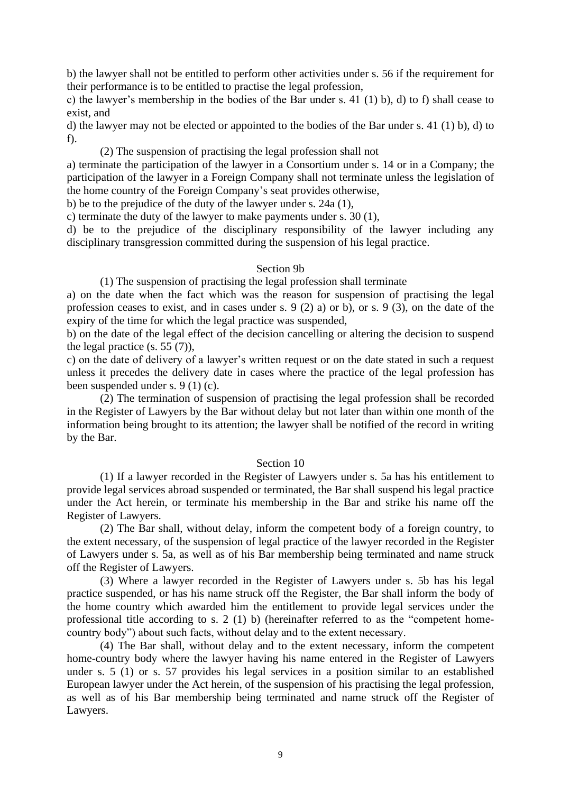b) the lawyer shall not be entitled to perform other activities under s. 56 if the requirement for their performance is to be entitled to practise the legal profession,

c) the lawyer's membership in the bodies of the Bar under s. 41 (1) b), d) to f) shall cease to exist, and

d) the lawyer may not be elected or appointed to the bodies of the Bar under s. 41 (1) b), d) to f).

(2) The suspension of practising the legal profession shall not

a) terminate the participation of the lawyer in a Consortium under s. 14 or in a Company; the participation of the lawyer in a Foreign Company shall not terminate unless the legislation of the home country of the Foreign Company's seat provides otherwise,

b) be to the prejudice of the duty of the lawyer under s. 24a (1),

c) terminate the duty of the lawyer to make payments under s. 30 (1),

d) be to the prejudice of the disciplinary responsibility of the lawyer including any disciplinary transgression committed during the suspension of his legal practice.

#### Section 9b

(1) The suspension of practising the legal profession shall terminate

a) on the date when the fact which was the reason for suspension of practising the legal profession ceases to exist, and in cases under s. 9 (2) a) or b), or s. 9 (3), on the date of the expiry of the time for which the legal practice was suspended,

b) on the date of the legal effect of the decision cancelling or altering the decision to suspend the legal practice (s. 55 (7)),

c) on the date of delivery of a lawyer's written request or on the date stated in such a request unless it precedes the delivery date in cases where the practice of the legal profession has been suspended under s. 9 (1) (c).

(2) The termination of suspension of practising the legal profession shall be recorded in the Register of Lawyers by the Bar without delay but not later than within one month of the information being brought to its attention; the lawyer shall be notified of the record in writing by the Bar.

## Section 10

(1) If a lawyer recorded in the Register of Lawyers under s. 5a has his entitlement to provide legal services abroad suspended or terminated, the Bar shall suspend his legal practice under the Act herein, or terminate his membership in the Bar and strike his name off the Register of Lawyers.

(2) The Bar shall, without delay, inform the competent body of a foreign country, to the extent necessary, of the suspension of legal practice of the lawyer recorded in the Register of Lawyers under s. 5a, as well as of his Bar membership being terminated and name struck off the Register of Lawyers.

(3) Where a lawyer recorded in the Register of Lawyers under s. 5b has his legal practice suspended, or has his name struck off the Register, the Bar shall inform the body of the home country which awarded him the entitlement to provide legal services under the professional title according to s. 2 (1) b) (hereinafter referred to as the "competent homecountry body") about such facts, without delay and to the extent necessary.

(4) The Bar shall, without delay and to the extent necessary, inform the competent home-country body where the lawyer having his name entered in the Register of Lawyers under s. 5 (1) or s. 57 provides his legal services in a position similar to an established European lawyer under the Act herein, of the suspension of his practising the legal profession, as well as of his Bar membership being terminated and name struck off the Register of Lawyers.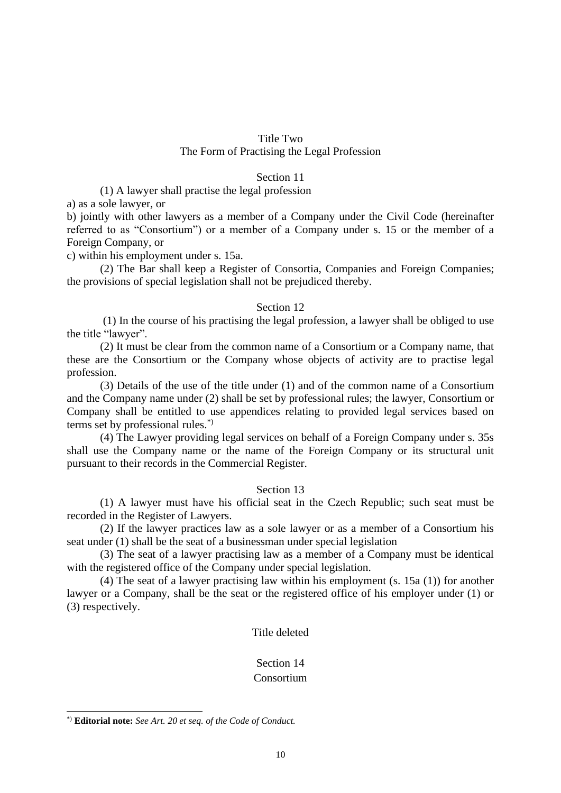# Title Two The Form of Practising the Legal Profession

# Section 11

(1) A lawyer shall practise the legal profession

a) as a sole lawyer, or

b) jointly with other lawyers as a member of a Company under the Civil Code (hereinafter referred to as "Consortium") or a member of a Company under s. 15 or the member of a Foreign Company, or

c) within his employment under s. 15a.

(2) The Bar shall keep a Register of Consortia, Companies and Foreign Companies; the provisions of special legislation shall not be prejudiced thereby.

# Section 12

(1) In the course of his practising the legal profession, a lawyer shall be obliged to use the title "lawyer".

(2) It must be clear from the common name of a Consortium or a Company name, that these are the Consortium or the Company whose objects of activity are to practise legal profession.

(3) Details of the use of the title under (1) and of the common name of a Consortium and the Company name under (2) shall be set by professional rules; the lawyer, Consortium or Company shall be entitled to use appendices relating to provided legal services based on terms set by professional rules.\*)

(4) The Lawyer providing legal services on behalf of a Foreign Company under s. 35s shall use the Company name or the name of the Foreign Company or its structural unit pursuant to their records in the Commercial Register.

# Section 13

(1) A lawyer must have his official seat in the Czech Republic; such seat must be recorded in the Register of Lawyers.

(2) If the lawyer practices law as a sole lawyer or as a member of a Consortium his seat under (1) shall be the seat of a businessman under special legislation

(3) The seat of a lawyer practising law as a member of a Company must be identical with the registered office of the Company under special legislation.

(4) The seat of a lawyer practising law within his employment (s. 15a (1)) for another lawyer or a Company, shall be the seat or the registered office of his employer under (1) or (3) respectively.

# Title deleted

# Section 14

# Consortium

<sup>\*)</sup> **Editorial note:** *See Art. 20 et seq. of the Code of Conduct.*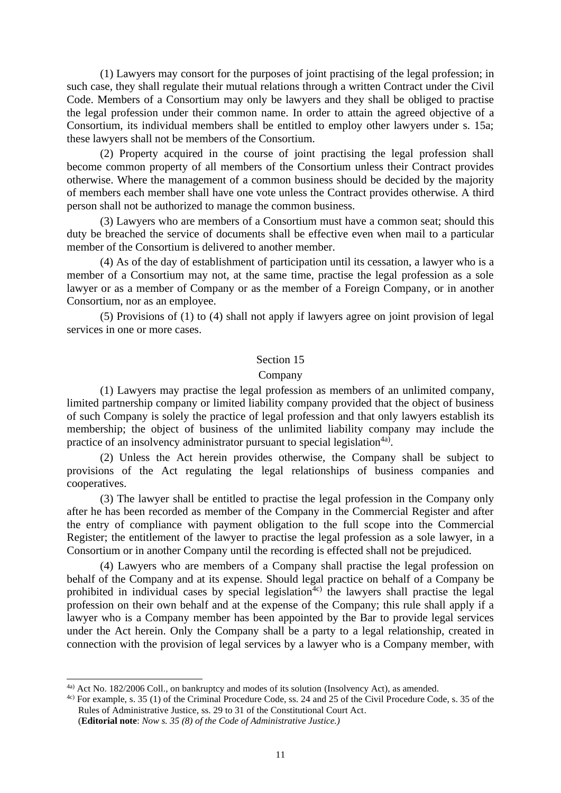(1) Lawyers may consort for the purposes of joint practising of the legal profession; in such case, they shall regulate their mutual relations through a written Contract under the Civil Code. Members of a Consortium may only be lawyers and they shall be obliged to practise the legal profession under their common name. In order to attain the agreed objective of a Consortium, its individual members shall be entitled to employ other lawyers under s. 15a; these lawyers shall not be members of the Consortium.

(2) Property acquired in the course of joint practising the legal profession shall become common property of all members of the Consortium unless their Contract provides otherwise. Where the management of a common business should be decided by the majority of members each member shall have one vote unless the Contract provides otherwise. A third person shall not be authorized to manage the common business.

(3) Lawyers who are members of a Consortium must have a common seat; should this duty be breached the service of documents shall be effective even when mail to a particular member of the Consortium is delivered to another member.

(4) As of the day of establishment of participation until its cessation, a lawyer who is a member of a Consortium may not, at the same time, practise the legal profession as a sole lawyer or as a member of Company or as the member of a Foreign Company, or in another Consortium, nor as an employee.

(5) Provisions of (1) to (4) shall not apply if lawyers agree on joint provision of legal services in one or more cases.

#### Section 15

#### Company

(1) Lawyers may practise the legal profession as members of an unlimited company, limited partnership company or limited liability company provided that the object of business of such Company is solely the practice of legal profession and that only lawyers establish its membership; the object of business of the unlimited liability company may include the practice of an insolvency administrator pursuant to special legislation<sup>4a)</sup>.

(2) Unless the Act herein provides otherwise, the Company shall be subject to provisions of the Act regulating the legal relationships of business companies and cooperatives.

(3) The lawyer shall be entitled to practise the legal profession in the Company only after he has been recorded as member of the Company in the Commercial Register and after the entry of compliance with payment obligation to the full scope into the Commercial Register; the entitlement of the lawyer to practise the legal profession as a sole lawyer, in a Consortium or in another Company until the recording is effected shall not be prejudiced.

(4) Lawyers who are members of a Company shall practise the legal profession on behalf of the Company and at its expense. Should legal practice on behalf of a Company be prohibited in individual cases by special legislation<sup>4c)</sup> the lawyers shall practise the legal profession on their own behalf and at the expense of the Company; this rule shall apply if a lawyer who is a Company member has been appointed by the Bar to provide legal services under the Act herein. Only the Company shall be a party to a legal relationship, created in connection with the provision of legal services by a lawyer who is a Company member, with

<sup>4</sup>a) Act No. 182/2006 Coll., on bankruptcy and modes of its solution (Insolvency Act), as amended.

<sup>4</sup>c) For example, s. 35 (1) of the Criminal Procedure Code, ss. 24 and 25 of the Civil Procedure Code, s. 35 of the Rules of Administrative Justice, ss. 29 to 31 of the Constitutional Court Act. (**Editorial note**: *Now s. 35 (8) of the Code of Administrative Justice.)*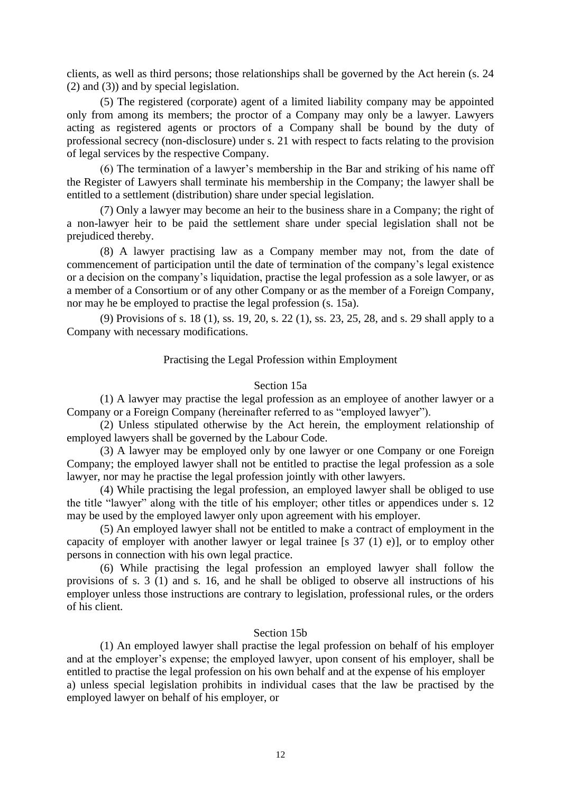clients, as well as third persons; those relationships shall be governed by the Act herein (s. 24 (2) and (3)) and by special legislation.

(5) The registered (corporate) agent of a limited liability company may be appointed only from among its members; the proctor of a Company may only be a lawyer. Lawyers acting as registered agents or proctors of a Company shall be bound by the duty of professional secrecy (non-disclosure) under s. 21 with respect to facts relating to the provision of legal services by the respective Company.

(6) The termination of a lawyer's membership in the Bar and striking of his name off the Register of Lawyers shall terminate his membership in the Company; the lawyer shall be entitled to a settlement (distribution) share under special legislation.

(7) Only a lawyer may become an heir to the business share in a Company; the right of a non-lawyer heir to be paid the settlement share under special legislation shall not be prejudiced thereby.

(8) A lawyer practising law as a Company member may not, from the date of commencement of participation until the date of termination of the company's legal existence or a decision on the company's liquidation, practise the legal profession as a sole lawyer, or as a member of a Consortium or of any other Company or as the member of a Foreign Company, nor may he be employed to practise the legal profession (s. 15a).

(9) Provisions of s. 18 (1), ss. 19, 20, s. 22 (1), ss. 23, 25, 28, and s. 29 shall apply to a Company with necessary modifications.

# Practising the Legal Profession within Employment

# Section 15a

(1) A lawyer may practise the legal profession as an employee of another lawyer or a Company or a Foreign Company (hereinafter referred to as "employed lawyer").

(2) Unless stipulated otherwise by the Act herein, the employment relationship of employed lawyers shall be governed by the Labour Code.

(3) A lawyer may be employed only by one lawyer or one Company or one Foreign Company; the employed lawyer shall not be entitled to practise the legal profession as a sole lawyer, nor may he practise the legal profession jointly with other lawyers.

(4) While practising the legal profession, an employed lawyer shall be obliged to use the title "lawyer" along with the title of his employer; other titles or appendices under s. 12 may be used by the employed lawyer only upon agreement with his employer.

(5) An employed lawyer shall not be entitled to make a contract of employment in the capacity of employer with another lawyer or legal trainee [s 37 (1) e)], or to employ other persons in connection with his own legal practice.

(6) While practising the legal profession an employed lawyer shall follow the provisions of s. 3 (1) and s. 16, and he shall be obliged to observe all instructions of his employer unless those instructions are contrary to legislation, professional rules, or the orders of his client.

# Section 15b

(1) An employed lawyer shall practise the legal profession on behalf of his employer and at the employer's expense; the employed lawyer, upon consent of his employer, shall be entitled to practise the legal profession on his own behalf and at the expense of his employer a) unless special legislation prohibits in individual cases that the law be practised by the employed lawyer on behalf of his employer, or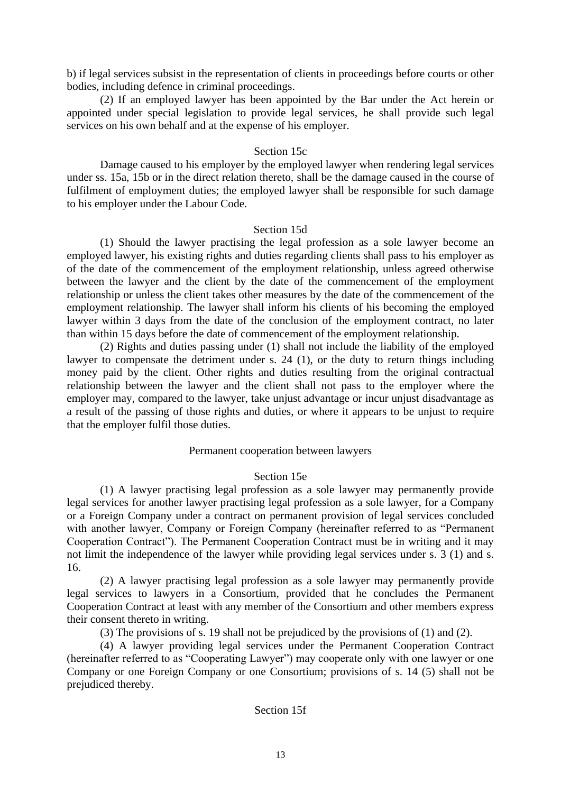b) if legal services subsist in the representation of clients in proceedings before courts or other bodies, including defence in criminal proceedings.

(2) If an employed lawyer has been appointed by the Bar under the Act herein or appointed under special legislation to provide legal services, he shall provide such legal services on his own behalf and at the expense of his employer.

# Section 15c

Damage caused to his employer by the employed lawyer when rendering legal services under ss. 15a, 15b or in the direct relation thereto, shall be the damage caused in the course of fulfilment of employment duties; the employed lawyer shall be responsible for such damage to his employer under the Labour Code.

# Section 15d

(1) Should the lawyer practising the legal profession as a sole lawyer become an employed lawyer, his existing rights and duties regarding clients shall pass to his employer as of the date of the commencement of the employment relationship, unless agreed otherwise between the lawyer and the client by the date of the commencement of the employment relationship or unless the client takes other measures by the date of the commencement of the employment relationship. The lawyer shall inform his clients of his becoming the employed lawyer within 3 days from the date of the conclusion of the employment contract, no later than within 15 days before the date of commencement of the employment relationship.

(2) Rights and duties passing under (1) shall not include the liability of the employed lawyer to compensate the detriment under s. 24 (1), or the duty to return things including money paid by the client. Other rights and duties resulting from the original contractual relationship between the lawyer and the client shall not pass to the employer where the employer may, compared to the lawyer, take unjust advantage or incur unjust disadvantage as a result of the passing of those rights and duties, or where it appears to be unjust to require that the employer fulfil those duties.

# Permanent cooperation between lawyers

# Section 15e

(1) A lawyer practising legal profession as a sole lawyer may permanently provide legal services for another lawyer practising legal profession as a sole lawyer, for a Company or a Foreign Company under a contract on permanent provision of legal services concluded with another lawyer, Company or Foreign Company (hereinafter referred to as "Permanent Cooperation Contract"). The Permanent Cooperation Contract must be in writing and it may not limit the independence of the lawyer while providing legal services under s. 3 (1) and s. 16.

(2) A lawyer practising legal profession as a sole lawyer may permanently provide legal services to lawyers in a Consortium, provided that he concludes the Permanent Cooperation Contract at least with any member of the Consortium and other members express their consent thereto in writing.

(3) The provisions of s. 19 shall not be prejudiced by the provisions of (1) and (2).

(4) A lawyer providing legal services under the Permanent Cooperation Contract (hereinafter referred to as "Cooperating Lawyer") may cooperate only with one lawyer or one Company or one Foreign Company or one Consortium; provisions of s. 14 (5) shall not be prejudiced thereby.

# Section 15f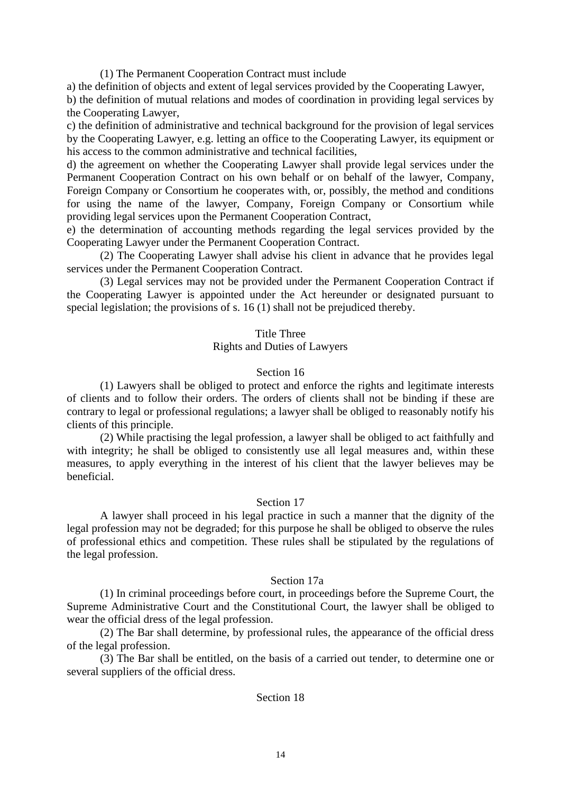(1) The Permanent Cooperation Contract must include

a) the definition of objects and extent of legal services provided by the Cooperating Lawyer, b) the definition of mutual relations and modes of coordination in providing legal services by

the Cooperating Lawyer,

c) the definition of administrative and technical background for the provision of legal services by the Cooperating Lawyer, e.g. letting an office to the Cooperating Lawyer, its equipment or his access to the common administrative and technical facilities,

d) the agreement on whether the Cooperating Lawyer shall provide legal services under the Permanent Cooperation Contract on his own behalf or on behalf of the lawyer, Company, Foreign Company or Consortium he cooperates with, or, possibly, the method and conditions for using the name of the lawyer, Company, Foreign Company or Consortium while providing legal services upon the Permanent Cooperation Contract,

e) the determination of accounting methods regarding the legal services provided by the Cooperating Lawyer under the Permanent Cooperation Contract.

(2) The Cooperating Lawyer shall advise his client in advance that he provides legal services under the Permanent Cooperation Contract.

(3) Legal services may not be provided under the Permanent Cooperation Contract if the Cooperating Lawyer is appointed under the Act hereunder or designated pursuant to special legislation; the provisions of s. 16 (1) shall not be prejudiced thereby.

# Title Three

# Rights and Duties of Lawyers

#### Section 16

(1) Lawyers shall be obliged to protect and enforce the rights and legitimate interests of clients and to follow their orders. The orders of clients shall not be binding if these are contrary to legal or professional regulations; a lawyer shall be obliged to reasonably notify his clients of this principle.

(2) While practising the legal profession, a lawyer shall be obliged to act faithfully and with integrity; he shall be obliged to consistently use all legal measures and, within these measures, to apply everything in the interest of his client that the lawyer believes may be beneficial.

#### Section 17

A lawyer shall proceed in his legal practice in such a manner that the dignity of the legal profession may not be degraded; for this purpose he shall be obliged to observe the rules of professional ethics and competition. These rules shall be stipulated by the regulations of the legal profession.

#### Section 17a

(1) In criminal proceedings before court, in proceedings before the Supreme Court, the Supreme Administrative Court and the Constitutional Court, the lawyer shall be obliged to wear the official dress of the legal profession.

(2) The Bar shall determine, by professional rules, the appearance of the official dress of the legal profession.

(3) The Bar shall be entitled, on the basis of a carried out tender, to determine one or several suppliers of the official dress.

# Section 18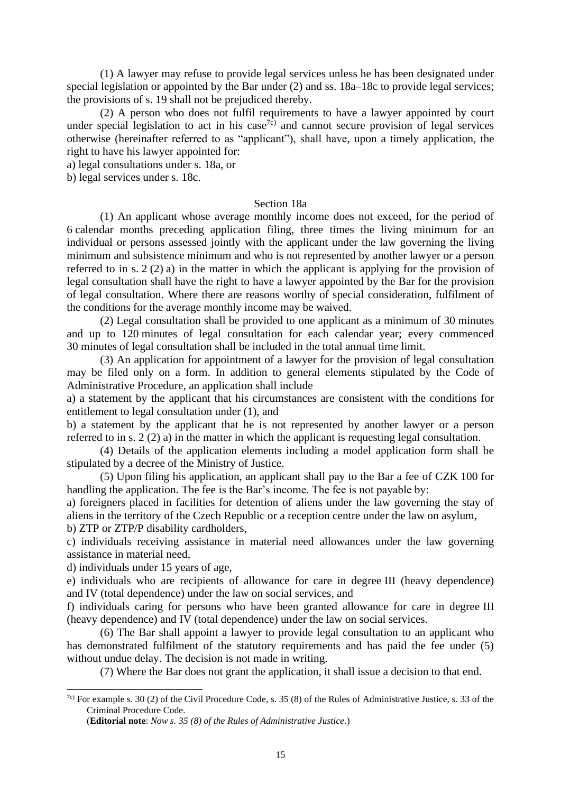(1) A lawyer may refuse to provide legal services unless he has been designated under special legislation or appointed by the Bar under (2) and ss. 18a–18c to provide legal services; the provisions of s. 19 shall not be prejudiced thereby.

(2) A person who does not fulfil requirements to have a lawyer appointed by court under special legislation to act in his case<sup>7c)</sup> and cannot secure provision of legal services otherwise (hereinafter referred to as "applicant"), shall have, upon a timely application, the right to have his lawyer appointed for:

a) legal consultations under s. 18a, or

b) legal services under s. 18c.

#### Section 18a

(1) An applicant whose average monthly income does not exceed, for the period of 6 calendar months preceding application filing, three times the living minimum for an individual or persons assessed jointly with the applicant under the law governing the living minimum and subsistence minimum and who is not represented by another lawyer or a person referred to in s. 2 (2) a) in the matter in which the applicant is applying for the provision of legal consultation shall have the right to have a lawyer appointed by the Bar for the provision of legal consultation. Where there are reasons worthy of special consideration, fulfilment of the conditions for the average monthly income may be waived.

(2) Legal consultation shall be provided to one applicant as a minimum of 30 minutes and up to 120 minutes of legal consultation for each calendar year; every commenced 30 minutes of legal consultation shall be included in the total annual time limit.

(3) An application for appointment of a lawyer for the provision of legal consultation may be filed only on a form. In addition to general elements stipulated by the Code of Administrative Procedure, an application shall include

a) a statement by the applicant that his circumstances are consistent with the conditions for entitlement to legal consultation under (1), and

b) a statement by the applicant that he is not represented by another lawyer or a person referred to in s. 2 (2) a) in the matter in which the applicant is requesting legal consultation.

(4) Details of the application elements including a model application form shall be stipulated by a decree of the Ministry of Justice.

(5) Upon filing his application, an applicant shall pay to the Bar a fee of CZK 100 for handling the application. The fee is the Bar's income. The fee is not payable by:

a) foreigners placed in facilities for detention of aliens under the law governing the stay of aliens in the territory of the Czech Republic or a reception centre under the law on asylum,

b) ZTP or ZTP/P disability cardholders,

c) individuals receiving assistance in material need allowances under the law governing assistance in material need,

d) individuals under 15 years of age,

e) individuals who are recipients of allowance for care in degree III (heavy dependence) and IV (total dependence) under the law on social services, and

f) individuals caring for persons who have been granted allowance for care in degree III (heavy dependence) and IV (total dependence) under the law on social services.

(6) The Bar shall appoint a lawyer to provide legal consultation to an applicant who has demonstrated fulfilment of the statutory requirements and has paid the fee under (5) without undue delay. The decision is not made in writing.

(7) Where the Bar does not grant the application, it shall issue a decision to that end.

 $7c$ ) For example s. 30 (2) of the Civil Procedure Code, s. 35 (8) of the Rules of Administrative Justice, s. 33 of the Criminal Procedure Code.

<sup>(</sup>**Editorial note**: *Now s. 35 (8) of the Rules of Administrative Justice*.)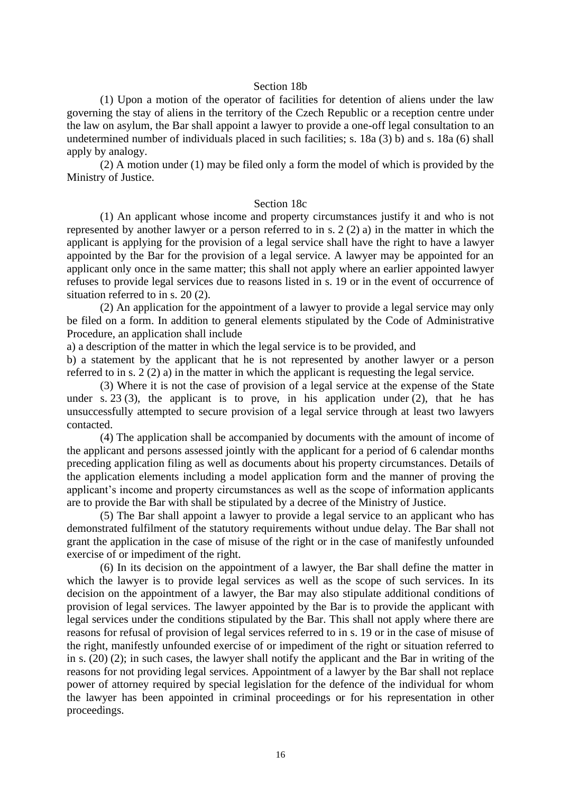#### Section 18b

(1) Upon a motion of the operator of facilities for detention of aliens under the law governing the stay of aliens in the territory of the Czech Republic or a reception centre under the law on asylum, the Bar shall appoint a lawyer to provide a one-off legal consultation to an undetermined number of individuals placed in such facilities; s. 18a (3) b) and s. 18a (6) shall apply by analogy.

(2) A motion under (1) may be filed only a form the model of which is provided by the Ministry of Justice.

#### Section 18c

(1) An applicant whose income and property circumstances justify it and who is not represented by another lawyer or a person referred to in s. 2 (2) a) in the matter in which the applicant is applying for the provision of a legal service shall have the right to have a lawyer appointed by the Bar for the provision of a legal service. A lawyer may be appointed for an applicant only once in the same matter; this shall not apply where an earlier appointed lawyer refuses to provide legal services due to reasons listed in s. 19 or in the event of occurrence of situation referred to in s. 20 (2).

(2) An application for the appointment of a lawyer to provide a legal service may only be filed on a form. In addition to general elements stipulated by the Code of Administrative Procedure, an application shall include

a) a description of the matter in which the legal service is to be provided, and

b) a statement by the applicant that he is not represented by another lawyer or a person referred to in s. 2 (2) a) in the matter in which the applicant is requesting the legal service.

(3) Where it is not the case of provision of a legal service at the expense of the State under s. 23 (3), the applicant is to prove, in his application under  $(2)$ , that he has unsuccessfully attempted to secure provision of a legal service through at least two lawyers contacted.

(4) The application shall be accompanied by documents with the amount of income of the applicant and persons assessed jointly with the applicant for a period of 6 calendar months preceding application filing as well as documents about his property circumstances. Details of the application elements including a model application form and the manner of proving the applicant's income and property circumstances as well as the scope of information applicants are to provide the Bar with shall be stipulated by a decree of the Ministry of Justice.

(5) The Bar shall appoint a lawyer to provide a legal service to an applicant who has demonstrated fulfilment of the statutory requirements without undue delay. The Bar shall not grant the application in the case of misuse of the right or in the case of manifestly unfounded exercise of or impediment of the right.

(6) In its decision on the appointment of a lawyer, the Bar shall define the matter in which the lawyer is to provide legal services as well as the scope of such services. In its decision on the appointment of a lawyer, the Bar may also stipulate additional conditions of provision of legal services. The lawyer appointed by the Bar is to provide the applicant with legal services under the conditions stipulated by the Bar. This shall not apply where there are reasons for refusal of provision of legal services referred to in s. 19 or in the case of misuse of the right, manifestly unfounded exercise of or impediment of the right or situation referred to in s. (20) (2); in such cases, the lawyer shall notify the applicant and the Bar in writing of the reasons for not providing legal services. Appointment of a lawyer by the Bar shall not replace power of attorney required by special legislation for the defence of the individual for whom the lawyer has been appointed in criminal proceedings or for his representation in other proceedings.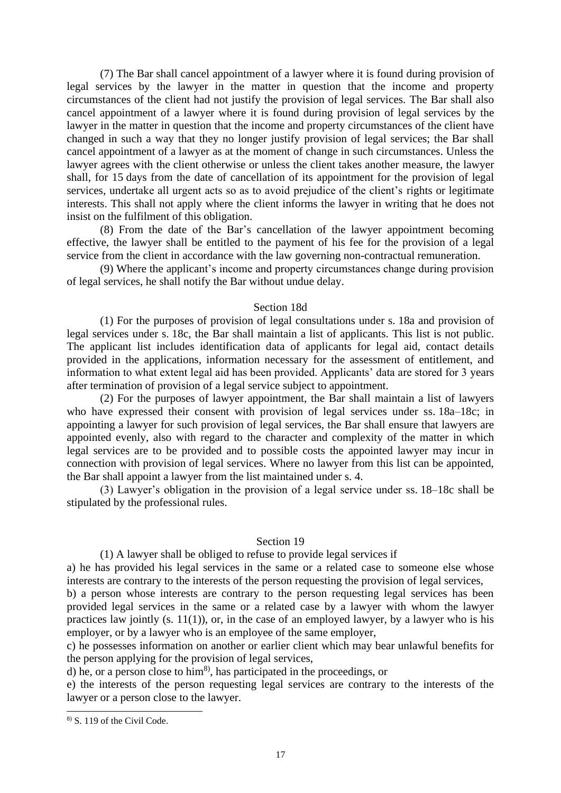(7) The Bar shall cancel appointment of a lawyer where it is found during provision of legal services by the lawyer in the matter in question that the income and property circumstances of the client had not justify the provision of legal services. The Bar shall also cancel appointment of a lawyer where it is found during provision of legal services by the lawyer in the matter in question that the income and property circumstances of the client have changed in such a way that they no longer justify provision of legal services; the Bar shall cancel appointment of a lawyer as at the moment of change in such circumstances. Unless the lawyer agrees with the client otherwise or unless the client takes another measure, the lawyer shall, for 15 days from the date of cancellation of its appointment for the provision of legal services, undertake all urgent acts so as to avoid prejudice of the client's rights or legitimate interests. This shall not apply where the client informs the lawyer in writing that he does not insist on the fulfilment of this obligation.

(8) From the date of the Bar's cancellation of the lawyer appointment becoming effective, the lawyer shall be entitled to the payment of his fee for the provision of a legal service from the client in accordance with the law governing non-contractual remuneration.

(9) Where the applicant's income and property circumstances change during provision of legal services, he shall notify the Bar without undue delay.

# Section 18d

(1) For the purposes of provision of legal consultations under s. 18a and provision of legal services under s. 18c, the Bar shall maintain a list of applicants. This list is not public. The applicant list includes identification data of applicants for legal aid, contact details provided in the applications, information necessary for the assessment of entitlement, and information to what extent legal aid has been provided. Applicants' data are stored for 3 years after termination of provision of a legal service subject to appointment.

(2) For the purposes of lawyer appointment, the Bar shall maintain a list of lawyers who have expressed their consent with provision of legal services under ss. 18a–18c; in appointing a lawyer for such provision of legal services, the Bar shall ensure that lawyers are appointed evenly, also with regard to the character and complexity of the matter in which legal services are to be provided and to possible costs the appointed lawyer may incur in connection with provision of legal services. Where no lawyer from this list can be appointed, the Bar shall appoint a lawyer from the list maintained under s. 4.

(3) Lawyer's obligation in the provision of a legal service under ss. 18–18c shall be stipulated by the professional rules.

#### Section 19

# (1) A lawyer shall be obliged to refuse to provide legal services if

a) he has provided his legal services in the same or a related case to someone else whose interests are contrary to the interests of the person requesting the provision of legal services,

b) a person whose interests are contrary to the person requesting legal services has been provided legal services in the same or a related case by a lawyer with whom the lawyer practices law jointly (s. 11(1)), or, in the case of an employed lawyer, by a lawyer who is his employer, or by a lawyer who is an employee of the same employer,

c) he possesses information on another or earlier client which may bear unlawful benefits for the person applying for the provision of legal services,

d) he, or a person close to  $\lim^{8}$ , has participated in the proceedings, or

e) the interests of the person requesting legal services are contrary to the interests of the lawyer or a person close to the lawyer.

<sup>8)</sup> S. 119 of the Civil Code.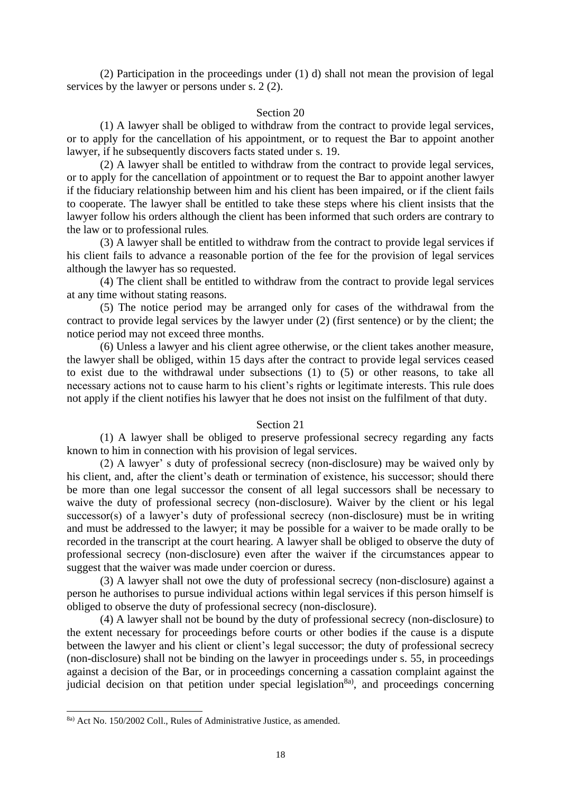(2) Participation in the proceedings under (1) d) shall not mean the provision of legal services by the lawyer or persons under s. 2 (2).

#### Section 20

(1) A lawyer shall be obliged to withdraw from the contract to provide legal services, or to apply for the cancellation of his appointment, or to request the Bar to appoint another lawyer, if he subsequently discovers facts stated under s. 19.

(2) A lawyer shall be entitled to withdraw from the contract to provide legal services, or to apply for the cancellation of appointment or to request the Bar to appoint another lawyer if the fiduciary relationship between him and his client has been impaired, or if the client fails to cooperate. The lawyer shall be entitled to take these steps where his client insists that the lawyer follow his orders although the client has been informed that such orders are contrary to the law or to professional rules*.*

(3) A lawyer shall be entitled to withdraw from the contract to provide legal services if his client fails to advance a reasonable portion of the fee for the provision of legal services although the lawyer has so requested.

(4) The client shall be entitled to withdraw from the contract to provide legal services at any time without stating reasons.

(5) The notice period may be arranged only for cases of the withdrawal from the contract to provide legal services by the lawyer under (2) (first sentence) or by the client; the notice period may not exceed three months.

(6) Unless a lawyer and his client agree otherwise, or the client takes another measure, the lawyer shall be obliged, within 15 days after the contract to provide legal services ceased to exist due to the withdrawal under subsections (1) to (5) or other reasons, to take all necessary actions not to cause harm to his client's rights or legitimate interests. This rule does not apply if the client notifies his lawyer that he does not insist on the fulfilment of that duty.

#### Section 21

(1) A lawyer shall be obliged to preserve professional secrecy regarding any facts known to him in connection with his provision of legal services.

(2) A lawyer' s duty of professional secrecy (non-disclosure) may be waived only by his client, and, after the client's death or termination of existence, his successor; should there be more than one legal successor the consent of all legal successors shall be necessary to waive the duty of professional secrecy (non-disclosure). Waiver by the client or his legal successor(s) of a lawyer's duty of professional secrecy (non-disclosure) must be in writing and must be addressed to the lawyer; it may be possible for a waiver to be made orally to be recorded in the transcript at the court hearing. A lawyer shall be obliged to observe the duty of professional secrecy (non-disclosure) even after the waiver if the circumstances appear to suggest that the waiver was made under coercion or duress.

(3) A lawyer shall not owe the duty of professional secrecy (non-disclosure) against a person he authorises to pursue individual actions within legal services if this person himself is obliged to observe the duty of professional secrecy (non-disclosure).

(4) A lawyer shall not be bound by the duty of professional secrecy (non-disclosure) to the extent necessary for proceedings before courts or other bodies if the cause is a dispute between the lawyer and his client or client's legal successor; the duty of professional secrecy (non-disclosure) shall not be binding on the lawyer in proceedings under s. 55, in proceedings against a decision of the Bar, or in proceedings concerning a cassation complaint against the judicial decision on that petition under special legislation<sup>8a)</sup>, and proceedings concerning

<sup>8</sup>a) Act No. 150/2002 Coll., Rules of Administrative Justice, as amended.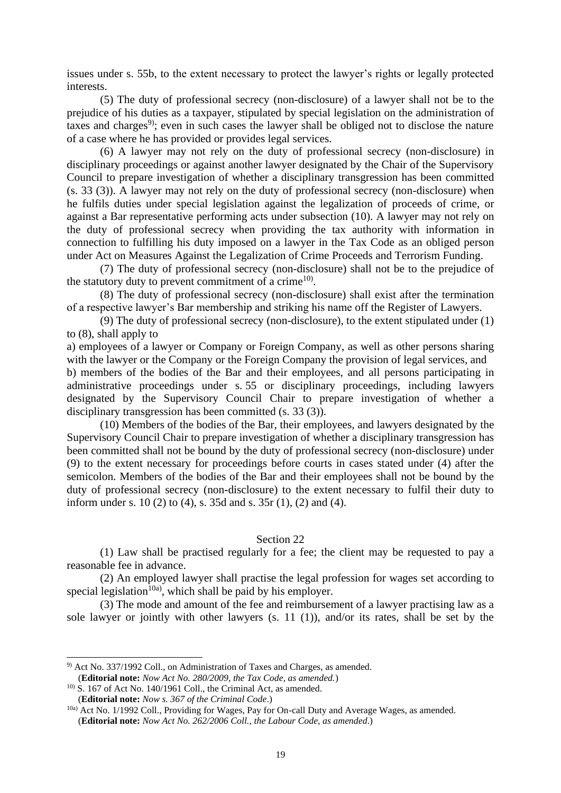issues under s. 55b, to the extent necessary to protect the lawyer's rights or legally protected interests.

(5) The duty of professional secrecy (non-disclosure) of a lawyer shall not be to the prejudice of his duties as a taxpayer, stipulated by special legislation on the administration of taxes and charges<sup>9</sup>; even in such cases the lawyer shall be obliged not to disclose the nature of a case where he has provided or provides legal services.

(6) A lawyer may not rely on the duty of professional secrecy (non-disclosure) in disciplinary proceedings or against another lawyer designated by the Chair of the Supervisory Council to prepare investigation of whether a disciplinary transgression has been committed (s. 33 (3)). A lawyer may not rely on the duty of professional secrecy (non-disclosure) when he fulfils duties under special legislation against the legalization of proceeds of crime, or against a Bar representative performing acts under subsection (10). A lawyer may not rely on the duty of professional secrecy when providing the tax authority with information in connection to fulfilling his duty imposed on a lawyer in the Tax Code as an obliged person under Act on Measures Against the Legalization of Crime Proceeds and Terrorism Funding.

(7) The duty of professional secrecy (non-disclosure) shall not be to the prejudice of the statutory duty to prevent commitment of a crime<sup>10)</sup>.

(8) The duty of professional secrecy (non-disclosure) shall exist after the termination of a respective lawyer's Bar membership and striking his name off the Register of Lawyers.

(9) The duty of professional secrecy (non-disclosure), to the extent stipulated under (1) to (8), shall apply to

a) employees of a lawyer or Company or Foreign Company, as well as other persons sharing with the lawyer or the Company or the Foreign Company the provision of legal services, and

b) members of the bodies of the Bar and their employees, and all persons participating in administrative proceedings under s. 55 or disciplinary proceedings, including lawyers designated by the Supervisory Council Chair to prepare investigation of whether a disciplinary transgression has been committed (s. 33 (3)).

(10) Members of the bodies of the Bar, their employees, and lawyers designated by the Supervisory Council Chair to prepare investigation of whether a disciplinary transgression has been committed shall not be bound by the duty of professional secrecy (non-disclosure) under (9) to the extent necessary for proceedings before courts in cases stated under (4) after the semicolon. Members of the bodies of the Bar and their employees shall not be bound by the duty of professional secrecy (non-disclosure) to the extent necessary to fulfil their duty to inform under s. 10 (2) to (4), s. 35d and s. 35r (1), (2) and (4).

#### Section 22

(1) Law shall be practised regularly for a fee; the client may be requested to pay a reasonable fee in advance.

(2) An employed lawyer shall practise the legal profession for wages set according to special legislation<sup>10a</sup>, which shall be paid by his employer.

(3) The mode and amount of the fee and reimbursement of a lawyer practising law as a sole lawyer or jointly with other lawyers (s. 11 (1)), and/or its rates, shall be set by the

<sup>9)</sup> Act No. 337/1992 Coll., on Administration of Taxes and Charges, as amended. (**Editorial note:** *Now Act No. 280/2009, the Tax Code, as amended.*)

 $10)$  S. 167 of Act No. 140/1961 Coll., the Criminal Act, as amended.

<sup>(</sup>**Editorial note:** *Now s. 367 of the Criminal Code*.)

<sup>&</sup>lt;sup>10a)</sup> Act No. 1/1992 Coll., Providing for Wages, Pay for On-call Duty and Average Wages, as amended. (**Editorial note:** *Now Act No. 262/2006 Coll., the Labour Code, as amended*.)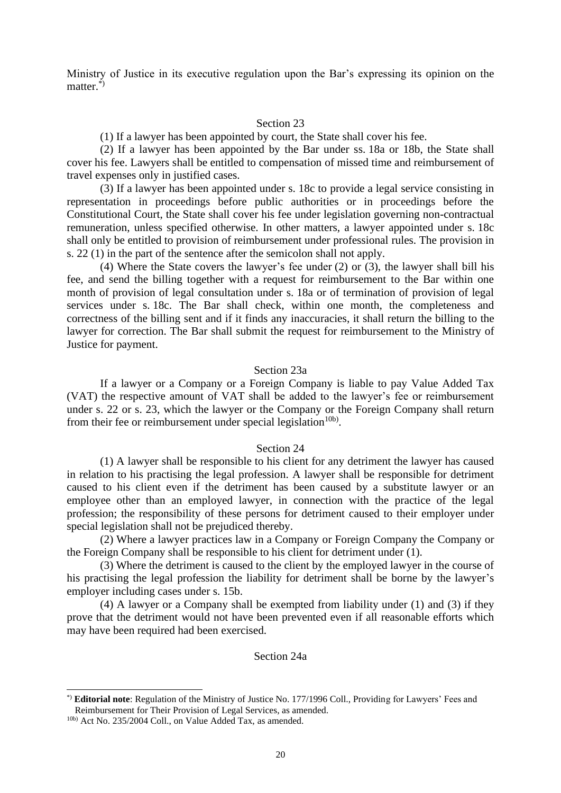Ministry of Justice in its executive regulation upon the Bar's expressing its opinion on the matter.\*)

#### Section 23

(1) If a lawyer has been appointed by court, the State shall cover his fee.

(2) If a lawyer has been appointed by the Bar under ss. 18a or 18b, the State shall cover his fee. Lawyers shall be entitled to compensation of missed time and reimbursement of travel expenses only in justified cases.

(3) If a lawyer has been appointed under s. 18c to provide a legal service consisting in representation in proceedings before public authorities or in proceedings before the Constitutional Court, the State shall cover his fee under legislation governing non-contractual remuneration, unless specified otherwise. In other matters, a lawyer appointed under s. 18c shall only be entitled to provision of reimbursement under professional rules. The provision in s. 22 (1) in the part of the sentence after the semicolon shall not apply.

(4) Where the State covers the lawyer's fee under (2) or (3), the lawyer shall bill his fee, and send the billing together with a request for reimbursement to the Bar within one month of provision of legal consultation under s. 18a or of termination of provision of legal services under s. 18c. The Bar shall check, within one month, the completeness and correctness of the billing sent and if it finds any inaccuracies, it shall return the billing to the lawyer for correction. The Bar shall submit the request for reimbursement to the Ministry of Justice for payment.

#### Section 23a

If a lawyer or a Company or a Foreign Company is liable to pay Value Added Tax (VAT) the respective amount of VAT shall be added to the lawyer's fee or reimbursement under s. 22 or s. 23, which the lawyer or the Company or the Foreign Company shall return from their fee or reimbursement under special legislation<sup>10b)</sup>.

# Section 24

(1) A lawyer shall be responsible to his client for any detriment the lawyer has caused in relation to his practising the legal profession. A lawyer shall be responsible for detriment caused to his client even if the detriment has been caused by a substitute lawyer or an employee other than an employed lawyer, in connection with the practice of the legal profession; the responsibility of these persons for detriment caused to their employer under special legislation shall not be prejudiced thereby.

(2) Where a lawyer practices law in a Company or Foreign Company the Company or the Foreign Company shall be responsible to his client for detriment under (1).

(3) Where the detriment is caused to the client by the employed lawyer in the course of his practising the legal profession the liability for detriment shall be borne by the lawyer's employer including cases under s. 15b.

(4) A lawyer or a Company shall be exempted from liability under (1) and (3) if they prove that the detriment would not have been prevented even if all reasonable efforts which may have been required had been exercised.

# Section 24a

<sup>\*)</sup> **Editorial note**: Regulation of the Ministry of Justice No. 177/1996 Coll., Providing for Lawyers' Fees and Reimbursement for Their Provision of Legal Services, as amended.

<sup>10</sup>b) Act No. 235/2004 Coll., on Value Added Tax, as amended.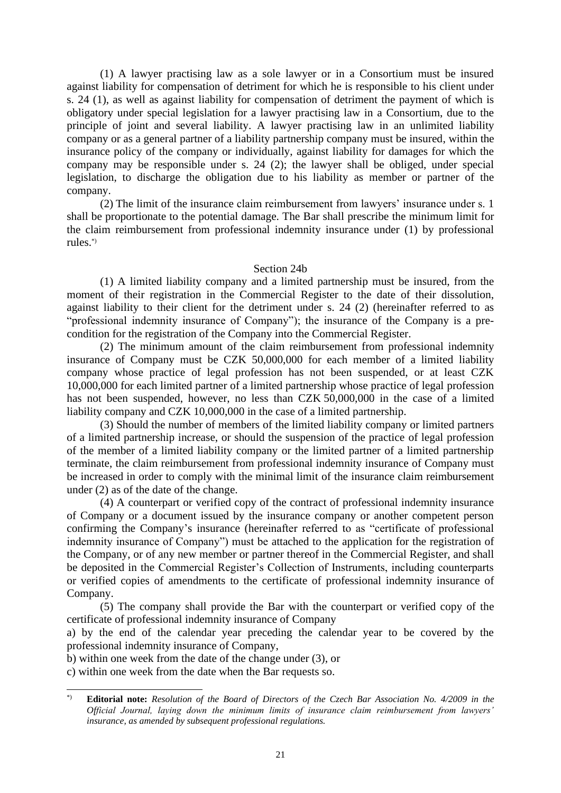(1) A lawyer practising law as a sole lawyer or in a Consortium must be insured against liability for compensation of detriment for which he is responsible to his client under s. 24 (1), as well as against liability for compensation of detriment the payment of which is obligatory under special legislation for a lawyer practising law in a Consortium, due to the principle of joint and several liability. A lawyer practising law in an unlimited liability company or as a general partner of a liability partnership company must be insured, within the insurance policy of the company or individually, against liability for damages for which the company may be responsible under s. 24 (2); the lawyer shall be obliged, under special legislation, to discharge the obligation due to his liability as member or partner of the company.

(2) The limit of the insurance claim reimbursement from lawyers' insurance under s. 1 shall be proportionate to the potential damage. The Bar shall prescribe the minimum limit for the claim reimbursement from professional indemnity insurance under (1) by professional rules.\*)

# Section 24b

(1) A limited liability company and a limited partnership must be insured, from the moment of their registration in the Commercial Register to the date of their dissolution, against liability to their client for the detriment under s. 24 (2) (hereinafter referred to as "professional indemnity insurance of Company"); the insurance of the Company is a precondition for the registration of the Company into the Commercial Register.

(2) The minimum amount of the claim reimbursement from professional indemnity insurance of Company must be CZK 50,000,000 for each member of a limited liability company whose practice of legal profession has not been suspended, or at least CZK 10,000,000 for each limited partner of a limited partnership whose practice of legal profession has not been suspended, however, no less than CZK 50,000,000 in the case of a limited liability company and CZK 10,000,000 in the case of a limited partnership.

(3) Should the number of members of the limited liability company or limited partners of a limited partnership increase, or should the suspension of the practice of legal profession of the member of a limited liability company or the limited partner of a limited partnership terminate, the claim reimbursement from professional indemnity insurance of Company must be increased in order to comply with the minimal limit of the insurance claim reimbursement under (2) as of the date of the change.

(4) A counterpart or verified copy of the contract of professional indemnity insurance of Company or a document issued by the insurance company or another competent person confirming the Company's insurance (hereinafter referred to as "certificate of professional indemnity insurance of Company") must be attached to the application for the registration of the Company, or of any new member or partner thereof in the Commercial Register, and shall be deposited in the Commercial Register's Collection of Instruments, including counterparts or verified copies of amendments to the certificate of professional indemnity insurance of Company.

(5) The company shall provide the Bar with the counterpart or verified copy of the certificate of professional indemnity insurance of Company

a) by the end of the calendar year preceding the calendar year to be covered by the professional indemnity insurance of Company,

b) within one week from the date of the change under (3), or

c) within one week from the date when the Bar requests so.

<sup>\*)</sup> **Editorial note:** *Resolution of the Board of Directors of the Czech Bar Association No. 4/2009 in the Official Journal, laying down the minimum limits of insurance claim reimbursement from lawyers' insurance, as amended by subsequent professional regulations.*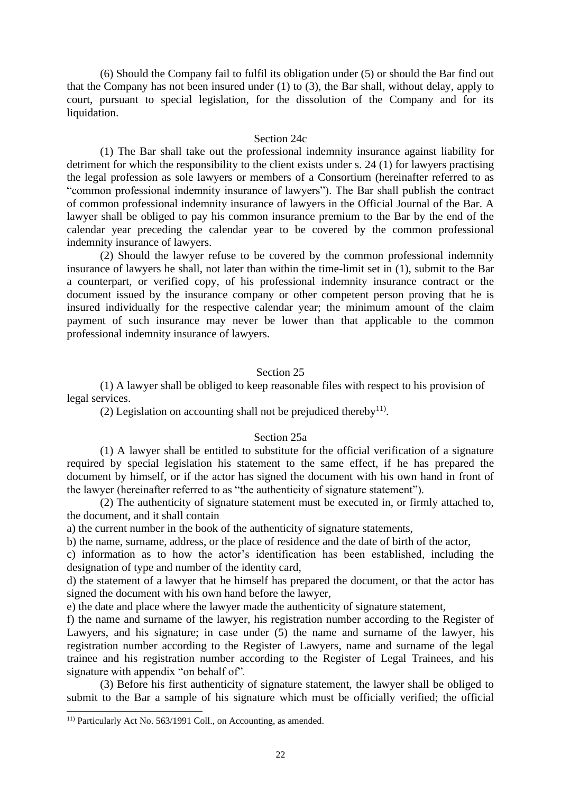(6) Should the Company fail to fulfil its obligation under (5) or should the Bar find out that the Company has not been insured under (1) to (3), the Bar shall, without delay, apply to court, pursuant to special legislation, for the dissolution of the Company and for its liquidation.

### Section 24c

(1) The Bar shall take out the professional indemnity insurance against liability for detriment for which the responsibility to the client exists under s. 24 (1) for lawyers practising the legal profession as sole lawyers or members of a Consortium (hereinafter referred to as "common professional indemnity insurance of lawyers"). The Bar shall publish the contract of common professional indemnity insurance of lawyers in the Official Journal of the Bar. A lawyer shall be obliged to pay his common insurance premium to the Bar by the end of the calendar year preceding the calendar year to be covered by the common professional indemnity insurance of lawyers.

(2) Should the lawyer refuse to be covered by the common professional indemnity insurance of lawyers he shall, not later than within the time-limit set in (1), submit to the Bar a counterpart, or verified copy, of his professional indemnity insurance contract or the document issued by the insurance company or other competent person proving that he is insured individually for the respective calendar year; the minimum amount of the claim payment of such insurance may never be lower than that applicable to the common professional indemnity insurance of lawyers.

#### Section 25

(1) A lawyer shall be obliged to keep reasonable files with respect to his provision of legal services.

(2) Legislation on accounting shall not be prejudiced thereby $^{11}$ .

#### Section 25a

(1) A lawyer shall be entitled to substitute for the official verification of a signature required by special legislation his statement to the same effect, if he has prepared the document by himself, or if the actor has signed the document with his own hand in front of the lawyer (hereinafter referred to as "the authenticity of signature statement").

(2) The authenticity of signature statement must be executed in, or firmly attached to, the document, and it shall contain

a) the current number in the book of the authenticity of signature statements,

b) the name, surname, address, or the place of residence and the date of birth of the actor,

c) information as to how the actor's identification has been established, including the designation of type and number of the identity card,

d) the statement of a lawyer that he himself has prepared the document, or that the actor has signed the document with his own hand before the lawyer,

e) the date and place where the lawyer made the authenticity of signature statement,

f) the name and surname of the lawyer, his registration number according to the Register of Lawyers, and his signature; in case under (5) the name and surname of the lawyer, his registration number according to the Register of Lawyers, name and surname of the legal trainee and his registration number according to the Register of Legal Trainees, and his signature with appendix "on behalf of"*.*

(3) Before his first authenticity of signature statement, the lawyer shall be obliged to submit to the Bar a sample of his signature which must be officially verified; the official

<sup>11)</sup> Particularly Act No. 563/1991 Coll., on Accounting, as amended.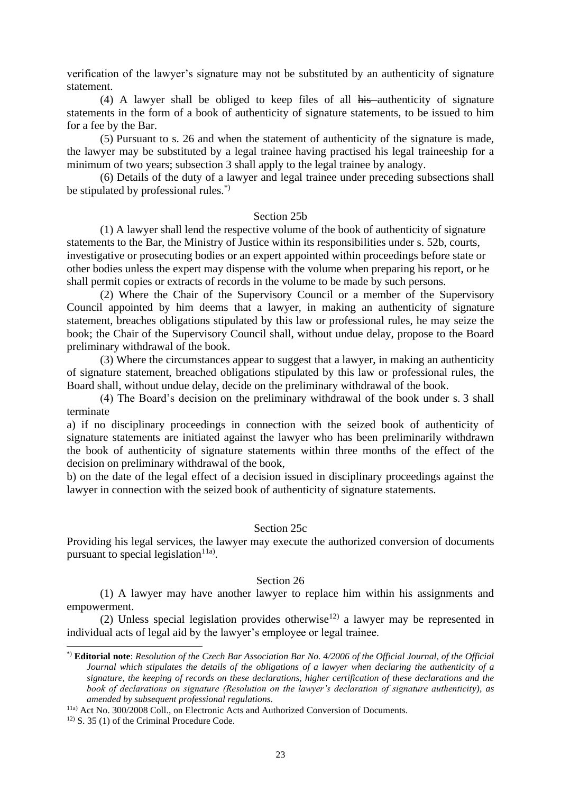verification of the lawyer's signature may not be substituted by an authenticity of signature statement.

(4) A lawyer shall be obliged to keep files of all his authenticity of signature statements in the form of a book of authenticity of signature statements, to be issued to him for a fee by the Bar.

(5) Pursuant to s. 26 and when the statement of authenticity of the signature is made, the lawyer may be substituted by a legal trainee having practised his legal traineeship for a minimum of two years; subsection 3 shall apply to the legal trainee by analogy.

(6) Details of the duty of a lawyer and legal trainee under preceding subsections shall be stipulated by professional rules.\*)

#### Section 25b

(1) A lawyer shall lend the respective volume of the book of authenticity of signature statements to the Bar, the Ministry of Justice within its responsibilities under s. 52b, courts, investigative or prosecuting bodies or an expert appointed within proceedings before state or other bodies unless the expert may dispense with the volume when preparing his report, or he shall permit copies or extracts of records in the volume to be made by such persons.

(2) Where the Chair of the Supervisory Council or a member of the Supervisory Council appointed by him deems that a lawyer, in making an authenticity of signature statement, breaches obligations stipulated by this law or professional rules, he may seize the book; the Chair of the Supervisory Council shall, without undue delay, propose to the Board preliminary withdrawal of the book.

(3) Where the circumstances appear to suggest that a lawyer, in making an authenticity of signature statement, breached obligations stipulated by this law or professional rules, the Board shall, without undue delay, decide on the preliminary withdrawal of the book.

(4) The Board's decision on the preliminary withdrawal of the book under s. 3 shall terminate

a) if no disciplinary proceedings in connection with the seized book of authenticity of signature statements are initiated against the lawyer who has been preliminarily withdrawn the book of authenticity of signature statements within three months of the effect of the decision on preliminary withdrawal of the book,

b) on the date of the legal effect of a decision issued in disciplinary proceedings against the lawyer in connection with the seized book of authenticity of signature statements.

#### Section 25c

Providing his legal services, the lawyer may execute the authorized conversion of documents pursuant to special legislation $11a$ .

# Section 26

(1) A lawyer may have another lawyer to replace him within his assignments and empowerment.

(2) Unless special legislation provides otherwise<sup>12)</sup> a lawyer may be represented in individual acts of legal aid by the lawyer's employee or legal trainee.

<sup>\*)</sup> **Editorial note**: *Resolution of the Czech Bar Association Bar No. 4/2006 of the Official Journal, of the Official Journal which stipulates the details of the obligations of a lawyer when declaring the authenticity of a signature, the keeping of records on these declarations, higher certification of these declarations and the book of declarations on signature (Resolution on the lawyer's declaration of signature authenticity), as amended by subsequent professional regulations.*

<sup>11</sup>a) Act No. 300/2008 Coll., on Electronic Acts and Authorized Conversion of Documents.

<sup>12)</sup> S. 35 (1) of the Criminal Procedure Code.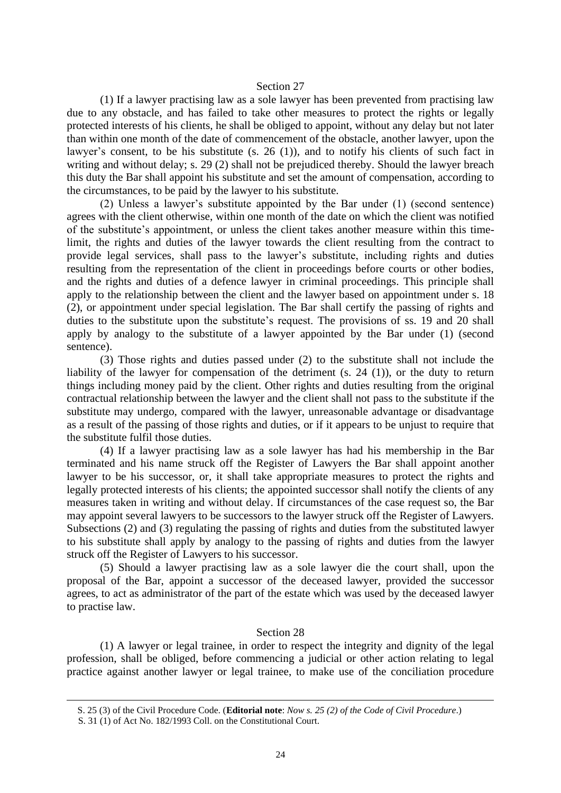#### Section 27

(1) If a lawyer practising law as a sole lawyer has been prevented from practising law due to any obstacle, and has failed to take other measures to protect the rights or legally protected interests of his clients, he shall be obliged to appoint, without any delay but not later than within one month of the date of commencement of the obstacle, another lawyer, upon the lawyer's consent, to be his substitute (s. 26 (1)), and to notify his clients of such fact in writing and without delay; s. 29 (2) shall not be prejudiced thereby. Should the lawyer breach this duty the Bar shall appoint his substitute and set the amount of compensation, according to the circumstances, to be paid by the lawyer to his substitute.

(2) Unless a lawyer's substitute appointed by the Bar under (1) (second sentence) agrees with the client otherwise, within one month of the date on which the client was notified of the substitute's appointment, or unless the client takes another measure within this timelimit, the rights and duties of the lawyer towards the client resulting from the contract to provide legal services, shall pass to the lawyer's substitute, including rights and duties resulting from the representation of the client in proceedings before courts or other bodies, and the rights and duties of a defence lawyer in criminal proceedings. This principle shall apply to the relationship between the client and the lawyer based on appointment under s. 18 (2), or appointment under special legislation. The Bar shall certify the passing of rights and duties to the substitute upon the substitute's request. The provisions of ss. 19 and 20 shall apply by analogy to the substitute of a lawyer appointed by the Bar under (1) (second sentence).

(3) Those rights and duties passed under (2) to the substitute shall not include the liability of the lawyer for compensation of the detriment (s. 24 (1)), or the duty to return things including money paid by the client. Other rights and duties resulting from the original contractual relationship between the lawyer and the client shall not pass to the substitute if the substitute may undergo, compared with the lawyer, unreasonable advantage or disadvantage as a result of the passing of those rights and duties, or if it appears to be unjust to require that the substitute fulfil those duties.

(4) If a lawyer practising law as a sole lawyer has had his membership in the Bar terminated and his name struck off the Register of Lawyers the Bar shall appoint another lawyer to be his successor, or, it shall take appropriate measures to protect the rights and legally protected interests of his clients; the appointed successor shall notify the clients of any measures taken in writing and without delay. If circumstances of the case request so, the Bar may appoint several lawyers to be successors to the lawyer struck off the Register of Lawyers. Subsections (2) and (3) regulating the passing of rights and duties from the substituted lawyer to his substitute shall apply by analogy to the passing of rights and duties from the lawyer struck off the Register of Lawyers to his successor.

(5) Should a lawyer practising law as a sole lawyer die the court shall, upon the proposal of the Bar, appoint a successor of the deceased lawyer, provided the successor agrees, to act as administrator of the part of the estate which was used by the deceased lawyer to practise law.

#### Section 28

(1) A lawyer or legal trainee, in order to respect the integrity and dignity of the legal profession, shall be obliged, before commencing a judicial or other action relating to legal practice against another lawyer or legal trainee, to make use of the conciliation procedure

S. 25 (3) of the Civil Procedure Code. (**Editorial note**: *Now s. 25 (2) of the Code of Civil Procedure*.)

S. 31 (1) of Act No. 182/1993 Coll. on the Constitutional Court.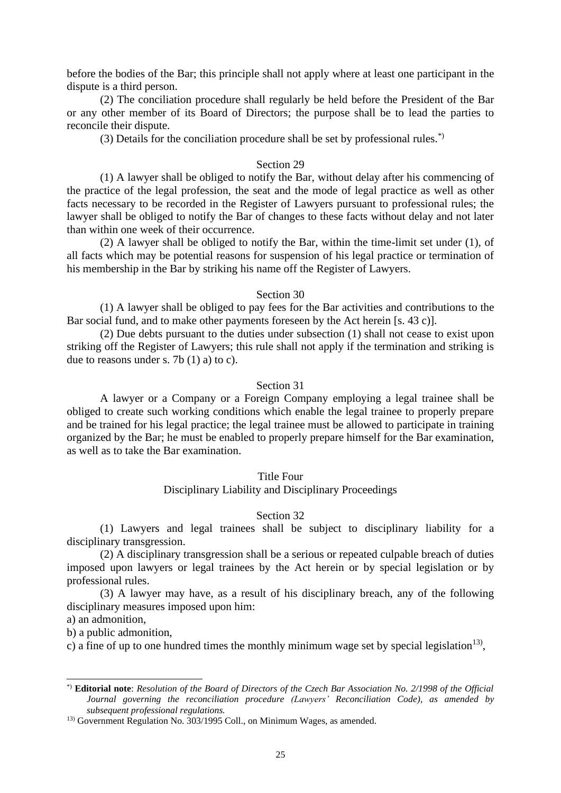before the bodies of the Bar; this principle shall not apply where at least one participant in the dispute is a third person.

(2) The conciliation procedure shall regularly be held before the President of the Bar or any other member of its Board of Directors; the purpose shall be to lead the parties to reconcile their dispute.

(3) Details for the conciliation procedure shall be set by professional rules.\*)

#### Section 29

(1) A lawyer shall be obliged to notify the Bar, without delay after his commencing of the practice of the legal profession, the seat and the mode of legal practice as well as other facts necessary to be recorded in the Register of Lawyers pursuant to professional rules; the lawyer shall be obliged to notify the Bar of changes to these facts without delay and not later than within one week of their occurrence.

(2) A lawyer shall be obliged to notify the Bar, within the time-limit set under (1), of all facts which may be potential reasons for suspension of his legal practice or termination of his membership in the Bar by striking his name off the Register of Lawyers.

# Section 30

(1) A lawyer shall be obliged to pay fees for the Bar activities and contributions to the Bar social fund, and to make other payments foreseen by the Act herein [s. 43 c)].

(2) Due debts pursuant to the duties under subsection (1) shall not cease to exist upon striking off the Register of Lawyers; this rule shall not apply if the termination and striking is due to reasons under s. 7b  $(1)$  a) to c).

### Section 31

A lawyer or a Company or a Foreign Company employing a legal trainee shall be obliged to create such working conditions which enable the legal trainee to properly prepare and be trained for his legal practice; the legal trainee must be allowed to participate in training organized by the Bar; he must be enabled to properly prepare himself for the Bar examination, as well as to take the Bar examination.

#### Title Four

Disciplinary Liability and Disciplinary Proceedings

#### Section 32

(1) Lawyers and legal trainees shall be subject to disciplinary liability for a disciplinary transgression.

(2) A disciplinary transgression shall be a serious or repeated culpable breach of duties imposed upon lawyers or legal trainees by the Act herein or by special legislation or by professional rules.

(3) A lawyer may have, as a result of his disciplinary breach, any of the following disciplinary measures imposed upon him:

a) an admonition,

b) a public admonition,

c) a fine of up to one hundred times the monthly minimum wage set by special legislation<sup>13</sup>,

<sup>\*)</sup> **Editorial note**: *Resolution of the Board of Directors of the Czech Bar Association No. 2/1998 of the Official Journal governing the reconciliation procedure (Lawyers' Reconciliation Code), as amended by subsequent professional regulations.*

<sup>&</sup>lt;sup>13)</sup> Government Regulation No. 303/1995 Coll., on Minimum Wages, as amended.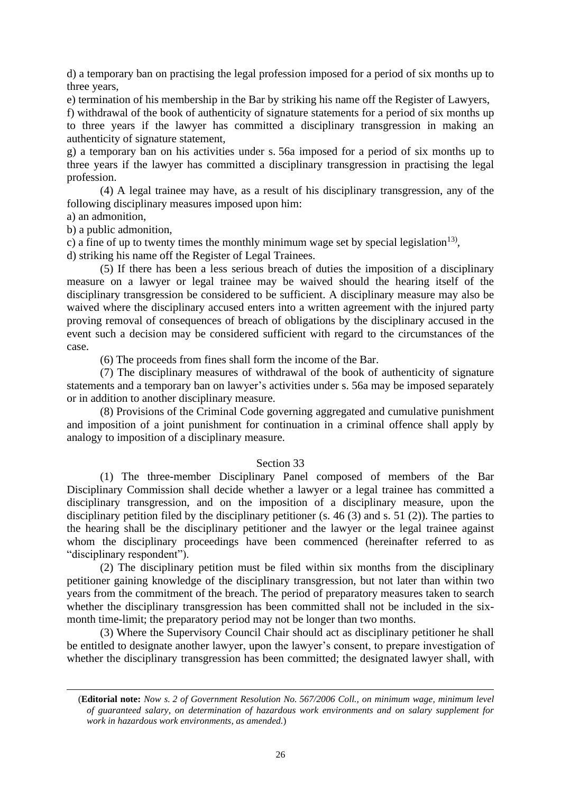d) a temporary ban on practising the legal profession imposed for a period of six months up to three years,

e) termination of his membership in the Bar by striking his name off the Register of Lawyers,

f) withdrawal of the book of authenticity of signature statements for a period of six months up to three years if the lawyer has committed a disciplinary transgression in making an authenticity of signature statement,

g) a temporary ban on his activities under s. 56a imposed for a period of six months up to three years if the lawyer has committed a disciplinary transgression in practising the legal profession.

(4) A legal trainee may have, as a result of his disciplinary transgression, any of the following disciplinary measures imposed upon him:

a) an admonition,

b) a public admonition,

c) a fine of up to twenty times the monthly minimum wage set by special legislation<sup>13</sup>,

d) striking his name off the Register of Legal Trainees.

(5) If there has been a less serious breach of duties the imposition of a disciplinary measure on a lawyer or legal trainee may be waived should the hearing itself of the disciplinary transgression be considered to be sufficient. A disciplinary measure may also be waived where the disciplinary accused enters into a written agreement with the injured party proving removal of consequences of breach of obligations by the disciplinary accused in the event such a decision may be considered sufficient with regard to the circumstances of the case.

(6) The proceeds from fines shall form the income of the Bar.

(7) The disciplinary measures of withdrawal of the book of authenticity of signature statements and a temporary ban on lawyer's activities under s. 56a may be imposed separately or in addition to another disciplinary measure.

(8) Provisions of the Criminal Code governing aggregated and cumulative punishment and imposition of a joint punishment for continuation in a criminal offence shall apply by analogy to imposition of a disciplinary measure.

# Section 33

(1) The three-member Disciplinary Panel composed of members of the Bar Disciplinary Commission shall decide whether a lawyer or a legal trainee has committed a disciplinary transgression, and on the imposition of a disciplinary measure, upon the disciplinary petition filed by the disciplinary petitioner (s. 46 (3) and s. 51 (2)). The parties to the hearing shall be the disciplinary petitioner and the lawyer or the legal trainee against whom the disciplinary proceedings have been commenced (hereinafter referred to as "disciplinary respondent").

(2) The disciplinary petition must be filed within six months from the disciplinary petitioner gaining knowledge of the disciplinary transgression, but not later than within two years from the commitment of the breach. The period of preparatory measures taken to search whether the disciplinary transgression has been committed shall not be included in the sixmonth time-limit; the preparatory period may not be longer than two months.

(3) Where the Supervisory Council Chair should act as disciplinary petitioner he shall be entitled to designate another lawyer, upon the lawyer's consent, to prepare investigation of whether the disciplinary transgression has been committed; the designated lawyer shall, with

<sup>(</sup>**Editorial note:** *Now s. 2 of Government Resolution No. 567/2006 Coll., on minimum wage, minimum level of guaranteed salary, on determination of hazardous work environments and on salary supplement for work in hazardous work environments, as amended.*)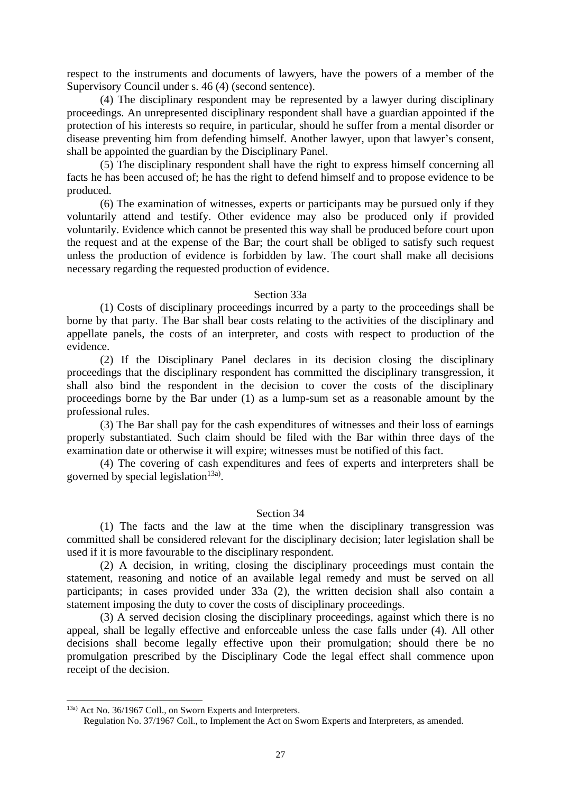respect to the instruments and documents of lawyers, have the powers of a member of the Supervisory Council under s. 46 (4) (second sentence).

(4) The disciplinary respondent may be represented by a lawyer during disciplinary proceedings. An unrepresented disciplinary respondent shall have a guardian appointed if the protection of his interests so require, in particular, should he suffer from a mental disorder or disease preventing him from defending himself. Another lawyer, upon that lawyer's consent, shall be appointed the guardian by the Disciplinary Panel.

(5) The disciplinary respondent shall have the right to express himself concerning all facts he has been accused of; he has the right to defend himself and to propose evidence to be produced.

(6) The examination of witnesses, experts or participants may be pursued only if they voluntarily attend and testify. Other evidence may also be produced only if provided voluntarily. Evidence which cannot be presented this way shall be produced before court upon the request and at the expense of the Bar; the court shall be obliged to satisfy such request unless the production of evidence is forbidden by law. The court shall make all decisions necessary regarding the requested production of evidence.

#### Section 33a

(1) Costs of disciplinary proceedings incurred by a party to the proceedings shall be borne by that party. The Bar shall bear costs relating to the activities of the disciplinary and appellate panels, the costs of an interpreter, and costs with respect to production of the evidence.

(2) If the Disciplinary Panel declares in its decision closing the disciplinary proceedings that the disciplinary respondent has committed the disciplinary transgression, it shall also bind the respondent in the decision to cover the costs of the disciplinary proceedings borne by the Bar under (1) as a lump-sum set as a reasonable amount by the professional rules.

(3) The Bar shall pay for the cash expenditures of witnesses and their loss of earnings properly substantiated. Such claim should be filed with the Bar within three days of the examination date or otherwise it will expire; witnesses must be notified of this fact.

(4) The covering of cash expenditures and fees of experts and interpreters shall be governed by special legislation<sup>13a)</sup>.

# Section 34

(1) The facts and the law at the time when the disciplinary transgression was committed shall be considered relevant for the disciplinary decision; later legislation shall be used if it is more favourable to the disciplinary respondent.

(2) A decision, in writing, closing the disciplinary proceedings must contain the statement, reasoning and notice of an available legal remedy and must be served on all participants; in cases provided under 33a (2), the written decision shall also contain a statement imposing the duty to cover the costs of disciplinary proceedings.

(3) A served decision closing the disciplinary proceedings, against which there is no appeal, shall be legally effective and enforceable unless the case falls under (4). All other decisions shall become legally effective upon their promulgation; should there be no promulgation prescribed by the Disciplinary Code the legal effect shall commence upon receipt of the decision.

<sup>13</sup>a) Act No. 36/1967 Coll., on Sworn Experts and Interpreters.

Regulation No. 37/1967 Coll., to Implement the Act on Sworn Experts and Interpreters, as amended.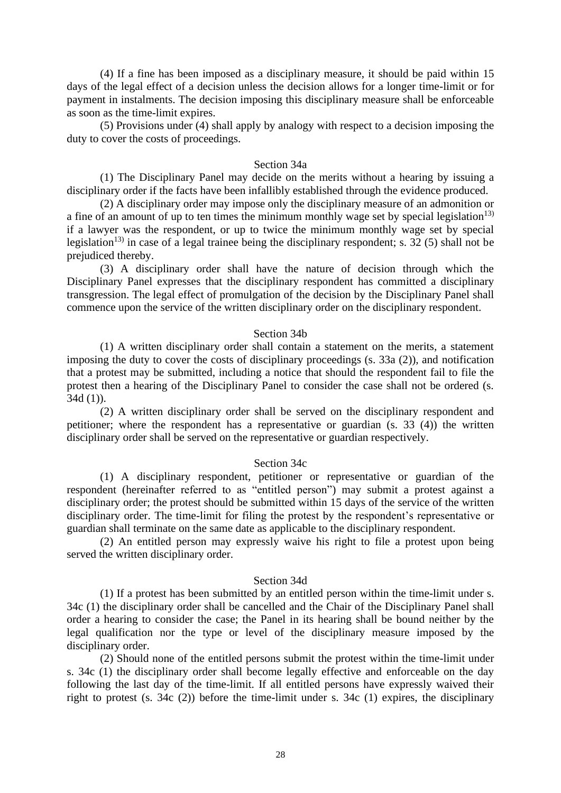(4) If a fine has been imposed as a disciplinary measure, it should be paid within 15 days of the legal effect of a decision unless the decision allows for a longer time-limit or for payment in instalments. The decision imposing this disciplinary measure shall be enforceable as soon as the time-limit expires.

(5) Provisions under (4) shall apply by analogy with respect to a decision imposing the duty to cover the costs of proceedings.

#### Section 34a

(1) The Disciplinary Panel may decide on the merits without a hearing by issuing a disciplinary order if the facts have been infallibly established through the evidence produced.

(2) A disciplinary order may impose only the disciplinary measure of an admonition or a fine of an amount of up to ten times the minimum monthly wage set by special legislation<sup>13)</sup> if a lawyer was the respondent, or up to twice the minimum monthly wage set by special legislation<sup>13)</sup> in case of a legal trainee being the disciplinary respondent; s. 32 (5) shall not be prejudiced thereby.

(3) A disciplinary order shall have the nature of decision through which the Disciplinary Panel expresses that the disciplinary respondent has committed a disciplinary transgression. The legal effect of promulgation of the decision by the Disciplinary Panel shall commence upon the service of the written disciplinary order on the disciplinary respondent.

#### Section 34b

(1) A written disciplinary order shall contain a statement on the merits, a statement imposing the duty to cover the costs of disciplinary proceedings (s. 33a (2)), and notification that a protest may be submitted, including a notice that should the respondent fail to file the protest then a hearing of the Disciplinary Panel to consider the case shall not be ordered (s. 34d (1)).

(2) A written disciplinary order shall be served on the disciplinary respondent and petitioner; where the respondent has a representative or guardian (s. 33 (4)) the written disciplinary order shall be served on the representative or guardian respectively.

## Section 34c

(1) A disciplinary respondent, petitioner or representative or guardian of the respondent (hereinafter referred to as "entitled person") may submit a protest against a disciplinary order; the protest should be submitted within 15 days of the service of the written disciplinary order. The time-limit for filing the protest by the respondent's representative or guardian shall terminate on the same date as applicable to the disciplinary respondent.

(2) An entitled person may expressly waive his right to file a protest upon being served the written disciplinary order.

# Section 34d

(1) If a protest has been submitted by an entitled person within the time-limit under s. 34c (1) the disciplinary order shall be cancelled and the Chair of the Disciplinary Panel shall order a hearing to consider the case; the Panel in its hearing shall be bound neither by the legal qualification nor the type or level of the disciplinary measure imposed by the disciplinary order.

(2) Should none of the entitled persons submit the protest within the time-limit under s. 34c (1) the disciplinary order shall become legally effective and enforceable on the day following the last day of the time-limit. If all entitled persons have expressly waived their right to protest (s. 34c (2)) before the time-limit under s. 34c (1) expires, the disciplinary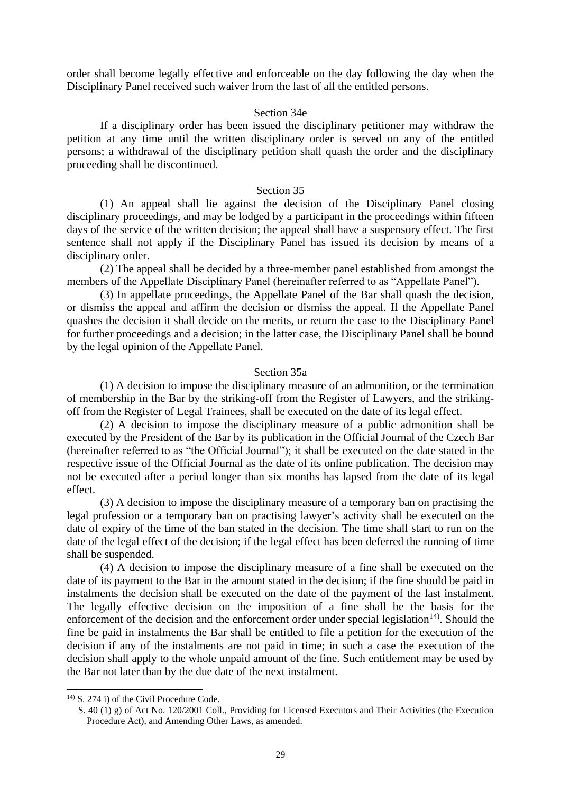order shall become legally effective and enforceable on the day following the day when the Disciplinary Panel received such waiver from the last of all the entitled persons.

#### Section 34e

If a disciplinary order has been issued the disciplinary petitioner may withdraw the petition at any time until the written disciplinary order is served on any of the entitled persons; a withdrawal of the disciplinary petition shall quash the order and the disciplinary proceeding shall be discontinued.

#### Section 35

(1) An appeal shall lie against the decision of the Disciplinary Panel closing disciplinary proceedings, and may be lodged by a participant in the proceedings within fifteen days of the service of the written decision; the appeal shall have a suspensory effect. The first sentence shall not apply if the Disciplinary Panel has issued its decision by means of a disciplinary order.

(2) The appeal shall be decided by a three-member panel established from amongst the members of the Appellate Disciplinary Panel (hereinafter referred to as "Appellate Panel").

(3) In appellate proceedings, the Appellate Panel of the Bar shall quash the decision, or dismiss the appeal and affirm the decision or dismiss the appeal. If the Appellate Panel quashes the decision it shall decide on the merits, or return the case to the Disciplinary Panel for further proceedings and a decision; in the latter case, the Disciplinary Panel shall be bound by the legal opinion of the Appellate Panel.

#### Section 35a

(1) A decision to impose the disciplinary measure of an admonition, or the termination of membership in the Bar by the striking-off from the Register of Lawyers, and the strikingoff from the Register of Legal Trainees, shall be executed on the date of its legal effect.

(2) A decision to impose the disciplinary measure of a public admonition shall be executed by the President of the Bar by its publication in the Official Journal of the Czech Bar (hereinafter referred to as "the Official Journal"); it shall be executed on the date stated in the respective issue of the Official Journal as the date of its online publication. The decision may not be executed after a period longer than six months has lapsed from the date of its legal effect.

(3) A decision to impose the disciplinary measure of a temporary ban on practising the legal profession or a temporary ban on practising lawyer's activity shall be executed on the date of expiry of the time of the ban stated in the decision. The time shall start to run on the date of the legal effect of the decision; if the legal effect has been deferred the running of time shall be suspended.

(4) A decision to impose the disciplinary measure of a fine shall be executed on the date of its payment to the Bar in the amount stated in the decision; if the fine should be paid in instalments the decision shall be executed on the date of the payment of the last instalment. The legally effective decision on the imposition of a fine shall be the basis for the enforcement of the decision and the enforcement order under special legislation<sup>14)</sup>. Should the fine be paid in instalments the Bar shall be entitled to file a petition for the execution of the decision if any of the instalments are not paid in time; in such a case the execution of the decision shall apply to the whole unpaid amount of the fine. Such entitlement may be used by the Bar not later than by the due date of the next instalment.

<sup>14)</sup> S. 274 i) of the Civil Procedure Code.

S. 40 (1) g) of Act No. 120/2001 Coll., Providing for Licensed Executors and Their Activities (the Execution Procedure Act), and Amending Other Laws, as amended.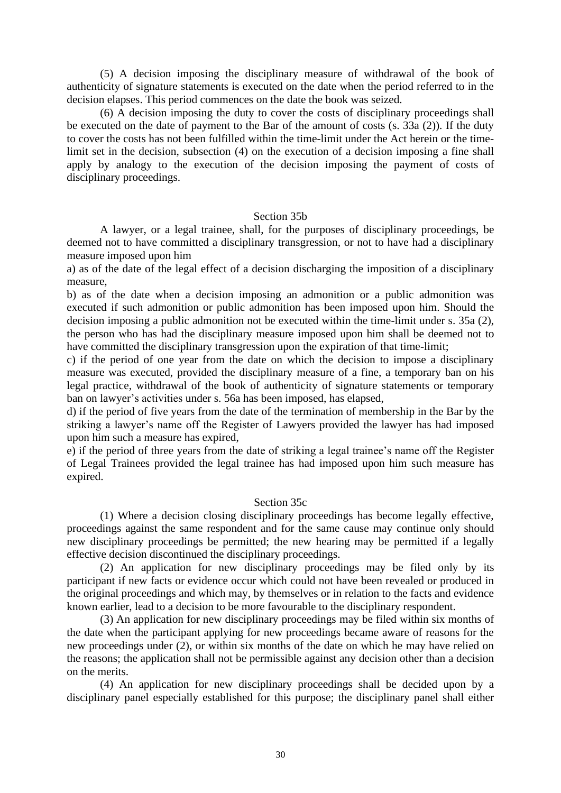(5) A decision imposing the disciplinary measure of withdrawal of the book of authenticity of signature statements is executed on the date when the period referred to in the decision elapses. This period commences on the date the book was seized.

(6) A decision imposing the duty to cover the costs of disciplinary proceedings shall be executed on the date of payment to the Bar of the amount of costs (s. 33a (2)). If the duty to cover the costs has not been fulfilled within the time-limit under the Act herein or the timelimit set in the decision, subsection (4) on the execution of a decision imposing a fine shall apply by analogy to the execution of the decision imposing the payment of costs of disciplinary proceedings.

# Section 35b

A lawyer, or a legal trainee, shall, for the purposes of disciplinary proceedings, be deemed not to have committed a disciplinary transgression, or not to have had a disciplinary measure imposed upon him

a) as of the date of the legal effect of a decision discharging the imposition of a disciplinary measure,

b) as of the date when a decision imposing an admonition or a public admonition was executed if such admonition or public admonition has been imposed upon him. Should the decision imposing a public admonition not be executed within the time-limit under s. 35a (2), the person who has had the disciplinary measure imposed upon him shall be deemed not to have committed the disciplinary transgression upon the expiration of that time-limit;

c) if the period of one year from the date on which the decision to impose a disciplinary measure was executed, provided the disciplinary measure of a fine, a temporary ban on his legal practice, withdrawal of the book of authenticity of signature statements or temporary ban on lawyer's activities under s. 56a has been imposed, has elapsed,

d) if the period of five years from the date of the termination of membership in the Bar by the striking a lawyer's name off the Register of Lawyers provided the lawyer has had imposed upon him such a measure has expired,

e) if the period of three years from the date of striking a legal trainee's name off the Register of Legal Trainees provided the legal trainee has had imposed upon him such measure has expired.

#### Section 35c

(1) Where a decision closing disciplinary proceedings has become legally effective, proceedings against the same respondent and for the same cause may continue only should new disciplinary proceedings be permitted; the new hearing may be permitted if a legally effective decision discontinued the disciplinary proceedings.

(2) An application for new disciplinary proceedings may be filed only by its participant if new facts or evidence occur which could not have been revealed or produced in the original proceedings and which may, by themselves or in relation to the facts and evidence known earlier, lead to a decision to be more favourable to the disciplinary respondent.

(3) An application for new disciplinary proceedings may be filed within six months of the date when the participant applying for new proceedings became aware of reasons for the new proceedings under (2), or within six months of the date on which he may have relied on the reasons; the application shall not be permissible against any decision other than a decision on the merits.

(4) An application for new disciplinary proceedings shall be decided upon by a disciplinary panel especially established for this purpose; the disciplinary panel shall either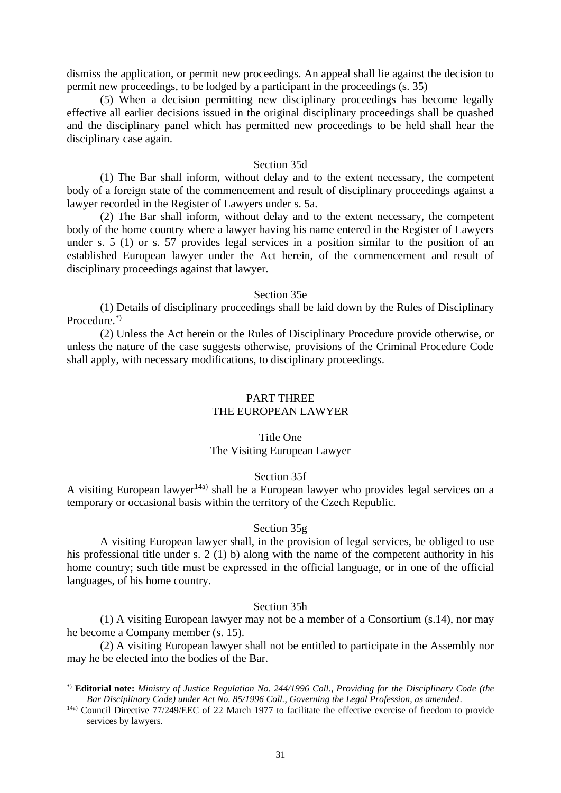dismiss the application, or permit new proceedings. An appeal shall lie against the decision to permit new proceedings, to be lodged by a participant in the proceedings (s. 35)

(5) When a decision permitting new disciplinary proceedings has become legally effective all earlier decisions issued in the original disciplinary proceedings shall be quashed and the disciplinary panel which has permitted new proceedings to be held shall hear the disciplinary case again.

#### Section 35d

(1) The Bar shall inform, without delay and to the extent necessary, the competent body of a foreign state of the commencement and result of disciplinary proceedings against a lawyer recorded in the Register of Lawyers under s. 5a.

(2) The Bar shall inform, without delay and to the extent necessary, the competent body of the home country where a lawyer having his name entered in the Register of Lawyers under s. 5 (1) or s. 57 provides legal services in a position similar to the position of an established European lawyer under the Act herein, of the commencement and result of disciplinary proceedings against that lawyer.

#### Section 35e

(1) Details of disciplinary proceedings shall be laid down by the Rules of Disciplinary Procedure<sup>\*)</sup>

(2) Unless the Act herein or the Rules of Disciplinary Procedure provide otherwise, or unless the nature of the case suggests otherwise, provisions of the Criminal Procedure Code shall apply, with necessary modifications, to disciplinary proceedings.

# PART THREE THE EUROPEAN LAWYER

# Title One The Visiting European Lawyer

# Section 35f

A visiting European lawyer<sup>14a)</sup> shall be a European lawyer who provides legal services on a temporary or occasional basis within the territory of the Czech Republic.

#### Section 35g

A visiting European lawyer shall, in the provision of legal services, be obliged to use his professional title under s. 2 (1) b) along with the name of the competent authority in his home country; such title must be expressed in the official language, or in one of the official languages, of his home country.

#### Section 35h

(1) A visiting European lawyer may not be a member of a Consortium (s.14), nor may he become a Company member (s. 15).

(2) A visiting European lawyer shall not be entitled to participate in the Assembly nor may he be elected into the bodies of the Bar.

<sup>\*)</sup> **Editorial note:** *Ministry of Justice Regulation No. 244/1996 Coll., Providing for the Disciplinary Code (the Bar Disciplinary Code) under Act No. 85/1996 Coll., Governing the Legal Profession, as amended*.

<sup>&</sup>lt;sup>14a)</sup> Council Directive 77/249/EEC of 22 March 1977 to facilitate the effective exercise of freedom to provide services by lawyers.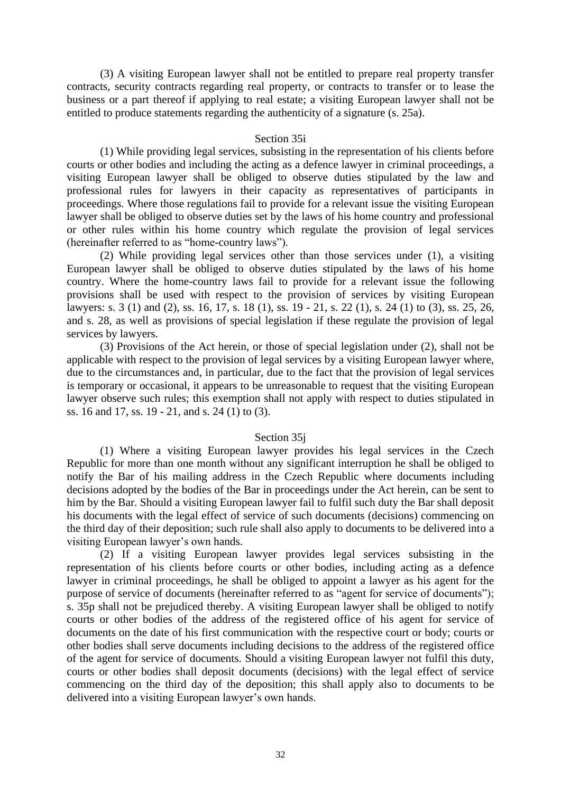(3) A visiting European lawyer shall not be entitled to prepare real property transfer contracts, security contracts regarding real property, or contracts to transfer or to lease the business or a part thereof if applying to real estate; a visiting European lawyer shall not be entitled to produce statements regarding the authenticity of a signature (s. 25a).

# Section 35i

(1) While providing legal services, subsisting in the representation of his clients before courts or other bodies and including the acting as a defence lawyer in criminal proceedings, a visiting European lawyer shall be obliged to observe duties stipulated by the law and professional rules for lawyers in their capacity as representatives of participants in proceedings. Where those regulations fail to provide for a relevant issue the visiting European lawyer shall be obliged to observe duties set by the laws of his home country and professional or other rules within his home country which regulate the provision of legal services (hereinafter referred to as "home-country laws").

(2) While providing legal services other than those services under (1), a visiting European lawyer shall be obliged to observe duties stipulated by the laws of his home country. Where the home-country laws fail to provide for a relevant issue the following provisions shall be used with respect to the provision of services by visiting European lawyers: s. 3 (1) and (2), ss. 16, 17, s. 18 (1), ss. 19 - 21, s. 22 (1), s. 24 (1) to (3), ss. 25, 26, and s. 28, as well as provisions of special legislation if these regulate the provision of legal services by lawyers.

(3) Provisions of the Act herein, or those of special legislation under (2), shall not be applicable with respect to the provision of legal services by a visiting European lawyer where, due to the circumstances and, in particular, due to the fact that the provision of legal services is temporary or occasional, it appears to be unreasonable to request that the visiting European lawyer observe such rules; this exemption shall not apply with respect to duties stipulated in ss. 16 and 17, ss. 19 - 21, and s. 24 (1) to (3).

#### Section 35j

(1) Where a visiting European lawyer provides his legal services in the Czech Republic for more than one month without any significant interruption he shall be obliged to notify the Bar of his mailing address in the Czech Republic where documents including decisions adopted by the bodies of the Bar in proceedings under the Act herein, can be sent to him by the Bar. Should a visiting European lawyer fail to fulfil such duty the Bar shall deposit his documents with the legal effect of service of such documents (decisions) commencing on the third day of their deposition; such rule shall also apply to documents to be delivered into a visiting European lawyer's own hands.

(2) If a visiting European lawyer provides legal services subsisting in the representation of his clients before courts or other bodies, including acting as a defence lawyer in criminal proceedings, he shall be obliged to appoint a lawyer as his agent for the purpose of service of documents (hereinafter referred to as "agent for service of documents"); s. 35p shall not be prejudiced thereby. A visiting European lawyer shall be obliged to notify courts or other bodies of the address of the registered office of his agent for service of documents on the date of his first communication with the respective court or body; courts or other bodies shall serve documents including decisions to the address of the registered office of the agent for service of documents. Should a visiting European lawyer not fulfil this duty, courts or other bodies shall deposit documents (decisions) with the legal effect of service commencing on the third day of the deposition; this shall apply also to documents to be delivered into a visiting European lawyer's own hands.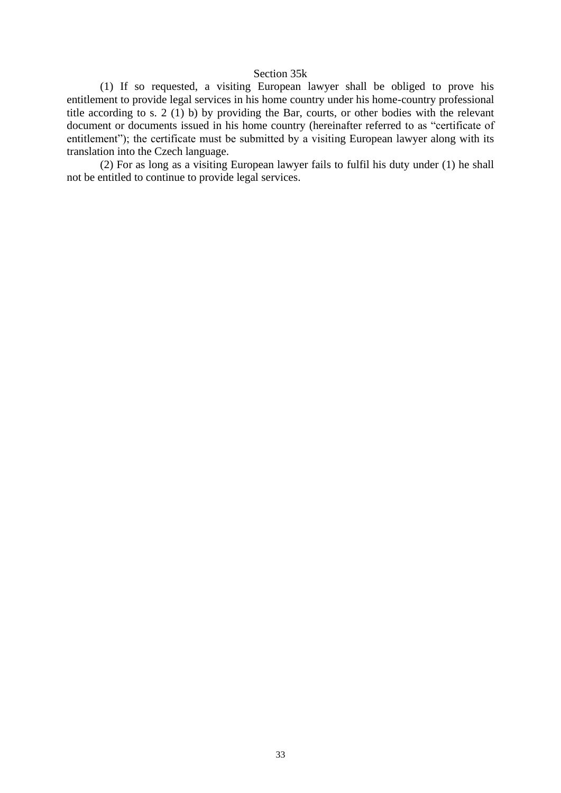# Section 35k

(1) If so requested, a visiting European lawyer shall be obliged to prove his entitlement to provide legal services in his home country under his home-country professional title according to s. 2 (1) b) by providing the Bar, courts, or other bodies with the relevant document or documents issued in his home country (hereinafter referred to as "certificate of entitlement"); the certificate must be submitted by a visiting European lawyer along with its translation into the Czech language.

(2) For as long as a visiting European lawyer fails to fulfil his duty under (1) he shall not be entitled to continue to provide legal services.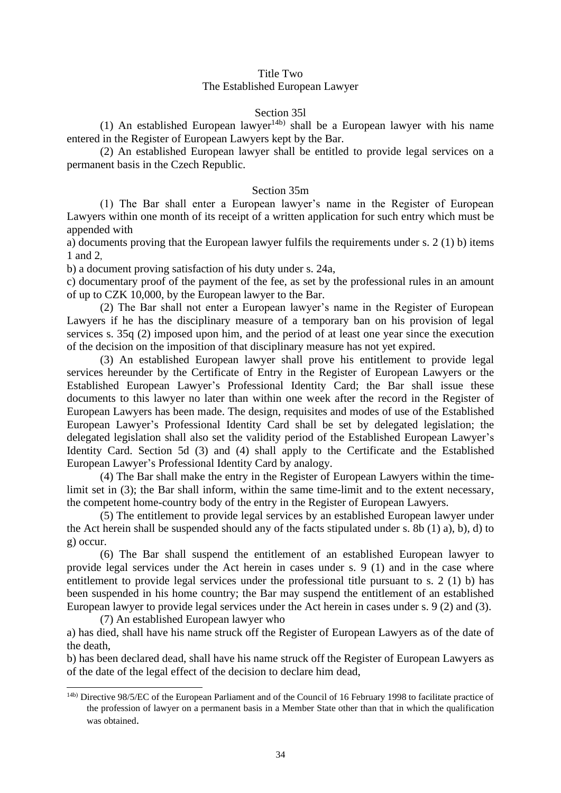# Title Two

# The Established European Lawyer

# Section 35l

(1) An established European lawyer<sup>14b)</sup> shall be a European lawyer with his name entered in the Register of European Lawyers kept by the Bar.

(2) An established European lawyer shall be entitled to provide legal services on a permanent basis in the Czech Republic.

# Section 35m

(1) The Bar shall enter a European lawyer's name in the Register of European Lawyers within one month of its receipt of a written application for such entry which must be appended with

a) documents proving that the European lawyer fulfils the requirements under s. 2 (1) b) items 1 and 2,

b) a document proving satisfaction of his duty under s. 24a,

c) documentary proof of the payment of the fee, as set by the professional rules in an amount of up to CZK 10,000, by the European lawyer to the Bar.

(2) The Bar shall not enter a European lawyer's name in the Register of European Lawyers if he has the disciplinary measure of a temporary ban on his provision of legal services s. 35q (2) imposed upon him, and the period of at least one year since the execution of the decision on the imposition of that disciplinary measure has not yet expired.

(3) An established European lawyer shall prove his entitlement to provide legal services hereunder by the Certificate of Entry in the Register of European Lawyers or the Established European Lawyer's Professional Identity Card; the Bar shall issue these documents to this lawyer no later than within one week after the record in the Register of European Lawyers has been made. The design, requisites and modes of use of the Established European Lawyer's Professional Identity Card shall be set by delegated legislation; the delegated legislation shall also set the validity period of the Established European Lawyer's Identity Card. Section 5d (3) and (4) shall apply to the Certificate and the Established European Lawyer's Professional Identity Card by analogy.

(4) The Bar shall make the entry in the Register of European Lawyers within the timelimit set in (3); the Bar shall inform, within the same time-limit and to the extent necessary, the competent home-country body of the entry in the Register of European Lawyers.

(5) The entitlement to provide legal services by an established European lawyer under the Act herein shall be suspended should any of the facts stipulated under s. 8b (1) a), b), d) to g) occur.

(6) The Bar shall suspend the entitlement of an established European lawyer to provide legal services under the Act herein in cases under s. 9 (1) and in the case where entitlement to provide legal services under the professional title pursuant to s. 2 (1) b) has been suspended in his home country; the Bar may suspend the entitlement of an established European lawyer to provide legal services under the Act herein in cases under s. 9 (2) and (3).

(7) An established European lawyer who a) has died, shall have his name struck off the Register of European Lawyers as of the date of the death,

b) has been declared dead, shall have his name struck off the Register of European Lawyers as of the date of the legal effect of the decision to declare him dead,

<sup>14</sup>b) Directive 98/5/EC of the European Parliament and of the Council of 16 February 1998 to facilitate practice of the profession of lawyer on a permanent basis in a Member State other than that in which the qualification was obtained.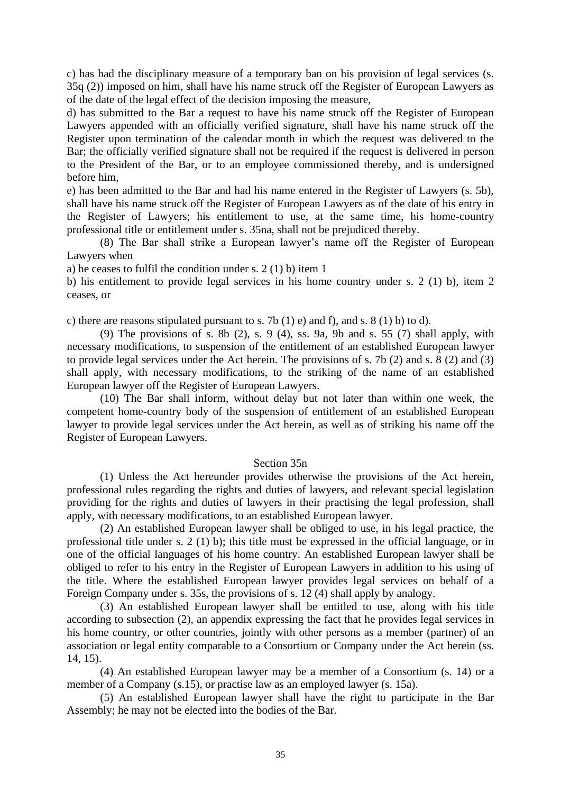c) has had the disciplinary measure of a temporary ban on his provision of legal services (s. 35q (2)) imposed on him, shall have his name struck off the Register of European Lawyers as of the date of the legal effect of the decision imposing the measure,

d) has submitted to the Bar a request to have his name struck off the Register of European Lawyers appended with an officially verified signature, shall have his name struck off the Register upon termination of the calendar month in which the request was delivered to the Bar; the officially verified signature shall not be required if the request is delivered in person to the President of the Bar, or to an employee commissioned thereby, and is undersigned before him,

e) has been admitted to the Bar and had his name entered in the Register of Lawyers (s. 5b), shall have his name struck off the Register of European Lawyers as of the date of his entry in the Register of Lawyers; his entitlement to use, at the same time, his home-country professional title or entitlement under s. 35na, shall not be prejudiced thereby.

(8) The Bar shall strike a European lawyer's name off the Register of European Lawyers when

a) he ceases to fulfil the condition under s. 2 (1) b) item 1

b) his entitlement to provide legal services in his home country under s. 2 (1) b), item 2 ceases, or

c) there are reasons stipulated pursuant to s. 7b (1) e) and f), and s. 8 (1) b) to d).

(9) The provisions of s. 8b  $(2)$ , s. 9  $(4)$ , ss. 9a, 9b and s. 55  $(7)$  shall apply, with necessary modifications, to suspension of the entitlement of an established European lawyer to provide legal services under the Act herein. The provisions of s. 7b (2) and s. 8 (2) and (3) shall apply, with necessary modifications, to the striking of the name of an established European lawyer off the Register of European Lawyers.

(10) The Bar shall inform, without delay but not later than within one week, the competent home-country body of the suspension of entitlement of an established European lawyer to provide legal services under the Act herein, as well as of striking his name off the Register of European Lawyers.

# Section 35n

(1) Unless the Act hereunder provides otherwise the provisions of the Act herein, professional rules regarding the rights and duties of lawyers, and relevant special legislation providing for the rights and duties of lawyers in their practising the legal profession, shall apply, with necessary modifications, to an established European lawyer.

(2) An established European lawyer shall be obliged to use, in his legal practice, the professional title under s. 2 (1) b); this title must be expressed in the official language, or in one of the official languages of his home country. An established European lawyer shall be obliged to refer to his entry in the Register of European Lawyers in addition to his using of the title. Where the established European lawyer provides legal services on behalf of a Foreign Company under s. 35s, the provisions of s. 12 (4) shall apply by analogy.

(3) An established European lawyer shall be entitled to use, along with his title according to subsection (2), an appendix expressing the fact that he provides legal services in his home country, or other countries, jointly with other persons as a member (partner) of an association or legal entity comparable to a Consortium or Company under the Act herein (ss. 14, 15).

(4) An established European lawyer may be a member of a Consortium (s. 14) or a member of a Company (s.15), or practise law as an employed lawyer (s. 15a).

(5) An established European lawyer shall have the right to participate in the Bar Assembly; he may not be elected into the bodies of the Bar.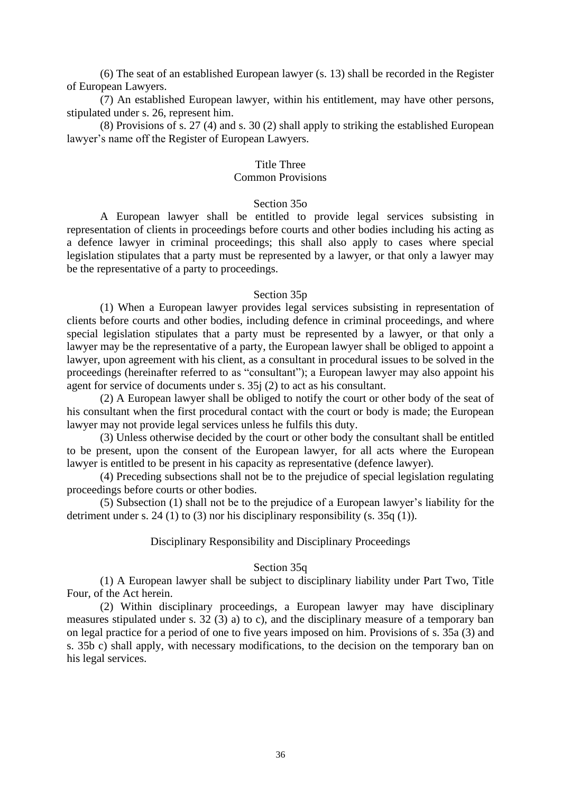(6) The seat of an established European lawyer (s. 13) shall be recorded in the Register of European Lawyers.

(7) An established European lawyer, within his entitlement, may have other persons, stipulated under s. 26, represent him.

(8) Provisions of s. 27 (4) and s. 30 (2) shall apply to striking the established European lawyer's name off the Register of European Lawyers.

# Title Three

#### Common Provisions

# Section 35o

A European lawyer shall be entitled to provide legal services subsisting in representation of clients in proceedings before courts and other bodies including his acting as a defence lawyer in criminal proceedings; this shall also apply to cases where special legislation stipulates that a party must be represented by a lawyer, or that only a lawyer may be the representative of a party to proceedings.

#### Section 35p

(1) When a European lawyer provides legal services subsisting in representation of clients before courts and other bodies, including defence in criminal proceedings, and where special legislation stipulates that a party must be represented by a lawyer, or that only a lawyer may be the representative of a party, the European lawyer shall be obliged to appoint a lawyer, upon agreement with his client, as a consultant in procedural issues to be solved in the proceedings (hereinafter referred to as "consultant"); a European lawyer may also appoint his agent for service of documents under s. 35j (2) to act as his consultant.

(2) A European lawyer shall be obliged to notify the court or other body of the seat of his consultant when the first procedural contact with the court or body is made; the European lawyer may not provide legal services unless he fulfils this duty.

(3) Unless otherwise decided by the court or other body the consultant shall be entitled to be present, upon the consent of the European lawyer, for all acts where the European lawyer is entitled to be present in his capacity as representative (defence lawyer).

(4) Preceding subsections shall not be to the prejudice of special legislation regulating proceedings before courts or other bodies.

(5) Subsection (1) shall not be to the prejudice of a European lawyer's liability for the detriment under s. 24 (1) to (3) nor his disciplinary responsibility (s.  $35q(1)$ ).

# Disciplinary Responsibility and Disciplinary Proceedings

# Section 35q

(1) A European lawyer shall be subject to disciplinary liability under Part Two, Title Four, of the Act herein.

(2) Within disciplinary proceedings, a European lawyer may have disciplinary measures stipulated under s. 32 (3) a) to c), and the disciplinary measure of a temporary ban on legal practice for a period of one to five years imposed on him. Provisions of s. 35a (3) and s. 35b c) shall apply, with necessary modifications, to the decision on the temporary ban on his legal services.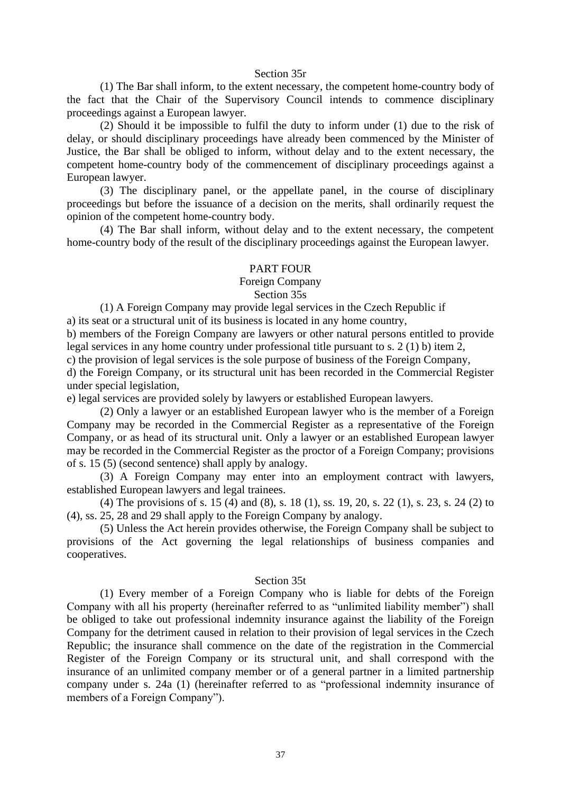#### Section 35r

(1) The Bar shall inform, to the extent necessary, the competent home-country body of the fact that the Chair of the Supervisory Council intends to commence disciplinary proceedings against a European lawyer.

(2) Should it be impossible to fulfil the duty to inform under (1) due to the risk of delay, or should disciplinary proceedings have already been commenced by the Minister of Justice, the Bar shall be obliged to inform, without delay and to the extent necessary, the competent home-country body of the commencement of disciplinary proceedings against a European lawyer.

(3) The disciplinary panel, or the appellate panel, in the course of disciplinary proceedings but before the issuance of a decision on the merits, shall ordinarily request the opinion of the competent home-country body.

(4) The Bar shall inform, without delay and to the extent necessary, the competent home-country body of the result of the disciplinary proceedings against the European lawyer.

#### PART FOUR

# Foreign Company

# Section 35s

(1) A Foreign Company may provide legal services in the Czech Republic if

a) its seat or a structural unit of its business is located in any home country,

b) members of the Foreign Company are lawyers or other natural persons entitled to provide legal services in any home country under professional title pursuant to s. 2 (1) b) item 2,

c) the provision of legal services is the sole purpose of business of the Foreign Company,

d) the Foreign Company, or its structural unit has been recorded in the Commercial Register under special legislation,

e) legal services are provided solely by lawyers or established European lawyers.

(2) Only a lawyer or an established European lawyer who is the member of a Foreign Company may be recorded in the Commercial Register as a representative of the Foreign Company, or as head of its structural unit. Only a lawyer or an established European lawyer may be recorded in the Commercial Register as the proctor of a Foreign Company; provisions of s. 15 (5) (second sentence) shall apply by analogy.

(3) A Foreign Company may enter into an employment contract with lawyers, established European lawyers and legal trainees.

(4) The provisions of s. 15 (4) and (8), s. 18 (1), ss. 19, 20, s. 22 (1), s. 23, s. 24 (2) to (4), ss. 25, 28 and 29 shall apply to the Foreign Company by analogy.

(5) Unless the Act herein provides otherwise, the Foreign Company shall be subject to provisions of the Act governing the legal relationships of business companies and cooperatives.

#### Section 35t

(1) Every member of a Foreign Company who is liable for debts of the Foreign Company with all his property (hereinafter referred to as "unlimited liability member") shall be obliged to take out professional indemnity insurance against the liability of the Foreign Company for the detriment caused in relation to their provision of legal services in the Czech Republic; the insurance shall commence on the date of the registration in the Commercial Register of the Foreign Company or its structural unit, and shall correspond with the insurance of an unlimited company member or of a general partner in a limited partnership company under s. 24a (1) (hereinafter referred to as "professional indemnity insurance of members of a Foreign Company").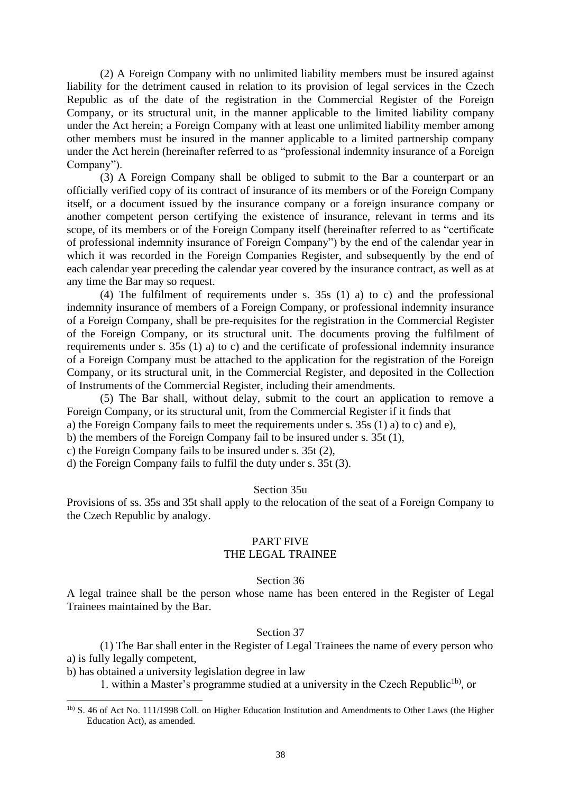(2) A Foreign Company with no unlimited liability members must be insured against liability for the detriment caused in relation to its provision of legal services in the Czech Republic as of the date of the registration in the Commercial Register of the Foreign Company, or its structural unit, in the manner applicable to the limited liability company under the Act herein; a Foreign Company with at least one unlimited liability member among other members must be insured in the manner applicable to a limited partnership company under the Act herein (hereinafter referred to as "professional indemnity insurance of a Foreign Company").

(3) A Foreign Company shall be obliged to submit to the Bar a counterpart or an officially verified copy of its contract of insurance of its members or of the Foreign Company itself, or a document issued by the insurance company or a foreign insurance company or another competent person certifying the existence of insurance, relevant in terms and its scope, of its members or of the Foreign Company itself (hereinafter referred to as "certificate of professional indemnity insurance of Foreign Company") by the end of the calendar year in which it was recorded in the Foreign Companies Register, and subsequently by the end of each calendar year preceding the calendar year covered by the insurance contract, as well as at any time the Bar may so request.

(4) The fulfilment of requirements under s. 35s (1) a) to c) and the professional indemnity insurance of members of a Foreign Company, or professional indemnity insurance of a Foreign Company, shall be pre-requisites for the registration in the Commercial Register of the Foreign Company, or its structural unit. The documents proving the fulfilment of requirements under s. 35s (1) a) to c) and the certificate of professional indemnity insurance of a Foreign Company must be attached to the application for the registration of the Foreign Company, or its structural unit, in the Commercial Register, and deposited in the Collection of Instruments of the Commercial Register, including their amendments.

(5) The Bar shall, without delay, submit to the court an application to remove a Foreign Company, or its structural unit, from the Commercial Register if it finds that

a) the Foreign Company fails to meet the requirements under s. 35s (1) a) to c) and e),

b) the members of the Foreign Company fail to be insured under s. 35t (1),

c) the Foreign Company fails to be insured under s. 35t (2),

d) the Foreign Company fails to fulfil the duty under s. 35t (3).

# Section 35u

Provisions of ss. 35s and 35t shall apply to the relocation of the seat of a Foreign Company to the Czech Republic by analogy.

# PART FIVE

# THE LEGAL TRAINEE

# Section 36

A legal trainee shall be the person whose name has been entered in the Register of Legal Trainees maintained by the Bar.

# Section 37

(1) The Bar shall enter in the Register of Legal Trainees the name of every person who a) is fully legally competent,

b) has obtained a university legislation degree in law

1. within a Master's programme studied at a university in the Czech Republic<sup>1b</sup>, or

<sup>1</sup>b) S. 46 of Act No. 111/1998 Coll. on Higher Education Institution and Amendments to Other Laws (the Higher Education Act), as amended.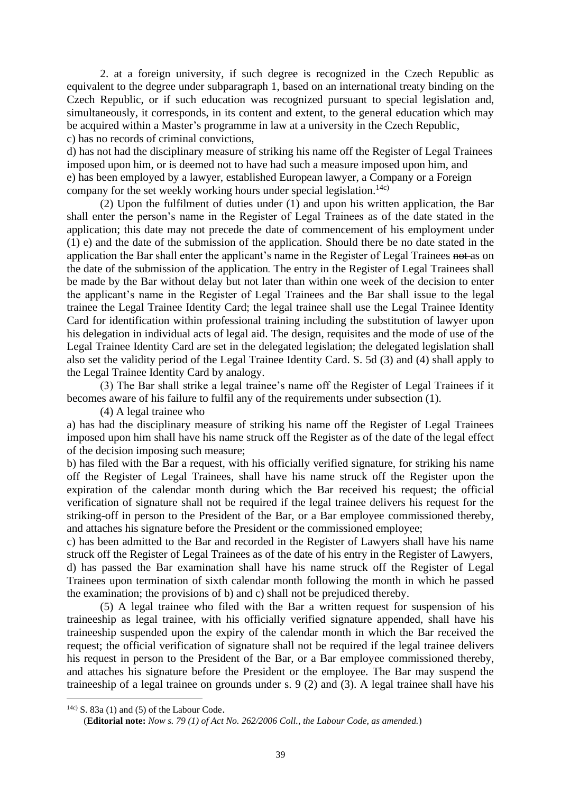2. at a foreign university, if such degree is recognized in the Czech Republic as equivalent to the degree under subparagraph 1, based on an international treaty binding on the Czech Republic, or if such education was recognized pursuant to special legislation and, simultaneously, it corresponds, in its content and extent, to the general education which may be acquired within a Master's programme in law at a university in the Czech Republic, c) has no records of criminal convictions,

d) has not had the disciplinary measure of striking his name off the Register of Legal Trainees imposed upon him, or is deemed not to have had such a measure imposed upon him, and e) has been employed by a lawyer, established European lawyer, a Company or a Foreign company for the set weekly working hours under special legislation.<sup>14c)</sup>

(2) Upon the fulfilment of duties under (1) and upon his written application, the Bar shall enter the person's name in the Register of Legal Trainees as of the date stated in the application; this date may not precede the date of commencement of his employment under (1) e) and the date of the submission of the application. Should there be no date stated in the application the Bar shall enter the applicant's name in the Register of Legal Trainees not as on the date of the submission of the application*.* The entry in the Register of Legal Trainees shall be made by the Bar without delay but not later than within one week of the decision to enter the applicant's name in the Register of Legal Trainees and the Bar shall issue to the legal trainee the Legal Trainee Identity Card; the legal trainee shall use the Legal Trainee Identity Card for identification within professional training including the substitution of lawyer upon his delegation in individual acts of legal aid. The design, requisites and the mode of use of the Legal Trainee Identity Card are set in the delegated legislation; the delegated legislation shall also set the validity period of the Legal Trainee Identity Card. S. 5d (3) and (4) shall apply to the Legal Trainee Identity Card by analogy.

(3) The Bar shall strike a legal trainee's name off the Register of Legal Trainees if it becomes aware of his failure to fulfil any of the requirements under subsection (1).

(4) A legal trainee who

a) has had the disciplinary measure of striking his name off the Register of Legal Trainees imposed upon him shall have his name struck off the Register as of the date of the legal effect of the decision imposing such measure;

b) has filed with the Bar a request, with his officially verified signature, for striking his name off the Register of Legal Trainees, shall have his name struck off the Register upon the expiration of the calendar month during which the Bar received his request; the official verification of signature shall not be required if the legal trainee delivers his request for the striking-off in person to the President of the Bar, or a Bar employee commissioned thereby, and attaches his signature before the President or the commissioned employee;

c) has been admitted to the Bar and recorded in the Register of Lawyers shall have his name struck off the Register of Legal Trainees as of the date of his entry in the Register of Lawyers, d) has passed the Bar examination shall have his name struck off the Register of Legal Trainees upon termination of sixth calendar month following the month in which he passed the examination; the provisions of b) and c) shall not be prejudiced thereby.

(5) A legal trainee who filed with the Bar a written request for suspension of his traineeship as legal trainee, with his officially verified signature appended, shall have his traineeship suspended upon the expiry of the calendar month in which the Bar received the request; the official verification of signature shall not be required if the legal trainee delivers his request in person to the President of the Bar, or a Bar employee commissioned thereby, and attaches his signature before the President or the employee. The Bar may suspend the traineeship of a legal trainee on grounds under s. 9 (2) and (3). A legal trainee shall have his

<sup>&</sup>lt;sup>14c)</sup> S. 83a (1) and (5) of the Labour Code.

<sup>(</sup>**Editorial note:** *Now s. 79 (1) of Act No. 262/2006 Coll., the Labour Code, as amended.*)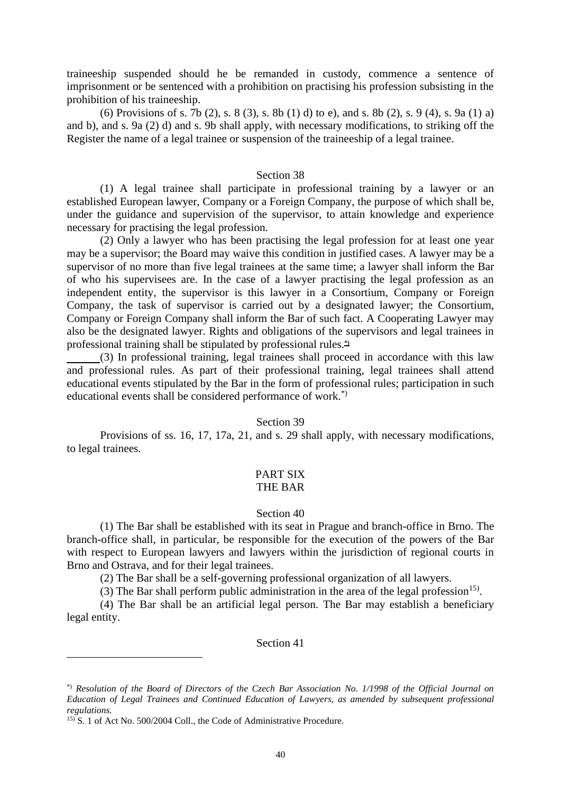traineeship suspended should he be remanded in custody, commence a sentence of imprisonment or be sentenced with a prohibition on practising his profession subsisting in the prohibition of his traineeship.

(6) Provisions of s. 7b (2), s. 8 (3), s. 8b (1) d) to e), and s. 8b (2), s. 9 (4), s. 9a (1) a) and b), and s. 9a (2) d) and s. 9b shall apply, with necessary modifications, to striking off the Register the name of a legal trainee or suspension of the traineeship of a legal trainee.

# Section 38

(1) A legal trainee shall participate in professional training by a lawyer or an established European lawyer, Company or a Foreign Company, the purpose of which shall be, under the guidance and supervision of the supervisor, to attain knowledge and experience necessary for practising the legal profession.

(2) Only a lawyer who has been practising the legal profession for at least one year may be a supervisor; the Board may waive this condition in justified cases. A lawyer may be a supervisor of no more than five legal trainees at the same time; a lawyer shall inform the Bar of who his supervisees are. In the case of a lawyer practising the legal profession as an independent entity, the supervisor is this lawyer in a Consortium, Company or Foreign Company, the task of supervisor is carried out by a designated lawyer; the Consortium, Company or Foreign Company shall inform the Bar of such fact. A Cooperating Lawyer may also be the designated lawyer. Rights and obligations of the supervisors and legal trainees in professional training shall be stipulated by professional rules.**\*)**

(3) In professional training, legal trainees shall proceed in accordance with this law and professional rules. As part of their professional training, legal trainees shall attend educational events stipulated by the Bar in the form of professional rules; participation in such educational events shall be considered performance of work.\*)

# Section 39

Provisions of ss. 16, 17, 17a, 21, and s. 29 shall apply, with necessary modifications, to legal trainees.

#### PART SIX THE BAR

# Section 40

(1) The Bar shall be established with its seat in Prague and branch-office in Brno. The branch-office shall, in particular, be responsible for the execution of the powers of the Bar with respect to European lawyers and lawyers within the jurisdiction of regional courts in Brno and Ostrava, and for their legal trainees.

(2) The Bar shall be a self-governing professional organization of all lawyers.

(3) The Bar shall perform public administration in the area of the legal profession<sup>15)</sup>.

(4) The Bar shall be an artificial legal person. The Bar may establish a beneficiary legal entity.

#### Section 41

<sup>\*)</sup> *Resolution of the Board of Directors of the Czech Bar Association No. 1/1998 of the Official Journal on Education of Legal Trainees and Continued Education of Lawyers, as amended by subsequent professional regulations.*

<sup>&</sup>lt;sup>15)</sup> S. 1 of Act No. 500/2004 Coll., the Code of Administrative Procedure.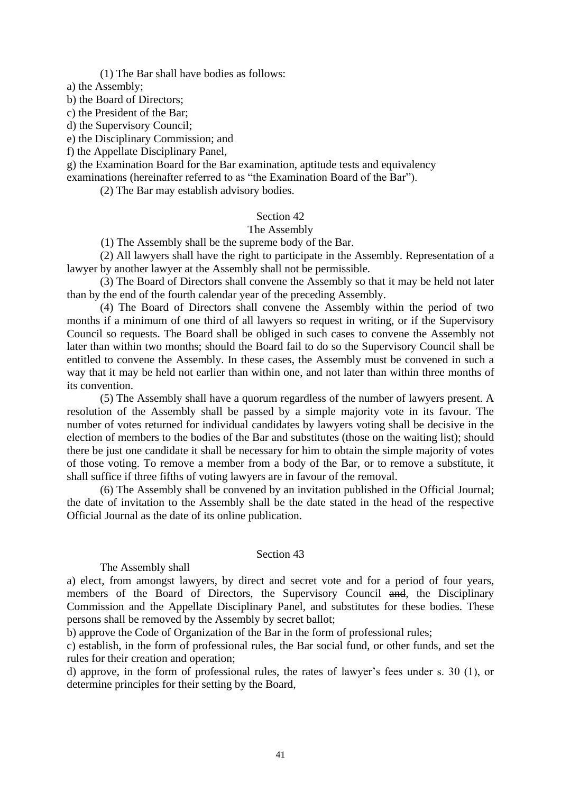(1) The Bar shall have bodies as follows:

a) the Assembly;

b) the Board of Directors;

c) the President of the Bar;

d) the Supervisory Council;

e) the Disciplinary Commission; and

f) the Appellate Disciplinary Panel,

g) the Examination Board for the Bar examination, aptitude tests and equivalency

examinations (hereinafter referred to as "the Examination Board of the Bar").

(2) The Bar may establish advisory bodies.

#### Section 42

# The Assembly

(1) The Assembly shall be the supreme body of the Bar.

(2) All lawyers shall have the right to participate in the Assembly. Representation of a lawyer by another lawyer at the Assembly shall not be permissible.

(3) The Board of Directors shall convene the Assembly so that it may be held not later than by the end of the fourth calendar year of the preceding Assembly.

(4) The Board of Directors shall convene the Assembly within the period of two months if a minimum of one third of all lawyers so request in writing, or if the Supervisory Council so requests. The Board shall be obliged in such cases to convene the Assembly not later than within two months; should the Board fail to do so the Supervisory Council shall be entitled to convene the Assembly. In these cases, the Assembly must be convened in such a way that it may be held not earlier than within one, and not later than within three months of its convention.

(5) The Assembly shall have a quorum regardless of the number of lawyers present. A resolution of the Assembly shall be passed by a simple majority vote in its favour. The number of votes returned for individual candidates by lawyers voting shall be decisive in the election of members to the bodies of the Bar and substitutes (those on the waiting list); should there be just one candidate it shall be necessary for him to obtain the simple majority of votes of those voting. To remove a member from a body of the Bar, or to remove a substitute, it shall suffice if three fifths of voting lawyers are in favour of the removal.

(6) The Assembly shall be convened by an invitation published in the Official Journal; the date of invitation to the Assembly shall be the date stated in the head of the respective Official Journal as the date of its online publication.

#### Section 43

#### The Assembly shall

a) elect, from amongst lawyers, by direct and secret vote and for a period of four years, members of the Board of Directors, the Supervisory Council and, the Disciplinary Commission and the Appellate Disciplinary Panel, and substitutes for these bodies. These persons shall be removed by the Assembly by secret ballot;

b) approve the Code of Organization of the Bar in the form of professional rules;

c) establish, in the form of professional rules, the Bar social fund, or other funds, and set the rules for their creation and operation;

d) approve, in the form of professional rules, the rates of lawyer's fees under s. 30 (1), or determine principles for their setting by the Board,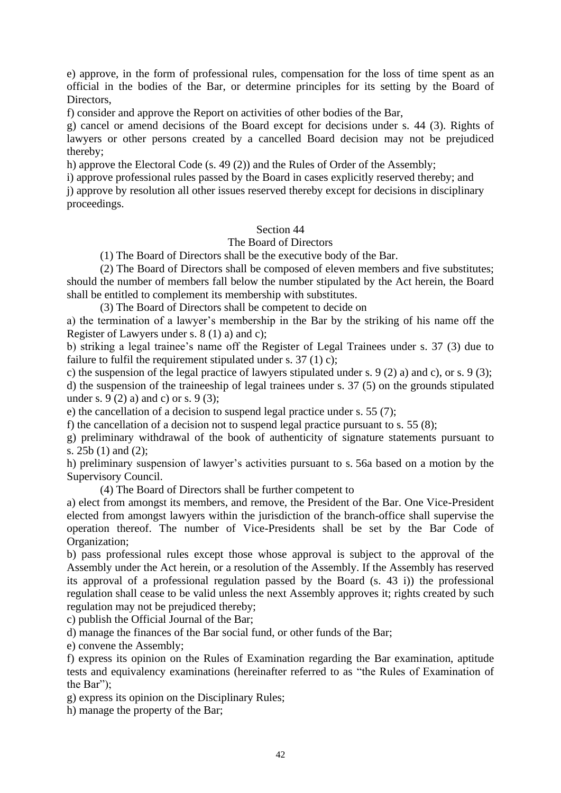e) approve, in the form of professional rules, compensation for the loss of time spent as an official in the bodies of the Bar, or determine principles for its setting by the Board of Directors,

f) consider and approve the Report on activities of other bodies of the Bar,

g) cancel or amend decisions of the Board except for decisions under s. 44 (3). Rights of lawyers or other persons created by a cancelled Board decision may not be prejudiced thereby;

h) approve the Electoral Code (s. 49 (2)) and the Rules of Order of the Assembly;

i) approve professional rules passed by the Board in cases explicitly reserved thereby; and j) approve by resolution all other issues reserved thereby except for decisions in disciplinary

# Section 44

# The Board of Directors

(1) The Board of Directors shall be the executive body of the Bar.

(2) The Board of Directors shall be composed of eleven members and five substitutes; should the number of members fall below the number stipulated by the Act herein, the Board shall be entitled to complement its membership with substitutes.

(3) The Board of Directors shall be competent to decide on

a) the termination of a lawyer's membership in the Bar by the striking of his name off the Register of Lawyers under s. 8 (1) a) and c);

b) striking a legal trainee's name off the Register of Legal Trainees under s. 37 (3) due to failure to fulfil the requirement stipulated under s.  $37(1)$  c);

c) the suspension of the legal practice of lawyers stipulated under s. 9 (2) a) and c), or s. 9 (3);

d) the suspension of the traineeship of legal trainees under s. 37 (5) on the grounds stipulated under s.  $9(2)$  a) and c) or s.  $9(3)$ ;

e) the cancellation of a decision to suspend legal practice under s. 55 (7);

f) the cancellation of a decision not to suspend legal practice pursuant to s. 55 (8);

g) preliminary withdrawal of the book of authenticity of signature statements pursuant to s. 25b (1) and (2);

h) preliminary suspension of lawyer's activities pursuant to s. 56a based on a motion by the Supervisory Council.

(4) The Board of Directors shall be further competent to

a) elect from amongst its members, and remove, the President of the Bar. One Vice-President elected from amongst lawyers within the jurisdiction of the branch-office shall supervise the operation thereof. The number of Vice-Presidents shall be set by the Bar Code of Organization;

b) pass professional rules except those whose approval is subject to the approval of the Assembly under the Act herein, or a resolution of the Assembly. If the Assembly has reserved its approval of a professional regulation passed by the Board (s. 43 i)) the professional regulation shall cease to be valid unless the next Assembly approves it; rights created by such regulation may not be prejudiced thereby;

c) publish the Official Journal of the Bar;

d) manage the finances of the Bar social fund, or other funds of the Bar;

e) convene the Assembly;

proceedings.

f) express its opinion on the Rules of Examination regarding the Bar examination, aptitude tests and equivalency examinations (hereinafter referred to as "the Rules of Examination of the Bar");

g) express its opinion on the Disciplinary Rules;

h) manage the property of the Bar;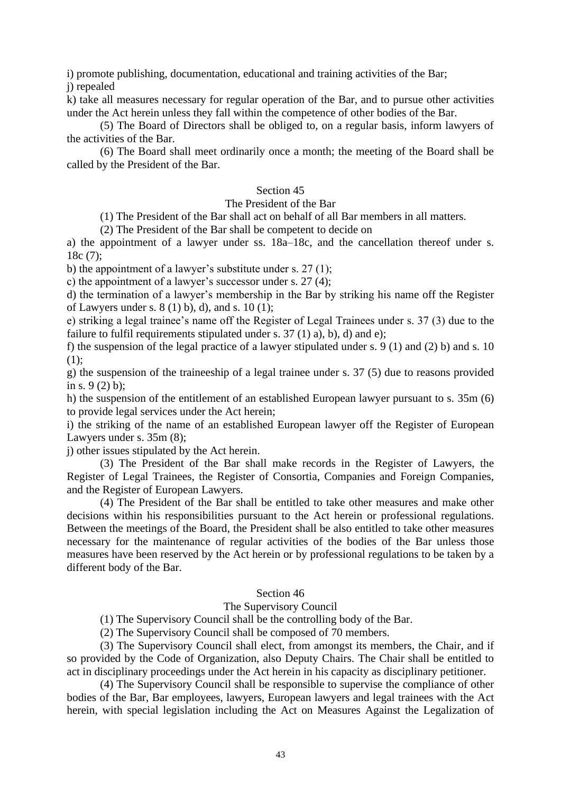i) promote publishing, documentation, educational and training activities of the Bar;

j) repealed

k) take all measures necessary for regular operation of the Bar, and to pursue other activities under the Act herein unless they fall within the competence of other bodies of the Bar.

(5) The Board of Directors shall be obliged to, on a regular basis, inform lawyers of the activities of the Bar.

(6) The Board shall meet ordinarily once a month; the meeting of the Board shall be called by the President of the Bar.

# Section 45

# The President of the Bar

(1) The President of the Bar shall act on behalf of all Bar members in all matters.

(2) The President of the Bar shall be competent to decide on

a) the appointment of a lawyer under ss. 18a–18c, and the cancellation thereof under s. 18c (7);

b) the appointment of a lawyer's substitute under s. 27 (1);

c) the appointment of a lawyer's successor under s. 27 (4);

d) the termination of a lawyer's membership in the Bar by striking his name off the Register of Lawyers under s.  $8(1)$  b), d), and s.  $10(1)$ ;

e) striking a legal trainee's name off the Register of Legal Trainees under s. 37 (3) due to the failure to fulfil requirements stipulated under s.  $37(1)$  a), b), d) and e);

f) the suspension of the legal practice of a lawyer stipulated under s. 9 (1) and (2) b) and s. 10  $(1)$ :

g) the suspension of the traineeship of a legal trainee under s. 37 (5) due to reasons provided in s. 9 (2) b);

h) the suspension of the entitlement of an established European lawyer pursuant to s. 35m (6) to provide legal services under the Act herein;

i) the striking of the name of an established European lawyer off the Register of European Lawyers under s. 35m (8);

j) other issues stipulated by the Act herein.

(3) The President of the Bar shall make records in the Register of Lawyers, the Register of Legal Trainees, the Register of Consortia, Companies and Foreign Companies, and the Register of European Lawyers.

(4) The President of the Bar shall be entitled to take other measures and make other decisions within his responsibilities pursuant to the Act herein or professional regulations. Between the meetings of the Board, the President shall be also entitled to take other measures necessary for the maintenance of regular activities of the bodies of the Bar unless those measures have been reserved by the Act herein or by professional regulations to be taken by a different body of the Bar.

#### Section 46

#### The Supervisory Council

(1) The Supervisory Council shall be the controlling body of the Bar.

(2) The Supervisory Council shall be composed of 70 members.

(3) The Supervisory Council shall elect, from amongst its members, the Chair, and if so provided by the Code of Organization, also Deputy Chairs. The Chair shall be entitled to act in disciplinary proceedings under the Act herein in his capacity as disciplinary petitioner.

(4) The Supervisory Council shall be responsible to supervise the compliance of other bodies of the Bar, Bar employees, lawyers, European lawyers and legal trainees with the Act herein, with special legislation including the Act on Measures Against the Legalization of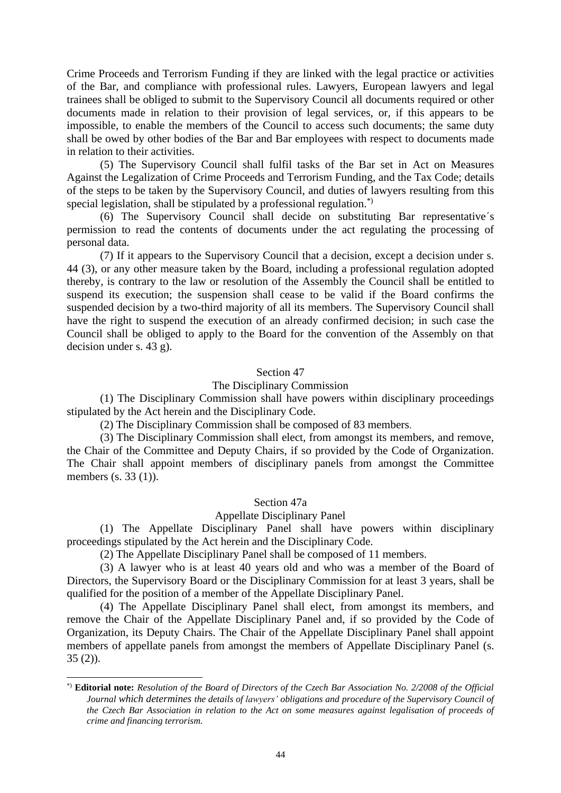Crime Proceeds and Terrorism Funding if they are linked with the legal practice or activities of the Bar, and compliance with professional rules. Lawyers, European lawyers and legal trainees shall be obliged to submit to the Supervisory Council all documents required or other documents made in relation to their provision of legal services, or, if this appears to be impossible, to enable the members of the Council to access such documents; the same duty shall be owed by other bodies of the Bar and Bar employees with respect to documents made in relation to their activities.

(5) The Supervisory Council shall fulfil tasks of the Bar set in Act on Measures Against the Legalization of Crime Proceeds and Terrorism Funding, and the Tax Code; details of the steps to be taken by the Supervisory Council, and duties of lawyers resulting from this special legislation, shall be stipulated by a professional regulation.<sup>\*)</sup>

(6) The Supervisory Council shall decide on substituting Bar representative´s permission to read the contents of documents under the act regulating the processing of personal data.

(7) If it appears to the Supervisory Council that a decision, except a decision under s. 44 (3), or any other measure taken by the Board, including a professional regulation adopted thereby, is contrary to the law or resolution of the Assembly the Council shall be entitled to suspend its execution; the suspension shall cease to be valid if the Board confirms the suspended decision by a two-third majority of all its members. The Supervisory Council shall have the right to suspend the execution of an already confirmed decision; in such case the Council shall be obliged to apply to the Board for the convention of the Assembly on that decision under s. 43 g).

# Section 47

# The Disciplinary Commission

(1) The Disciplinary Commission shall have powers within disciplinary proceedings stipulated by the Act herein and the Disciplinary Code.

(2) The Disciplinary Commission shall be composed of 83 members.

(3) The Disciplinary Commission shall elect, from amongst its members, and remove, the Chair of the Committee and Deputy Chairs, if so provided by the Code of Organization. The Chair shall appoint members of disciplinary panels from amongst the Committee members (s. 33 (1)).

#### Section 47a

#### Appellate Disciplinary Panel

(1) The Appellate Disciplinary Panel shall have powers within disciplinary proceedings stipulated by the Act herein and the Disciplinary Code.

(2) The Appellate Disciplinary Panel shall be composed of 11 members.

(3) A lawyer who is at least 40 years old and who was a member of the Board of Directors, the Supervisory Board or the Disciplinary Commission for at least 3 years, shall be qualified for the position of a member of the Appellate Disciplinary Panel.

(4) The Appellate Disciplinary Panel shall elect, from amongst its members, and remove the Chair of the Appellate Disciplinary Panel and, if so provided by the Code of Organization, its Deputy Chairs. The Chair of the Appellate Disciplinary Panel shall appoint members of appellate panels from amongst the members of Appellate Disciplinary Panel (s. 35 (2)).

<sup>\*)</sup> **Editorial note:** *Resolution of the Board of Directors of the Czech Bar Association No. 2/2008 of the Official Journal which determines the details of lawyers' obligations and procedure of the Supervisory Council of the Czech Bar Association in relation to the Act on some measures against legalisation of proceeds of crime and financing terrorism.*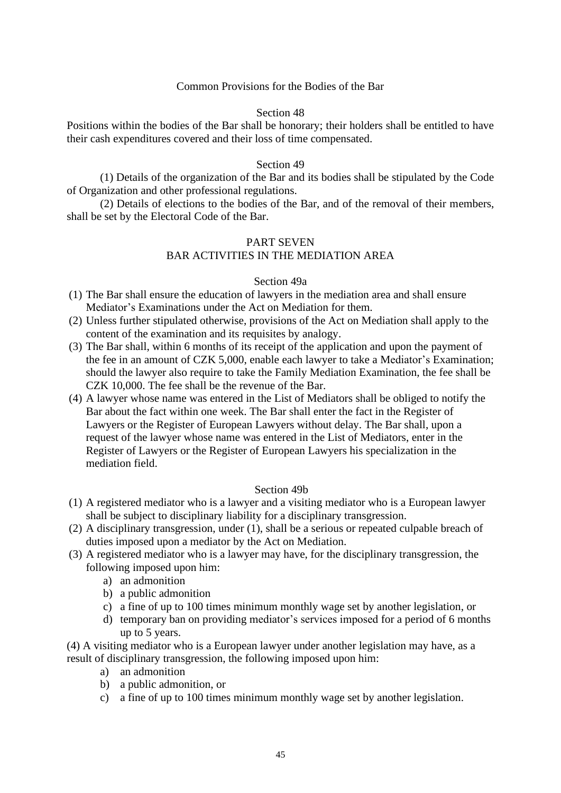# Common Provisions for the Bodies of the Bar

# Section 48

Positions within the bodies of the Bar shall be honorary; their holders shall be entitled to have their cash expenditures covered and their loss of time compensated.

#### Section 49

(1) Details of the organization of the Bar and its bodies shall be stipulated by the Code of Organization and other professional regulations.

(2) Details of elections to the bodies of the Bar, and of the removal of their members, shall be set by the Electoral Code of the Bar.

# PART SEVEN BAR ACTIVITIES IN THE MEDIATION AREA

#### Section 49a

- (1) The Bar shall ensure the education of lawyers in the mediation area and shall ensure Mediator's Examinations under the Act on Mediation for them.
- (2) Unless further stipulated otherwise, provisions of the Act on Mediation shall apply to the content of the examination and its requisites by analogy.
- (3) The Bar shall, within 6 months of its receipt of the application and upon the payment of the fee in an amount of CZK 5,000, enable each lawyer to take a Mediator's Examination; should the lawyer also require to take the Family Mediation Examination, the fee shall be CZK 10,000. The fee shall be the revenue of the Bar.
- (4) A lawyer whose name was entered in the List of Mediators shall be obliged to notify the Bar about the fact within one week. The Bar shall enter the fact in the Register of Lawyers or the Register of European Lawyers without delay. The Bar shall, upon a request of the lawyer whose name was entered in the List of Mediators, enter in the Register of Lawyers or the Register of European Lawyers his specialization in the mediation field.

# Section 49b

- (1) A registered mediator who is a lawyer and a visiting mediator who is a European lawyer shall be subject to disciplinary liability for a disciplinary transgression.
- (2) A disciplinary transgression, under (1), shall be a serious or repeated culpable breach of duties imposed upon a mediator by the Act on Mediation.
- (3) A registered mediator who is a lawyer may have, for the disciplinary transgression, the following imposed upon him:
	- a) an admonition
	- b) a public admonition
	- c) a fine of up to 100 times minimum monthly wage set by another legislation, or
	- d) temporary ban on providing mediator's services imposed for a period of 6 months up to 5 years.

(4) A visiting mediator who is a European lawyer under another legislation may have, as a result of disciplinary transgression, the following imposed upon him:

- a) an admonition
- b) a public admonition, or
- c) a fine of up to 100 times minimum monthly wage set by another legislation.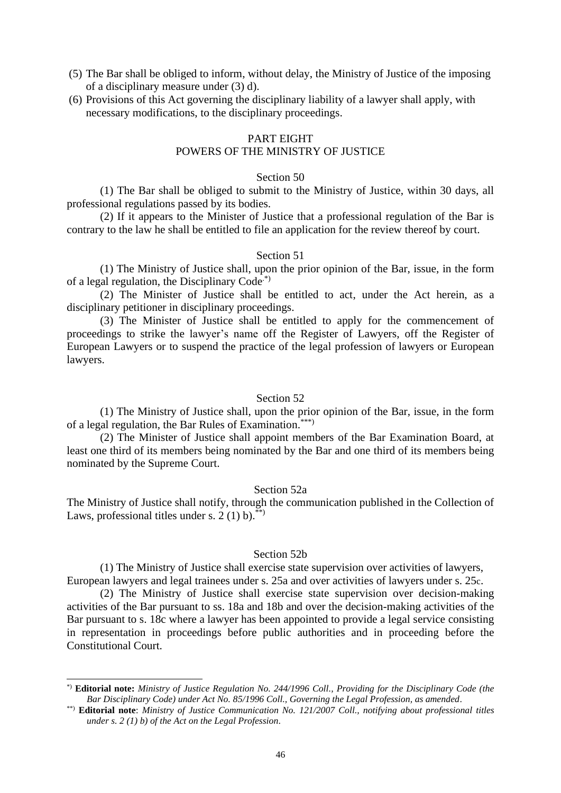- (5) The Bar shall be obliged to inform, without delay, the Ministry of Justice of the imposing of a disciplinary measure under (3) d).
- (6) Provisions of this Act governing the disciplinary liability of a lawyer shall apply, with necessary modifications, to the disciplinary proceedings.

# PART EIGHT

# POWERS OF THE MINISTRY OF JUSTICE

#### Section 50

(1) The Bar shall be obliged to submit to the Ministry of Justice, within 30 days, all professional regulations passed by its bodies.

(2) If it appears to the Minister of Justice that a professional regulation of the Bar is contrary to the law he shall be entitled to file an application for the review thereof by court.

#### Section 51

(1) The Ministry of Justice shall, upon the prior opinion of the Bar, issue, in the form of a legal regulation, the Disciplinary Code.\*)

(2) The Minister of Justice shall be entitled to act, under the Act herein, as a disciplinary petitioner in disciplinary proceedings.

(3) The Minister of Justice shall be entitled to apply for the commencement of proceedings to strike the lawyer's name off the Register of Lawyers, off the Register of European Lawyers or to suspend the practice of the legal profession of lawyers or European lawyers.

# Section 52

(1) The Ministry of Justice shall, upon the prior opinion of the Bar, issue, in the form of a legal regulation, the Bar Rules of Examination.\*\*\*)

(2) The Minister of Justice shall appoint members of the Bar Examination Board, at least one third of its members being nominated by the Bar and one third of its members being nominated by the Supreme Court.

# Section 52a

The Ministry of Justice shall notify, through the communication published in the Collection of Laws, professional titles under s.  $2(1)$  b).<sup>\*\*</sup>

#### Section 52b

(1) The Ministry of Justice shall exercise state supervision over activities of lawyers, European lawyers and legal trainees under s. 25a and over activities of lawyers under s. 25c.

(2) The Ministry of Justice shall exercise state supervision over decision-making activities of the Bar pursuant to ss. 18a and 18b and over the decision-making activities of the Bar pursuant to s. 18c where a lawyer has been appointed to provide a legal service consisting in representation in proceedings before public authorities and in proceeding before the Constitutional Court.

<sup>\*)</sup> **Editorial note:** *Ministry of Justice Regulation No. 244/1996 Coll., Providing for the Disciplinary Code (the Bar Disciplinary Code) under Act No. 85/1996 Coll., Governing the Legal Profession, as amended*.

<sup>\*\*)</sup> **Editorial note**: *Ministry of Justice Communication No. 121/2007 Coll., notifying about professional titles under s. 2 (1) b) of the Act on the Legal Profession*.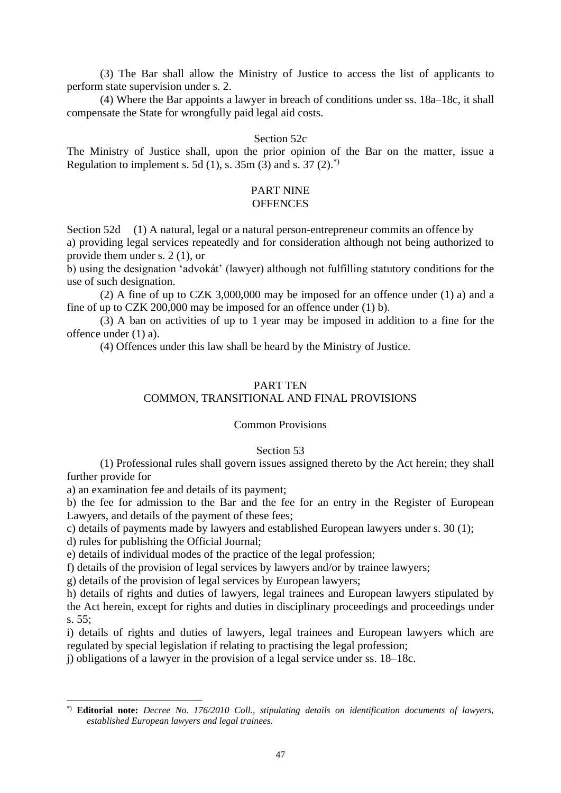(3) The Bar shall allow the Ministry of Justice to access the list of applicants to perform state supervision under s. 2.

(4) Where the Bar appoints a lawyer in breach of conditions under ss. 18a–18c, it shall compensate the State for wrongfully paid legal aid costs.

# Section 52c

The Ministry of Justice shall, upon the prior opinion of the Bar on the matter, issue a Regulation to implement s. 5d (1), s.  $35m(3)$  and s.  $37(2)^{3}$ 

# PART NINE

# **OFFENCES**

Section 52d (1) A natural, legal or a natural person-entrepreneur commits an offence by a) providing legal services repeatedly and for consideration although not being authorized to provide them under s. 2 (1), or

b) using the designation 'advokát' (lawyer) although not fulfilling statutory conditions for the use of such designation.

(2) A fine of up to CZK 3,000,000 may be imposed for an offence under (1) a) and a fine of up to CZK 200,000 may be imposed for an offence under (1) b).

(3) A ban on activities of up to 1 year may be imposed in addition to a fine for the offence under (1) a).

(4) Offences under this law shall be heard by the Ministry of Justice.

#### PART TEN

# COMMON, TRANSITIONAL AND FINAL PROVISIONS

#### Common Provisions

#### Section 53

(1) Professional rules shall govern issues assigned thereto by the Act herein; they shall further provide for

a) an examination fee and details of its payment;

b) the fee for admission to the Bar and the fee for an entry in the Register of European Lawyers, and details of the payment of these fees;

c) details of payments made by lawyers and established European lawyers under s. 30 (1);

d) rules for publishing the Official Journal;

e) details of individual modes of the practice of the legal profession;

f) details of the provision of legal services by lawyers and/or by trainee lawyers;

g) details of the provision of legal services by European lawyers;

h) details of rights and duties of lawyers, legal trainees and European lawyers stipulated by the Act herein, except for rights and duties in disciplinary proceedings and proceedings under s. 55;

i) details of rights and duties of lawyers, legal trainees and European lawyers which are regulated by special legislation if relating to practising the legal profession;

j) obligations of a lawyer in the provision of a legal service under ss. 18–18c.

<sup>\*)</sup> **Editorial note:** *Decree No. 176/2010 Coll., stipulating details on identification documents of lawyers, established European lawyers and legal trainees.*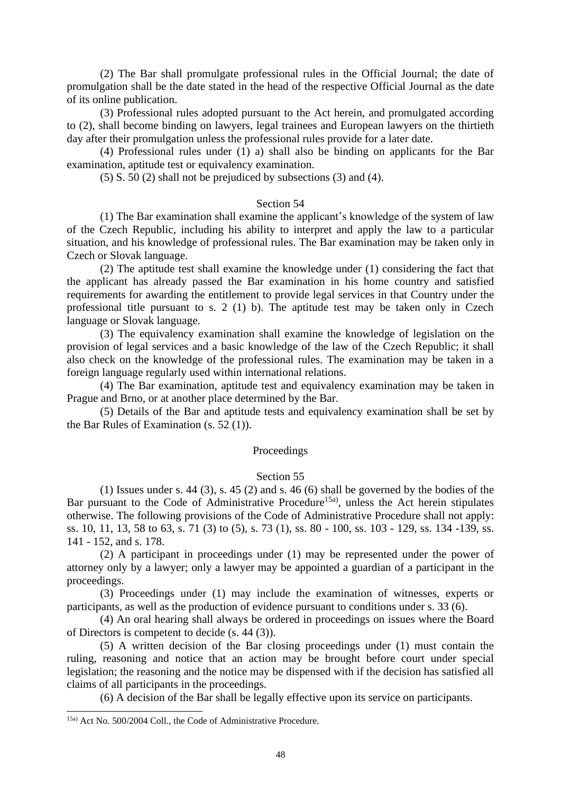(2) The Bar shall promulgate professional rules in the Official Journal; the date of promulgation shall be the date stated in the head of the respective Official Journal as the date of its online publication.

(3) Professional rules adopted pursuant to the Act herein, and promulgated according to (2), shall become binding on lawyers, legal trainees and European lawyers on the thirtieth day after their promulgation unless the professional rules provide for a later date.

(4) Professional rules under (1) a) shall also be binding on applicants for the Bar examination, aptitude test or equivalency examination.

(5) S. 50 (2) shall not be prejudiced by subsections (3) and (4).

#### Section 54

(1) The Bar examination shall examine the applicant's knowledge of the system of law of the Czech Republic, including his ability to interpret and apply the law to a particular situation, and his knowledge of professional rules. The Bar examination may be taken only in Czech or Slovak language.

(2) The aptitude test shall examine the knowledge under (1) considering the fact that the applicant has already passed the Bar examination in his home country and satisfied requirements for awarding the entitlement to provide legal services in that Country under the professional title pursuant to s. 2 (1) b). The aptitude test may be taken only in Czech language or Slovak language.

(3) The equivalency examination shall examine the knowledge of legislation on the provision of legal services and a basic knowledge of the law of the Czech Republic; it shall also check on the knowledge of the professional rules. The examination may be taken in a foreign language regularly used within international relations.

(4) The Bar examination, aptitude test and equivalency examination may be taken in Prague and Brno, or at another place determined by the Bar.

(5) Details of the Bar and aptitude tests and equivalency examination shall be set by the Bar Rules of Examination (s. 52 (1)).

#### Proceedings

#### Section 55

(1) Issues under s. 44 (3), s. 45 (2) and s. 46 (6) shall be governed by the bodies of the Bar pursuant to the Code of Administrative Procedure<sup>15a)</sup>, unless the Act herein stipulates otherwise. The following provisions of the Code of Administrative Procedure shall not apply: ss. 10, 11, 13, 58 to 63, s. 71 (3) to (5), s. 73 (1), ss. 80 - 100, ss. 103 - 129, ss. 134 -139, ss. 141 - 152, and s. 178.

(2) A participant in proceedings under (1) may be represented under the power of attorney only by a lawyer; only a lawyer may be appointed a guardian of a participant in the proceedings.

(3) Proceedings under (1) may include the examination of witnesses, experts or participants, as well as the production of evidence pursuant to conditions under s. 33 (6).

(4) An oral hearing shall always be ordered in proceedings on issues where the Board of Directors is competent to decide (s. 44 (3)).

(5) A written decision of the Bar closing proceedings under (1) must contain the ruling, reasoning and notice that an action may be brought before court under special legislation; the reasoning and the notice may be dispensed with if the decision has satisfied all claims of all participants in the proceedings.

(6) A decision of the Bar shall be legally effective upon its service on participants.

<sup>15</sup>a) Act No. 500/2004 Coll., the Code of Administrative Procedure.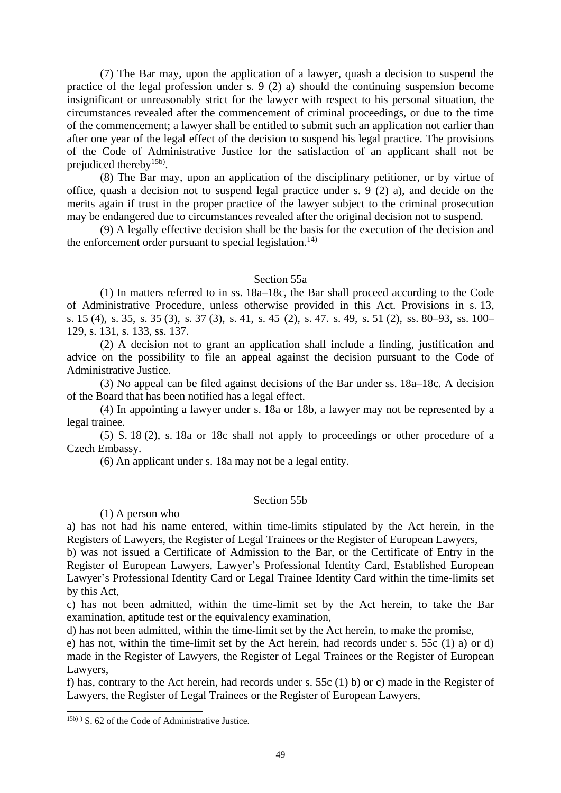(7) The Bar may, upon the application of a lawyer, quash a decision to suspend the practice of the legal profession under s. 9 (2) a) should the continuing suspension become insignificant or unreasonably strict for the lawyer with respect to his personal situation, the circumstances revealed after the commencement of criminal proceedings, or due to the time of the commencement; a lawyer shall be entitled to submit such an application not earlier than after one year of the legal effect of the decision to suspend his legal practice. The provisions of the Code of Administrative Justice for the satisfaction of an applicant shall not be prejudiced thereby<sup>15b)</sup>.

(8) The Bar may, upon an application of the disciplinary petitioner, or by virtue of office, quash a decision not to suspend legal practice under s. 9 (2) a), and decide on the merits again if trust in the proper practice of the lawyer subject to the criminal prosecution may be endangered due to circumstances revealed after the original decision not to suspend.

(9) A legally effective decision shall be the basis for the execution of the decision and the enforcement order pursuant to special legislation.<sup>14)</sup>

#### Section 55a

(1) In matters referred to in ss. 18a–18c, the Bar shall proceed according to the Code of Administrative Procedure, unless otherwise provided in this Act. Provisions in s. 13, s. 15 (4), s. 35, s. 35 (3), s. 37 (3), s. 41, s. 45 (2), s. 47. s. 49, s. 51 (2), ss. 80–93, ss. 100– 129, s. 131, s. 133, ss. 137.

(2) A decision not to grant an application shall include a finding, justification and advice on the possibility to file an appeal against the decision pursuant to the Code of Administrative Justice.

(3) No appeal can be filed against decisions of the Bar under ss. 18a–18c. A decision of the Board that has been notified has a legal effect.

(4) In appointing a lawyer under s. 18a or 18b, a lawyer may not be represented by a legal trainee.

(5) S. 18 (2), s. 18a or 18c shall not apply to proceedings or other procedure of a Czech Embassy.

(6) An applicant under s. 18a may not be a legal entity.

# Section 55b

(1) A person who

a) has not had his name entered, within time-limits stipulated by the Act herein, in the Registers of Lawyers, the Register of Legal Trainees or the Register of European Lawyers,

b) was not issued a Certificate of Admission to the Bar, or the Certificate of Entry in the Register of European Lawyers, Lawyer's Professional Identity Card, Established European Lawyer's Professional Identity Card or Legal Trainee Identity Card within the time-limits set by this Act,

c) has not been admitted, within the time-limit set by the Act herein, to take the Bar examination, aptitude test or the equivalency examination,

d) has not been admitted, within the time-limit set by the Act herein, to make the promise,

e) has not, within the time-limit set by the Act herein, had records under s. 55c (1) a) or d) made in the Register of Lawyers, the Register of Legal Trainees or the Register of European Lawyers,

f) has, contrary to the Act herein, had records under s. 55c (1) b) or c) made in the Register of Lawyers, the Register of Legal Trainees or the Register of European Lawyers,

<sup>15</sup>b) ) S. 62 of the Code of Administrative Justice.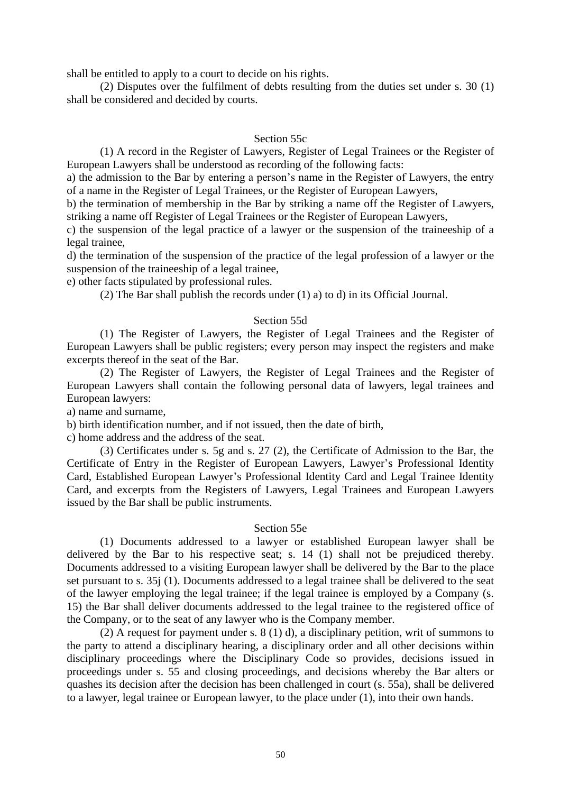shall be entitled to apply to a court to decide on his rights.

(2) Disputes over the fulfilment of debts resulting from the duties set under s. 30 (1) shall be considered and decided by courts.

# Section 55c

(1) A record in the Register of Lawyers, Register of Legal Trainees or the Register of European Lawyers shall be understood as recording of the following facts:

a) the admission to the Bar by entering a person's name in the Register of Lawyers, the entry of a name in the Register of Legal Trainees, or the Register of European Lawyers,

b) the termination of membership in the Bar by striking a name off the Register of Lawyers, striking a name off Register of Legal Trainees or the Register of European Lawyers,

c) the suspension of the legal practice of a lawyer or the suspension of the traineeship of a legal trainee,

d) the termination of the suspension of the practice of the legal profession of a lawyer or the suspension of the traineeship of a legal trainee,

e) other facts stipulated by professional rules.

(2) The Bar shall publish the records under (1) a) to d) in its Official Journal.

# Section 55d

(1) The Register of Lawyers, the Register of Legal Trainees and the Register of European Lawyers shall be public registers; every person may inspect the registers and make excerpts thereof in the seat of the Bar.

(2) The Register of Lawyers, the Register of Legal Trainees and the Register of European Lawyers shall contain the following personal data of lawyers, legal trainees and European lawyers:

a) name and surname,

b) birth identification number, and if not issued, then the date of birth,

c) home address and the address of the seat.

(3) Certificates under s. 5g and s. 27 (2), the Certificate of Admission to the Bar, the Certificate of Entry in the Register of European Lawyers, Lawyer's Professional Identity Card, Established European Lawyer's Professional Identity Card and Legal Trainee Identity Card, and excerpts from the Registers of Lawyers, Legal Trainees and European Lawyers issued by the Bar shall be public instruments.

#### Section 55e

(1) Documents addressed to a lawyer or established European lawyer shall be delivered by the Bar to his respective seat; s. 14 (1) shall not be prejudiced thereby. Documents addressed to a visiting European lawyer shall be delivered by the Bar to the place set pursuant to s. 35j (1). Documents addressed to a legal trainee shall be delivered to the seat of the lawyer employing the legal trainee; if the legal trainee is employed by a Company (s. 15) the Bar shall deliver documents addressed to the legal trainee to the registered office of the Company, or to the seat of any lawyer who is the Company member.

(2) A request for payment under s. 8 (1) d), a disciplinary petition, writ of summons to the party to attend a disciplinary hearing, a disciplinary order and all other decisions within disciplinary proceedings where the Disciplinary Code so provides, decisions issued in proceedings under s. 55 and closing proceedings, and decisions whereby the Bar alters or quashes its decision after the decision has been challenged in court (s. 55a), shall be delivered to a lawyer, legal trainee or European lawyer, to the place under (1), into their own hands.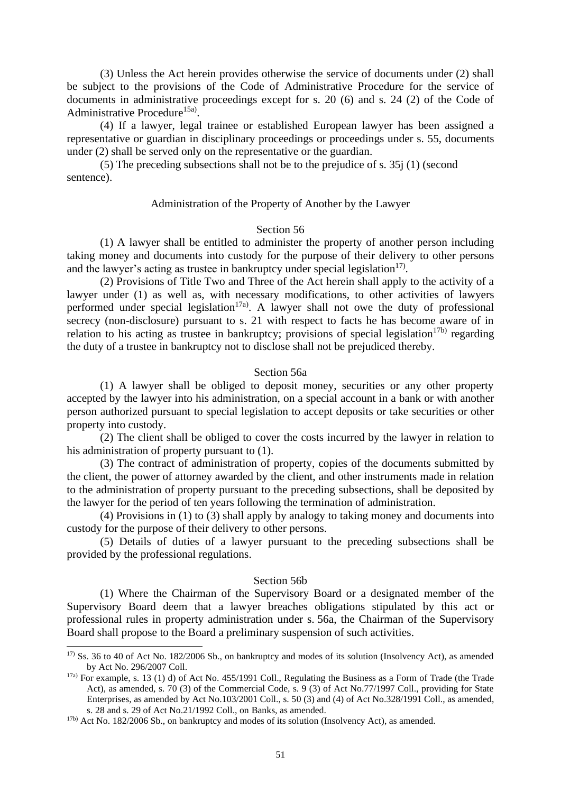(3) Unless the Act herein provides otherwise the service of documents under (2) shall be subject to the provisions of the Code of Administrative Procedure for the service of documents in administrative proceedings except for s. 20 (6) and s. 24 (2) of the Code of Administrative Procedure<sup>15a)</sup>.

(4) If a lawyer, legal trainee or established European lawyer has been assigned a representative or guardian in disciplinary proceedings or proceedings under s. 55, documents under (2) shall be served only on the representative or the guardian.

(5) The preceding subsections shall not be to the prejudice of s. 35j (1) (second sentence).

#### Administration of the Property of Another by the Lawyer

#### Section 56

(1) A lawyer shall be entitled to administer the property of another person including taking money and documents into custody for the purpose of their delivery to other persons and the lawyer's acting as trustee in bankruptcy under special legislation $17$ .

(2) Provisions of Title Two and Three of the Act herein shall apply to the activity of a lawyer under (1) as well as, with necessary modifications, to other activities of lawyers performed under special legislation<sup>17a)</sup>. A lawyer shall not owe the duty of professional secrecy (non-disclosure) pursuant to s. 21 with respect to facts he has become aware of in relation to his acting as trustee in bankruptcy; provisions of special legislation<sup>17b)</sup> regarding the duty of a trustee in bankruptcy not to disclose shall not be prejudiced thereby.

#### Section 56a

(1) A lawyer shall be obliged to deposit money, securities or any other property accepted by the lawyer into his administration, on a special account in a bank or with another person authorized pursuant to special legislation to accept deposits or take securities or other property into custody.

(2) The client shall be obliged to cover the costs incurred by the lawyer in relation to his administration of property pursuant to (1).

(3) The contract of administration of property, copies of the documents submitted by the client, the power of attorney awarded by the client, and other instruments made in relation to the administration of property pursuant to the preceding subsections, shall be deposited by the lawyer for the period of ten years following the termination of administration.

(4) Provisions in (1) to (3) shall apply by analogy to taking money and documents into custody for the purpose of their delivery to other persons.

(5) Details of duties of a lawyer pursuant to the preceding subsections shall be provided by the professional regulations.

#### Section 56b

(1) Where the Chairman of the Supervisory Board or a designated member of the Supervisory Board deem that a lawyer breaches obligations stipulated by this act or professional rules in property administration under s. 56a, the Chairman of the Supervisory Board shall propose to the Board a preliminary suspension of such activities.

<sup>17)</sup> Ss. 36 to 40 of Act No. 182/2006 Sb., on bankruptcy and modes of its solution (Insolvency Act), as amended by Act No. 296/2007 Coll.

 $17a$ ) For example, s. 13 (1) d) of Act No. 455/1991 Coll., Regulating the Business as a Form of Trade (the Trade Act), as amended, s. 70 (3) of the Commercial Code, s. 9 (3) of Act No.77/1997 Coll., providing for State Enterprises, as amended by Act No.103/2001 Coll., s. 50 (3) and (4) of Act No.328/1991 Coll., as amended, s. 28 and s. 29 of Act No.21/1992 Coll., on Banks, as amended.

<sup>17</sup>b) Act No. 182/2006 Sb., on bankruptcy and modes of its solution (Insolvency Act), as amended.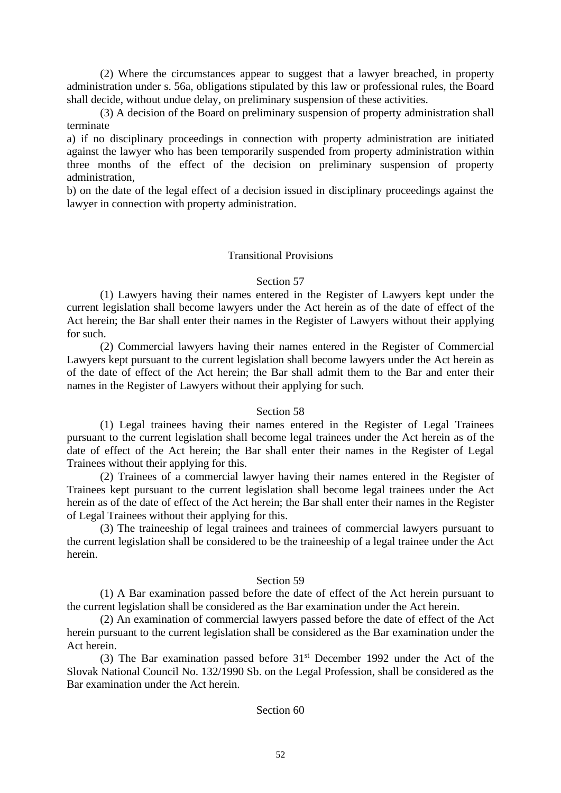(2) Where the circumstances appear to suggest that a lawyer breached, in property administration under s. 56a, obligations stipulated by this law or professional rules, the Board shall decide, without undue delay, on preliminary suspension of these activities.

(3) A decision of the Board on preliminary suspension of property administration shall terminate

a) if no disciplinary proceedings in connection with property administration are initiated against the lawyer who has been temporarily suspended from property administration within three months of the effect of the decision on preliminary suspension of property administration,

b) on the date of the legal effect of a decision issued in disciplinary proceedings against the lawyer in connection with property administration.

# Transitional Provisions

# Section 57

(1) Lawyers having their names entered in the Register of Lawyers kept under the current legislation shall become lawyers under the Act herein as of the date of effect of the Act herein; the Bar shall enter their names in the Register of Lawyers without their applying for such.

(2) Commercial lawyers having their names entered in the Register of Commercial Lawyers kept pursuant to the current legislation shall become lawyers under the Act herein as of the date of effect of the Act herein; the Bar shall admit them to the Bar and enter their names in the Register of Lawyers without their applying for such.

# Section 58

(1) Legal trainees having their names entered in the Register of Legal Trainees pursuant to the current legislation shall become legal trainees under the Act herein as of the date of effect of the Act herein; the Bar shall enter their names in the Register of Legal Trainees without their applying for this.

(2) Trainees of a commercial lawyer having their names entered in the Register of Trainees kept pursuant to the current legislation shall become legal trainees under the Act herein as of the date of effect of the Act herein; the Bar shall enter their names in the Register of Legal Trainees without their applying for this.

(3) The traineeship of legal trainees and trainees of commercial lawyers pursuant to the current legislation shall be considered to be the traineeship of a legal trainee under the Act herein.

# Section 59

(1) A Bar examination passed before the date of effect of the Act herein pursuant to the current legislation shall be considered as the Bar examination under the Act herein.

(2) An examination of commercial lawyers passed before the date of effect of the Act herein pursuant to the current legislation shall be considered as the Bar examination under the Act herein.

(3) The Bar examination passed before  $31<sup>st</sup>$  December 1992 under the Act of the Slovak National Council No. 132/1990 Sb. on the Legal Profession, shall be considered as the Bar examination under the Act herein.

#### Section 60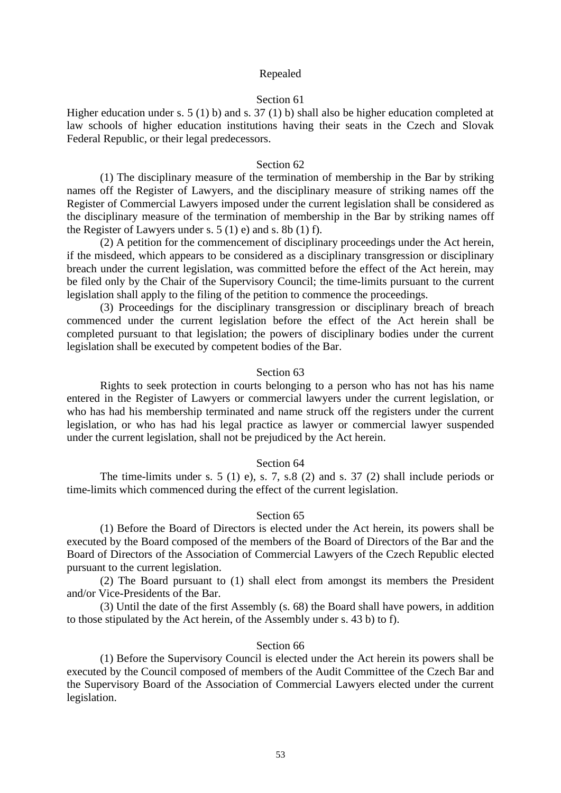#### Repealed

## Section 61

Higher education under s. 5 (1) b) and s. 37 (1) b) shall also be higher education completed at law schools of higher education institutions having their seats in the Czech and Slovak Federal Republic, or their legal predecessors.

#### Section 62

(1) The disciplinary measure of the termination of membership in the Bar by striking names off the Register of Lawyers, and the disciplinary measure of striking names off the Register of Commercial Lawyers imposed under the current legislation shall be considered as the disciplinary measure of the termination of membership in the Bar by striking names off the Register of Lawyers under s.  $5(1)$  e) and s.  $8b(1)$  f).

(2) A petition for the commencement of disciplinary proceedings under the Act herein, if the misdeed, which appears to be considered as a disciplinary transgression or disciplinary breach under the current legislation, was committed before the effect of the Act herein, may be filed only by the Chair of the Supervisory Council; the time-limits pursuant to the current legislation shall apply to the filing of the petition to commence the proceedings.

(3) Proceedings for the disciplinary transgression or disciplinary breach of breach commenced under the current legislation before the effect of the Act herein shall be completed pursuant to that legislation; the powers of disciplinary bodies under the current legislation shall be executed by competent bodies of the Bar.

#### Section 63

Rights to seek protection in courts belonging to a person who has not has his name entered in the Register of Lawyers or commercial lawyers under the current legislation, or who has had his membership terminated and name struck off the registers under the current legislation, or who has had his legal practice as lawyer or commercial lawyer suspended under the current legislation, shall not be prejudiced by the Act herein.

#### Section 64

The time-limits under s. 5 (1) e), s. 7, s.8 (2) and s. 37 (2) shall include periods or time-limits which commenced during the effect of the current legislation.

#### Section 65

(1) Before the Board of Directors is elected under the Act herein, its powers shall be executed by the Board composed of the members of the Board of Directors of the Bar and the Board of Directors of the Association of Commercial Lawyers of the Czech Republic elected pursuant to the current legislation.

(2) The Board pursuant to (1) shall elect from amongst its members the President and/or Vice-Presidents of the Bar.

(3) Until the date of the first Assembly (s. 68) the Board shall have powers, in addition to those stipulated by the Act herein, of the Assembly under s. 43 b) to f).

#### Section 66

(1) Before the Supervisory Council is elected under the Act herein its powers shall be executed by the Council composed of members of the Audit Committee of the Czech Bar and the Supervisory Board of the Association of Commercial Lawyers elected under the current legislation.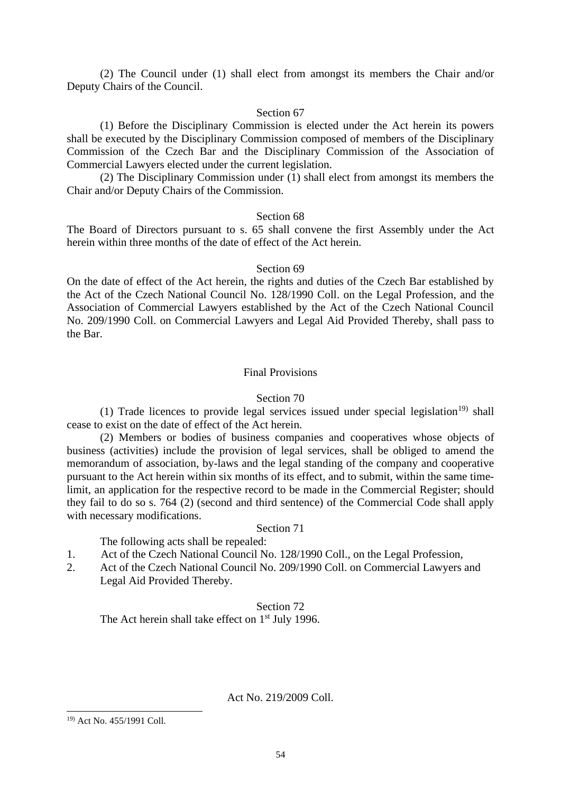(2) The Council under (1) shall elect from amongst its members the Chair and/or Deputy Chairs of the Council.

# Section 67

(1) Before the Disciplinary Commission is elected under the Act herein its powers shall be executed by the Disciplinary Commission composed of members of the Disciplinary Commission of the Czech Bar and the Disciplinary Commission of the Association of Commercial Lawyers elected under the current legislation.

(2) The Disciplinary Commission under (1) shall elect from amongst its members the Chair and/or Deputy Chairs of the Commission.

#### Section 68

The Board of Directors pursuant to s. 65 shall convene the first Assembly under the Act herein within three months of the date of effect of the Act herein.

# Section 69

On the date of effect of the Act herein, the rights and duties of the Czech Bar established by the Act of the Czech National Council No. 128/1990 Coll. on the Legal Profession, and the Association of Commercial Lawyers established by the Act of the Czech National Council No. 209/1990 Coll. on Commercial Lawyers and Legal Aid Provided Thereby, shall pass to the Bar.

# Final Provisions

# Section 70

(1) Trade licences to provide legal services issued under special legislation<sup>19)</sup> shall cease to exist on the date of effect of the Act herein.

(2) Members or bodies of business companies and cooperatives whose objects of business (activities) include the provision of legal services, shall be obliged to amend the memorandum of association, by-laws and the legal standing of the company and cooperative pursuant to the Act herein within six months of its effect, and to submit, within the same timelimit, an application for the respective record to be made in the Commercial Register; should they fail to do so s. 764 (2) (second and third sentence) of the Commercial Code shall apply with necessary modifications.

# Section 71

The following acts shall be repealed:

- 1. Act of the Czech National Council No. 128/1990 Coll., on the Legal Profession,
- 2. Act of the Czech National Council No. 209/1990 Coll. on Commercial Lawyers and Legal Aid Provided Thereby.

# Section 72

The Act herein shall take effect on  $1<sup>st</sup>$  July 1996.

Act No. 219/2009 Coll.

<sup>19)</sup> Act No. 455/1991 Coll.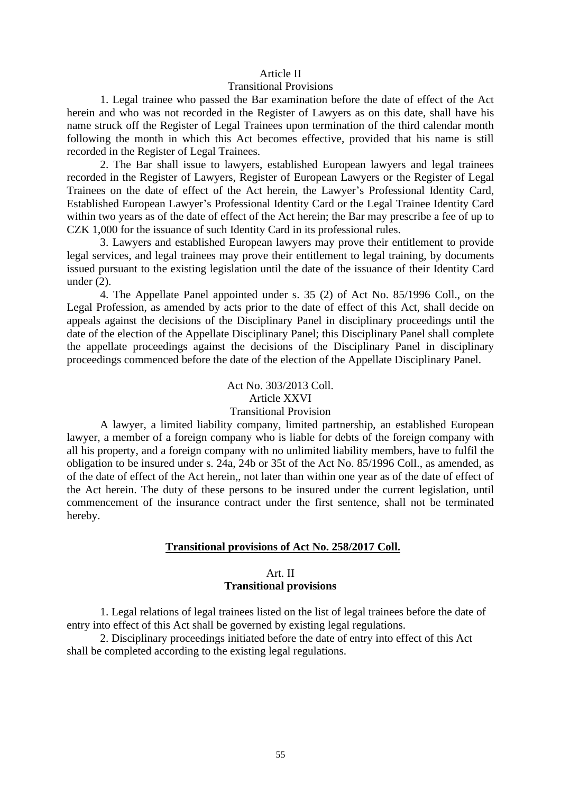#### Article II

#### Transitional Provisions

1. Legal trainee who passed the Bar examination before the date of effect of the Act herein and who was not recorded in the Register of Lawyers as on this date, shall have his name struck off the Register of Legal Trainees upon termination of the third calendar month following the month in which this Act becomes effective, provided that his name is still recorded in the Register of Legal Trainees.

2. The Bar shall issue to lawyers, established European lawyers and legal trainees recorded in the Register of Lawyers, Register of European Lawyers or the Register of Legal Trainees on the date of effect of the Act herein, the Lawyer's Professional Identity Card, Established European Lawyer's Professional Identity Card or the Legal Trainee Identity Card within two years as of the date of effect of the Act herein; the Bar may prescribe a fee of up to CZK 1,000 for the issuance of such Identity Card in its professional rules.

3. Lawyers and established European lawyers may prove their entitlement to provide legal services, and legal trainees may prove their entitlement to legal training, by documents issued pursuant to the existing legislation until the date of the issuance of their Identity Card under (2).

4. The Appellate Panel appointed under s. 35 (2) of Act No. 85/1996 Coll., on the Legal Profession, as amended by acts prior to the date of effect of this Act, shall decide on appeals against the decisions of the Disciplinary Panel in disciplinary proceedings until the date of the election of the Appellate Disciplinary Panel; this Disciplinary Panel shall complete the appellate proceedings against the decisions of the Disciplinary Panel in disciplinary proceedings commenced before the date of the election of the Appellate Disciplinary Panel.

# Act No. 303/2013 Coll. Article XXVI Transitional Provision

A lawyer, a limited liability company, limited partnership, an established European lawyer, a member of a foreign company who is liable for debts of the foreign company with all his property, and a foreign company with no unlimited liability members, have to fulfil the obligation to be insured under s. 24a, 24b or 35t of the Act No. 85/1996 Coll., as amended, as of the date of effect of the Act herein,, not later than within one year as of the date of effect of the Act herein. The duty of these persons to be insured under the current legislation, until commencement of the insurance contract under the first sentence, shall not be terminated hereby.

#### **Transitional provisions of Act No. 258/2017 Coll.**

# Art. II **Transitional provisions**

1. Legal relations of legal trainees listed on the list of legal trainees before the date of entry into effect of this Act shall be governed by existing legal regulations.

2. Disciplinary proceedings initiated before the date of entry into effect of this Act shall be completed according to the existing legal regulations.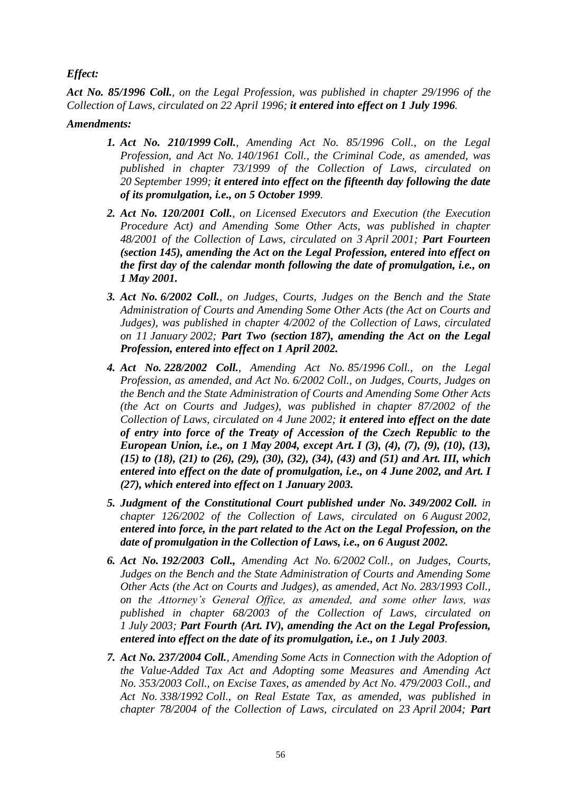# *Effect:*

*Act No. 85/1996 Coll., on the Legal Profession, was published in chapter 29/1996 of the Collection of Laws, circulated on 22 April 1996; it entered into effect on 1 July 1996.*

# *Amendments:*

- *1. Act No. 210/1999 Coll., Amending Act No. 85/1996 Coll., on the Legal Profession, and Act No. 140/1961 Coll., the Criminal Code, as amended, was published in chapter 73/1999 of the Collection of Laws, circulated on 20 September 1999; it entered into effect on the fifteenth day following the date of its promulgation, i.e., on 5 October 1999.*
- *2. Act No. 120/2001 Coll., on Licensed Executors and Execution (the Execution Procedure Act) and Amending Some Other Acts, was published in chapter 48/2001 of the Collection of Laws, circulated on 3 April 2001; Part Fourteen (section 145), amending the Act on the Legal Profession, entered into effect on the first day of the calendar month following the date of promulgation, i.e., on 1 May 2001.*
- *3. Act No. 6/2002 Coll., on Judges, Courts, Judges on the Bench and the State Administration of Courts and Amending Some Other Acts (the Act on Courts and Judges), was published in chapter 4/2002 of the Collection of Laws, circulated on 11 January 2002; Part Two (section 187), amending the Act on the Legal Profession, entered into effect on 1 April 2002.*
- *4. Act No. 228/2002 Coll., Amending Act No. 85/1996 Coll., on the Legal Profession, as amended, and Act No. 6/2002 Coll., on Judges, Courts, Judges on the Bench and the State Administration of Courts and Amending Some Other Acts (the Act on Courts and Judges), was published in chapter 87/2002 of the Collection of Laws, circulated on 4 June 2002; it entered into effect on the date of entry into force of the Treaty of Accession of the Czech Republic to the European Union, i.e., on 1 May 2004, except Art. I (3), (4), (7), (9), (10), (13), (15) to (18), (21) to (26), (29), (30), (32), (34), (43) and (51) and Art. III, which entered into effect on the date of promulgation, i.e., on 4 June 2002, and Art. I (27), which entered into effect on 1 January 2003.*
- *5. Judgment of the Constitutional Court published under No. 349/2002 Coll. in chapter 126/2002 of the Collection of Laws, circulated on 6 August 2002, entered into force, in the part related to the Act on the Legal Profession, on the date of promulgation in the Collection of Laws, i.e., on 6 August 2002.*
- *6. Act No. 192/2003 Coll., Amending Act No. 6/2002 Coll., on Judges, Courts, Judges on the Bench and the State Administration of Courts and Amending Some Other Acts (the Act on Courts and Judges), as amended, Act No. 283/1993 Coll., on the Attorney's General Office, as amended, and some other laws, was published in chapter 68/2003 of the Collection of Laws, circulated on 1 July 2003; Part Fourth (Art. IV), amending the Act on the Legal Profession, entered into effect on the date of its promulgation, i.e., on 1 July 2003.*
- *7. Act No. 237/2004 Coll., Amending Some Acts in Connection with the Adoption of the Value-Added Tax Act and Adopting some Measures and Amending Act No. 353/2003 Coll., on Excise Taxes, as amended by Act No. 479/2003 Coll., and Act No. 338/1992 Coll., on Real Estate Tax, as amended, was published in chapter 78/2004 of the Collection of Laws, circulated on 23 April 2004; Part*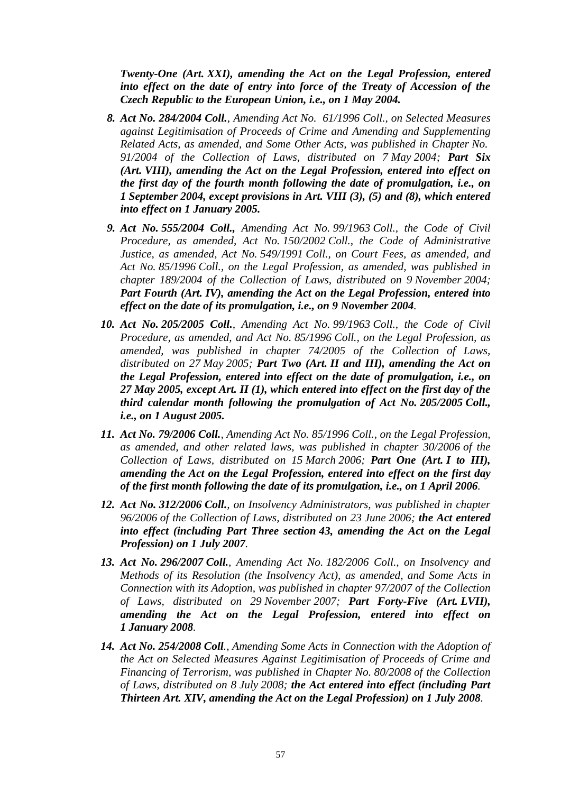*Twenty-One (Art. XXI), amending the Act on the Legal Profession, entered into effect on the date of entry into force of the Treaty of Accession of the Czech Republic to the European Union, i.e., on 1 May 2004.*

- *8. Act No. 284/2004 Coll., Amending Act No. 61/1996 Coll., on Selected Measures against Legitimisation of Proceeds of Crime and Amending and Supplementing Related Acts, as amended, and Some Other Acts, was published in Chapter No. 91/2004 of the Collection of Laws, distributed on 7 May 2004; Part Six (Art. VIII), amending the Act on the Legal Profession, entered into effect on the first day of the fourth month following the date of promulgation, i.e., on 1 September 2004, except provisions in Art. VIII (3), (5) and (8), which entered into effect on 1 January 2005.*
- *9. Act No. 555/2004 Coll., Amending Act No. 99/1963 Coll., the Code of Civil Procedure, as amended, Act No. 150/2002 Coll., the Code of Administrative Justice, as amended, Act No. 549/1991 Coll., on Court Fees, as amended, and Act No. 85/1996 Coll., on the Legal Profession, as amended, was published in chapter 189/2004 of the Collection of Laws, distributed on 9 November 2004; Part Fourth (Art. IV), amending the Act on the Legal Profession, entered into effect on the date of its promulgation, i.e., on 9 November 2004.*
- *10. Act No. 205/2005 Coll., Amending Act No. 99/1963 Coll., the Code of Civil Procedure, as amended, and Act No. 85/1996 Coll., on the Legal Profession, as amended, was published in chapter 74/2005 of the Collection of Laws, distributed on 27 May 2005; Part Two (Art. II and III), amending the Act on the Legal Profession, entered into effect on the date of promulgation, i.e., on 27 May 2005, except Art. II (1), which entered into effect on the first day of the third calendar month following the promulgation of Act No. 205/2005 Coll., i.e., on 1 August 2005.*
- *11. Act No. 79/2006 Coll., Amending Act No. 85/1996 Coll., on the Legal Profession, as amended, and other related laws, was published in chapter 30/2006 of the Collection of Laws, distributed on 15 March 2006; Part One (Art. I to III), amending the Act on the Legal Profession, entered into effect on the first day of the first month following the date of its promulgation, i.e., on 1 April 2006.*
- *12. Act No. 312/2006 Coll., on Insolvency Administrators, was published in chapter 96/2006 of the Collection of Laws, distributed on 23 June 2006; the Act entered into effect (including Part Three section 43, amending the Act on the Legal Profession) on 1 July 2007.*
- *13. Act No. 296/2007 Coll., Amending Act No. 182/2006 Coll., on Insolvency and Methods of its Resolution (the Insolvency Act), as amended, and Some Acts in Connection with its Adoption, was published in chapter 97/2007 of the Collection of Laws, distributed on 29 November 2007; Part Forty-Five (Art. LVII), amending the Act on the Legal Profession, entered into effect on 1 January 2008.*
- *14. Act No. 254/2008 Coll., Amending Some Acts in Connection with the Adoption of the Act on Selected Measures Against Legitimisation of Proceeds of Crime and Financing of Terrorism, was published in Chapter No. 80/2008 of the Collection of Laws, distributed on 8 July 2008; the Act entered into effect (including Part Thirteen Art. XIV, amending the Act on the Legal Profession) on 1 July 2008.*